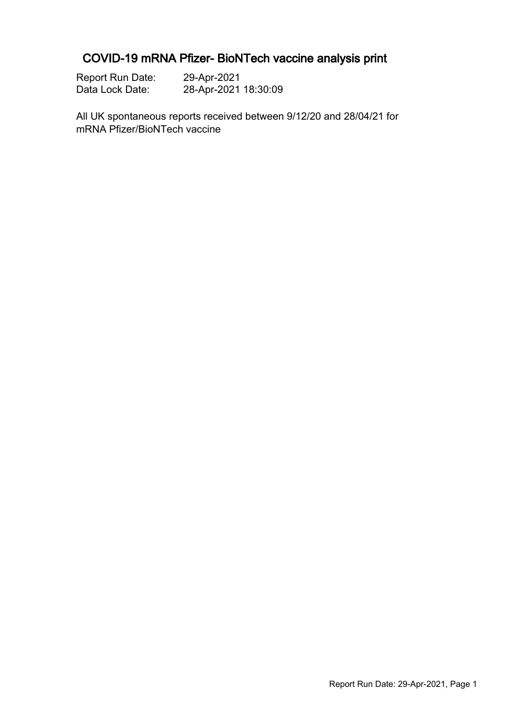### COVID-19 mRNA Pfizer- BioNTech vaccine analysis print

| <b>Report Run Date:</b> | 29-Apr-2021          |
|-------------------------|----------------------|
| Data Lock Date:         | 28-Apr-2021 18:30:09 |

All UK spontaneous reports received between 9/12/20 and 28/04/21 for mRNA Pfizer/BioNTech vaccine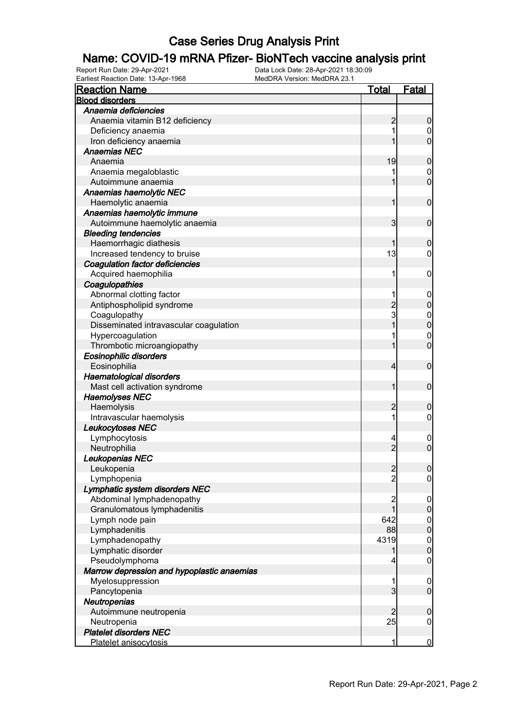# **Name: COVID-19 mRNA Pfizer- BioNTech vaccine analysis print**<br>Report Run Date: 29-Apr-2021<br>Data Lock Date: 28-Apr-2021 18:30:09

Earliest Reaction Date: 13-Apr-1968

| <b>Reaction Name</b>                       | <b>Total</b>            | <b>Fatal</b>     |
|--------------------------------------------|-------------------------|------------------|
| <b>Blood disorders</b>                     |                         |                  |
| Anaemia deficiencies                       |                         |                  |
| Anaemia vitamin B12 deficiency             | $\overline{c}$          | $\boldsymbol{0}$ |
| Deficiency anaemia                         |                         | 0                |
| Iron deficiency anaemia                    |                         | $\overline{0}$   |
| <b>Anaemias NEC</b>                        |                         |                  |
| Anaemia                                    | 19                      | $\mathbf 0$      |
| Anaemia megaloblastic                      |                         | $\mathbf 0$      |
| Autoimmune anaemia                         |                         | $\mathbf 0$      |
| Anaemias haemolytic NEC                    |                         |                  |
| Haemolytic anaemia                         | 1                       | $\mathbf 0$      |
| Anaemias haemolytic immune                 |                         |                  |
| Autoimmune haemolytic anaemia              | 3                       | $\mathbf 0$      |
| <b>Bleeding tendencies</b>                 |                         |                  |
| Haemorrhagic diathesis                     |                         | $\boldsymbol{0}$ |
| Increased tendency to bruise               | 13                      | 0                |
| <b>Coagulation factor deficiencies</b>     |                         |                  |
| Acquired haemophilia                       | 1                       | $\mathbf 0$      |
| Coagulopathies                             |                         |                  |
| Abnormal clotting factor                   | 1                       | $\overline{0}$   |
| Antiphospholipid syndrome                  |                         | $\mathbf 0$      |
| Coagulopathy                               | $\frac{2}{3}$           | $\mathbf{0}$     |
| Disseminated intravascular coagulation     | 1                       | $\mathbf 0$      |
| Hypercoagulation                           |                         | $\mathbf 0$      |
| Thrombotic microangiopathy                 |                         | $\mathbf 0$      |
| Eosinophilic disorders                     |                         |                  |
| Eosinophilia                               | 4                       | $\mathbf 0$      |
| <b>Haematological disorders</b>            |                         |                  |
| Mast cell activation syndrome              | 1                       | $\mathbf 0$      |
| <b>Haemolyses NEC</b>                      |                         |                  |
| Haemolysis                                 | $\overline{c}$          | $\boldsymbol{0}$ |
| Intravascular haemolysis                   | 1                       | $\mathbf 0$      |
| Leukocytoses NEC                           |                         |                  |
| Lymphocytosis                              | 4                       | $\overline{0}$   |
| Neutrophilia                               | $\overline{2}$          | $\mathbf 0$      |
| Leukopenias NEC                            |                         |                  |
| Leukopenia                                 | $\overline{c}$          | $\overline{0}$   |
| Lymphopenia                                | $\overline{2}$          | $\mathbf 0$      |
| Lymphatic system disorders NEC             |                         |                  |
| Abdominal lymphadenopathy                  | $\overline{\mathbf{c}}$ | $\mathbf 0$      |
| Granulomatous lymphadenitis                | 1                       | $\pmb{0}$        |
| Lymph node pain                            | 642                     |                  |
| Lymphadenitis                              | 88                      | $0\atop 0$       |
| Lymphadenopathy                            | 4319                    |                  |
| Lymphatic disorder                         | 1                       | $0$<br>0         |
| Pseudolymphoma                             | 4                       | $\mathbf 0$      |
| Marrow depression and hypoplastic anaemias |                         |                  |
| Myelosuppression                           | 1                       | $\mathbf 0$      |
| Pancytopenia                               | $\mathbf{3}$            | $\overline{0}$   |
| Neutropenias                               |                         |                  |
| Autoimmune neutropenia                     | $\overline{2}$          | $\boldsymbol{0}$ |
| Neutropenia                                | 25                      | $\boldsymbol{0}$ |
| <b>Platelet disorders NEC</b>              |                         |                  |
| Platelet anisocytosis                      | 1                       | $\overline{0}$   |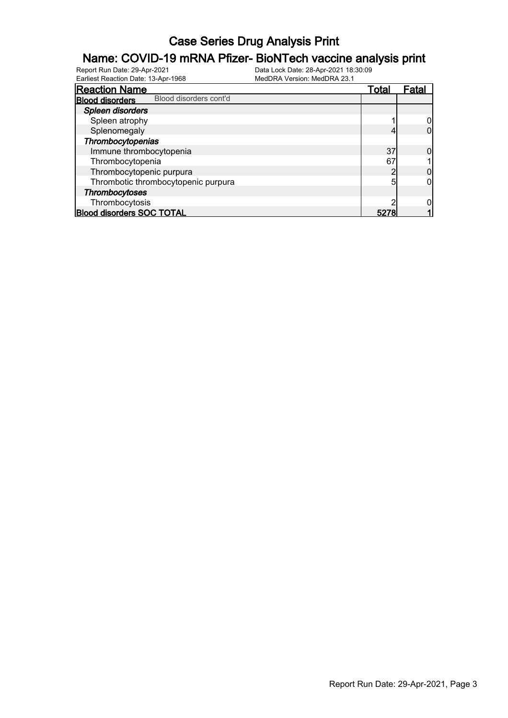# **Name: COVID-19 mRNA Pfizer- BioNTech vaccine analysis print**<br>Report Run Date: 29-Apr-2021<br>Data Lock Date: 28-Apr-2021 18:30:09

Earliest Reaction Date: 13-Apr-1968

| <b>Reaction Name</b>                             |  | Total | Fatal |
|--------------------------------------------------|--|-------|-------|
| Blood disorders cont'd<br><b>Blood disorders</b> |  |       |       |
| Spleen disorders                                 |  |       |       |
| Spleen atrophy                                   |  |       |       |
| Splenomegaly                                     |  |       |       |
| Thrombocytopenias                                |  |       |       |
| Immune thrombocytopenia                          |  | 37    |       |
| Thrombocytopenia                                 |  | 67    |       |
| Thrombocytopenic purpura                         |  |       |       |
| Thrombotic thrombocytopenic purpura              |  | 5     |       |
| Thrombocytoses                                   |  |       |       |
| Thrombocytosis                                   |  |       |       |
| <b>Blood disorders SOC TOTAL</b>                 |  | 5278  |       |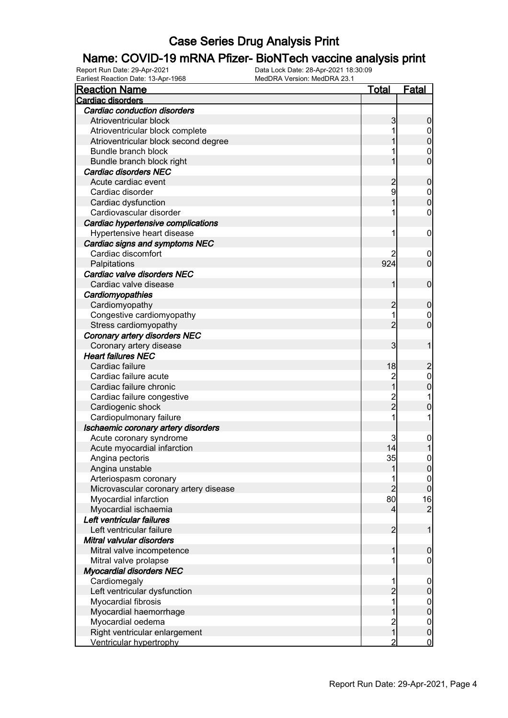#### Name: COVID-19 mRNA Pfizer- BioNTech vaccine analysis print

Report Run Date: 29-Apr-2021 Data Lock Date: 28-Apr-2021 18:30:09 Earliest Reaction Date: 13-Apr-1968 MedDRA Version: MedDRA 23.1

| <b>Reaction Name</b>                  | <b>Total</b>        | <b>Fatal</b>        |
|---------------------------------------|---------------------|---------------------|
| Cardiac disorders                     |                     |                     |
| Cardiac conduction disorders          |                     |                     |
| Atrioventricular block                | 3                   | $\boldsymbol{0}$    |
| Atrioventricular block complete       |                     | $\overline{0}$      |
| Atrioventricular block second degree  |                     | $\mathbf 0$         |
| Bundle branch block                   |                     | $\mathbf 0$         |
| Bundle branch block right             |                     | $\overline{0}$      |
| Cardiac disorders NEC                 |                     |                     |
| Acute cardiac event                   | $\overline{c}$      | $\boldsymbol{0}$    |
| Cardiac disorder                      | 9                   | $\boldsymbol{0}$    |
| Cardiac dysfunction                   |                     | $\overline{0}$      |
| Cardiovascular disorder               |                     | $\mathbf 0$         |
| Cardiac hypertensive complications    |                     |                     |
| Hypertensive heart disease            | 1                   | $\mathbf 0$         |
| Cardiac signs and symptoms NEC        |                     |                     |
| Cardiac discomfort                    | 2                   | 0                   |
| Palpitations                          | 924                 | $\overline{0}$      |
| Cardiac valve disorders NEC           |                     |                     |
| Cardiac valve disease                 | 1                   | $\mathbf 0$         |
|                                       |                     |                     |
| Cardiomyopathies<br>Cardiomyopathy    |                     |                     |
| Congestive cardiomyopathy             | $\overline{c}$<br>1 | $\boldsymbol{0}$    |
|                                       | $\overline{2}$      | 0<br>$\overline{0}$ |
| Stress cardiomyopathy                 |                     |                     |
| Coronary artery disorders NEC         |                     |                     |
| Coronary artery disease               | 3                   | 1                   |
| <b>Heart failures NEC</b>             |                     |                     |
| Cardiac failure                       | 18                  | $\overline{c}$      |
| Cardiac failure acute                 | 2<br>1              | $\mathbf{0}$        |
| Cardiac failure chronic               |                     | $\overline{0}$      |
| Cardiac failure congestive            | 2<br>2              | 1                   |
| Cardiogenic shock                     |                     | $\mathbf 0$         |
| Cardiopulmonary failure               |                     | 1                   |
| Ischaemic coronary artery disorders   |                     |                     |
| Acute coronary syndrome               | 3                   | $\mathbf{0}$        |
| Acute myocardial infarction           | 14                  | 1                   |
| Angina pectoris                       | 35                  | $\boldsymbol{0}$    |
| Angina unstable                       | 1                   | $\overline{0}$      |
| Arteriospasm coronary                 | 1                   | $\overline{0}$      |
| Microvascular coronary artery disease | $\overline{c}$      | $\mathbf 0$         |
| Myocardial infarction                 | 80                  | 16                  |
| Myocardial ischaemia                  | $\overline{4}$      | $\overline{2}$      |
| Left ventricular failures             |                     |                     |
| Left ventricular failure              | $\overline{2}$      | $\mathbf 1$         |
| Mitral valvular disorders             |                     |                     |
| Mitral valve incompetence             | 1                   | $\boldsymbol{0}$    |
| Mitral valve prolapse                 |                     | $\boldsymbol{0}$    |
| <b>Myocardial disorders NEC</b>       |                     |                     |
| Cardiomegaly                          | 1                   | $\mathbf 0$         |
| Left ventricular dysfunction          | $\overline{2}$      | $\pmb{0}$           |
| Myocardial fibrosis                   | 1                   | $\boldsymbol{0}$    |
| Myocardial haemorrhage                |                     | $\mathbf 0$         |
| Myocardial oedema                     |                     | $\mathbf{0}$        |
| Right ventricular enlargement         | $\frac{2}{1}$       | $\mathbf 0$         |
| Ventricular hypertrophy               | $\overline{2}$      | $\overline{0}$      |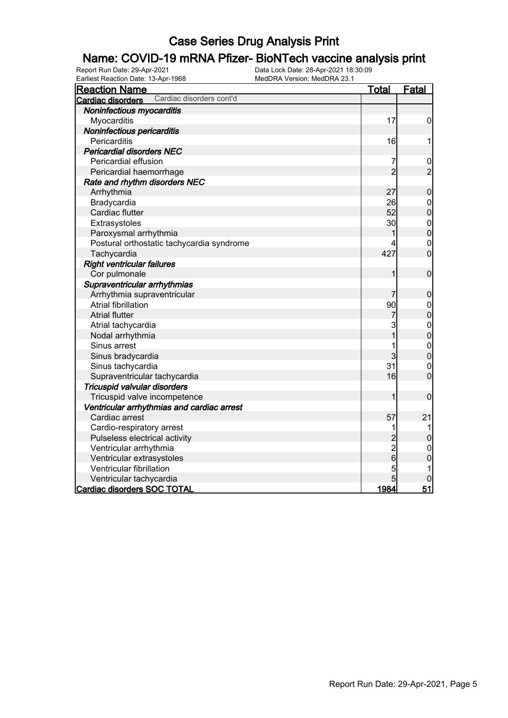# **Name: COVID-19 mRNA Pfizer- BioNTech vaccine analysis print**<br>Report Run Date: 29-Apr-2021<br>Data Lock Date: 28-Apr-2021 18:30:09

Earliest Reaction Date: 13-Apr-1968

| <b>Reaction Name</b>                          | <u>Total</u>                               | Fatal                            |
|-----------------------------------------------|--------------------------------------------|----------------------------------|
| Cardiac disorders cont'd<br>Cardiac disorders |                                            |                                  |
| Noninfectious myocarditis                     |                                            |                                  |
| Myocarditis                                   | 17                                         | $\mathbf 0$                      |
| Noninfectious pericarditis                    |                                            |                                  |
| Pericarditis                                  | 16                                         | 1                                |
| <b>Pericardial disorders NEC</b>              |                                            |                                  |
| Pericardial effusion                          | 7                                          | $\frac{0}{2}$                    |
| Pericardial haemorrhage                       | $\overline{2}$                             |                                  |
| Rate and rhythm disorders NEC                 |                                            |                                  |
| Arrhythmia                                    | 27                                         | $\bf 0$                          |
| Bradycardia                                   | 26                                         | $\boldsymbol{0}$                 |
| Cardiac flutter                               | 52                                         | $\overline{0}$                   |
| Extrasystoles                                 | 30                                         | $\mathbf{0}$                     |
| Paroxysmal arrhythmia                         |                                            | $\overline{0}$                   |
| Postural orthostatic tachycardia syndrome     |                                            | $\mathbf{0}$                     |
| Tachycardia                                   | 427                                        | $\overline{0}$                   |
| <b>Right ventricular failures</b>             |                                            |                                  |
| Cor pulmonale                                 | 1                                          | $\mathbf 0$                      |
| Supraventricular arrhythmias                  |                                            |                                  |
| Arrhythmia supraventricular                   |                                            | $\mathbf 0$                      |
| <b>Atrial fibrillation</b>                    | 90                                         |                                  |
| <b>Atrial flutter</b>                         | 7                                          | $\begin{matrix}0\\0\end{matrix}$ |
| Atrial tachycardia                            | 3                                          |                                  |
| Nodal arrhythmia                              | $\overline{1}$                             | $0$ 0                            |
| Sinus arrest                                  | 1                                          |                                  |
| Sinus bradycardia                             | 3                                          | $\begin{matrix}0\\0\end{matrix}$ |
| Sinus tachycardia                             | 31                                         | $\mathbf{0}$                     |
| Supraventricular tachycardia                  | 16                                         | $\overline{0}$                   |
| Tricuspid valvular disorders                  |                                            |                                  |
| Tricuspid valve incompetence                  | 1                                          | $\mathbf 0$                      |
| Ventricular arrhythmias and cardiac arrest    |                                            |                                  |
| Cardiac arrest                                | 57                                         | 21                               |
| Cardio-respiratory arrest                     | 1                                          | 1                                |
| Pulseless electrical activity                 |                                            | 0                                |
| Ventricular arrhythmia                        | $\begin{array}{c} 2 \\ 2 \\ 6 \end{array}$ | $\mathbf 0$                      |
| Ventricular extrasystoles                     |                                            | $\overline{0}$                   |
| Ventricular fibrillation                      | 5                                          | 1                                |
| Ventricular tachycardia                       | 5                                          | $\mathbf 0$                      |
| Cardiac disorders SOC TOTAL                   | 1984                                       | 51                               |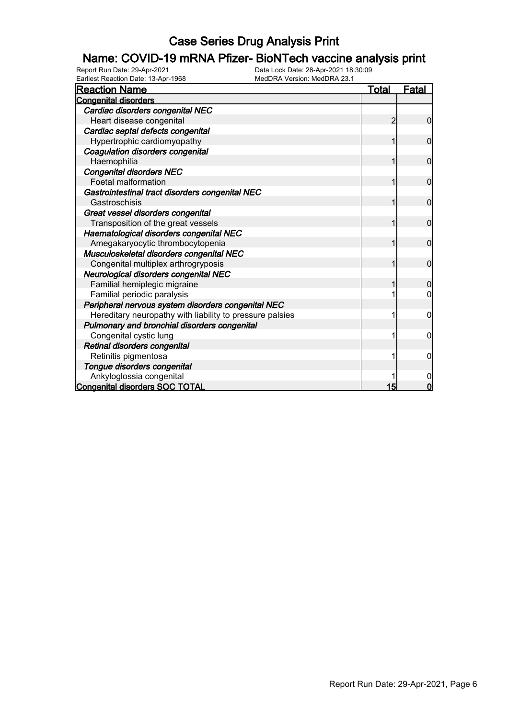#### Name: COVID-19 mRNA Pfizer- BioNTech vaccine analysis print

Report Run Date: 29-Apr-2021 Data Lock Date: 28-Apr-2021 18:30:09

| Earliest Reaction Date: 13-Apr-1968<br>MedDRA Version: MedDRA 23.1 |       |                |
|--------------------------------------------------------------------|-------|----------------|
| <b>Reaction Name</b>                                               | Total | <u>Fatal</u>   |
| <b>Congenital disorders</b>                                        |       |                |
| Cardiac disorders congenital NEC                                   |       |                |
| Heart disease congenital                                           | 2     | 0              |
| Cardiac septal defects congenital                                  |       |                |
| Hypertrophic cardiomyopathy                                        |       | $\mathbf{0}$   |
| Coagulation disorders congenital                                   |       |                |
| Haemophilia                                                        | 1     | $\mathbf 0$    |
| <b>Congenital disorders NEC</b>                                    |       |                |
| <b>Foetal malformation</b>                                         | 1     | $\overline{0}$ |
| Gastrointestinal tract disorders congenital NEC                    |       |                |
| Gastroschisis                                                      | 1     | $\mathbf 0$    |
| Great vessel disorders congenital                                  |       |                |
| Transposition of the great vessels                                 | 1     | $\mathbf 0$    |
| Haematological disorders congenital NEC                            |       |                |
| Amegakaryocytic thrombocytopenia                                   |       | $\mathbf{0}$   |
| Musculoskeletal disorders congenital NEC                           |       |                |
| Congenital multiplex arthrogryposis                                |       | $\overline{0}$ |
| Neurological disorders congenital NEC                              |       |                |
| Familial hemiplegic migraine                                       |       | $\Omega$       |
| Familial periodic paralysis                                        |       | 0              |
| Peripheral nervous system disorders congenital NEC                 |       |                |
| Hereditary neuropathy with liability to pressure palsies           |       | 0              |
| Pulmonary and bronchial disorders congenital                       |       |                |
| Congenital cystic lung                                             |       | 0              |
| Retinal disorders congenital                                       |       |                |
| Retinitis pigmentosa                                               |       | 0              |
| Tongue disorders congenital                                        |       |                |
| Ankyloglossia congenital                                           |       | 0              |
| <b>Congenital disorders SOC TOTAL</b>                              | 15    | $\mathbf 0$    |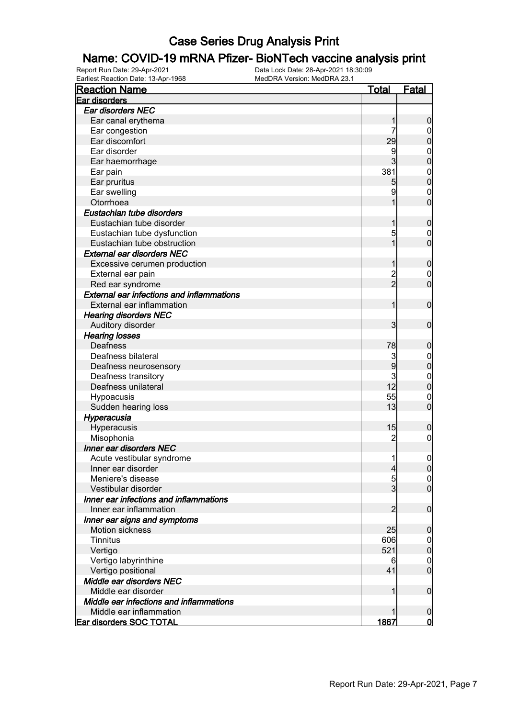#### Name: COVID-19 mRNA Pfizer- BioNTech vaccine analysis print

Report Run Date: 29-Apr-2021 Data Lock Date: 28-Apr-2021 18:30:09 Earliest Reaction Date: 13-Apr-1968 MedDRA Version: MedDRA 23.1

| <b>Reaction Name</b>                             | <b>Total</b>   | <b>Fatal</b>     |
|--------------------------------------------------|----------------|------------------|
| Ear disorders                                    |                |                  |
| Ear disorders NEC                                |                |                  |
| Ear canal erythema                               | 1              | $\boldsymbol{0}$ |
| Ear congestion                                   | 7              | $\overline{0}$   |
| Ear discomfort                                   | 29             | $\mathbf 0$      |
| Ear disorder                                     | 9              | $\mathbf{0}$     |
| Ear haemorrhage                                  | 3              | $\mathbf 0$      |
| Ear pain                                         | 381            | $\mathbf{0}$     |
| Ear pruritus                                     | 5              | $\mathbf 0$      |
| Ear swelling                                     | 9              | $\mathbf{0}$     |
| Otorrhoea                                        | 1              | $\overline{0}$   |
| Eustachian tube disorders                        |                |                  |
| Eustachian tube disorder                         | 1              | $\boldsymbol{0}$ |
| Eustachian tube dysfunction                      | 5              | $\mathbf 0$      |
| Eustachian tube obstruction                      | 1              | $\overline{0}$   |
| <b>External ear disorders NEC</b>                |                |                  |
|                                                  |                |                  |
| Excessive cerumen production                     | 1              | $\boldsymbol{0}$ |
| External ear pain                                | 2<br>2         | $\boldsymbol{0}$ |
| Red ear syndrome                                 |                | $\overline{0}$   |
| <b>External ear infections and inflammations</b> |                |                  |
| External ear inflammation                        | 1              | $\boldsymbol{0}$ |
| <b>Hearing disorders NEC</b>                     |                |                  |
| Auditory disorder                                | 3              | $\mathbf 0$      |
| <b>Hearing losses</b>                            |                |                  |
| Deafness                                         | 78             | $\boldsymbol{0}$ |
| Deafness bilateral                               | 3              | $\boldsymbol{0}$ |
| Deafness neurosensory                            | 9              | $\mathbf 0$      |
| Deafness transitory                              | 3              | $\mathbf{0}$     |
| Deafness unilateral                              | 12             | $\overline{0}$   |
| Hypoacusis                                       | 55             | $\mathbf{0}$     |
| Sudden hearing loss                              | 13             | $\overline{0}$   |
| Hyperacusia                                      |                |                  |
| Hyperacusis                                      | 15             | $\boldsymbol{0}$ |
| Misophonia                                       | $\overline{c}$ | $\mathbf 0$      |
| Inner ear disorders NEC                          |                |                  |
| Acute vestibular syndrome                        | 11             | $\boldsymbol{0}$ |
| Inner ear disorder                               | $\overline{4}$ | 0                |
| Meniere's disease                                | 5              | $\overline{0}$   |
| Vestibular disorder                              | $\overline{3}$ | $\overline{0}$   |
| Inner ear infections and inflammations           |                |                  |
| Inner ear inflammation                           | 2              | $\boldsymbol{0}$ |
| Inner ear signs and symptoms                     |                |                  |
| Motion sickness                                  | 25             | $\boldsymbol{0}$ |
| <b>Tinnitus</b>                                  | 606            | $\overline{0}$   |
| Vertigo                                          | 521            | $\pmb{0}$        |
| Vertigo labyrinthine                             | 6              | $\mathbf 0$      |
| Vertigo positional                               | 41             | $\overline{0}$   |
| Middle ear disorders NEC                         |                |                  |
| Middle ear disorder                              | 1              | $\boldsymbol{0}$ |
| Middle ear infections and inflammations          |                |                  |
| Middle ear inflammation                          |                | $\boldsymbol{0}$ |
| <b>Ear disorders SOC TOTAL</b>                   | 1867           | 0                |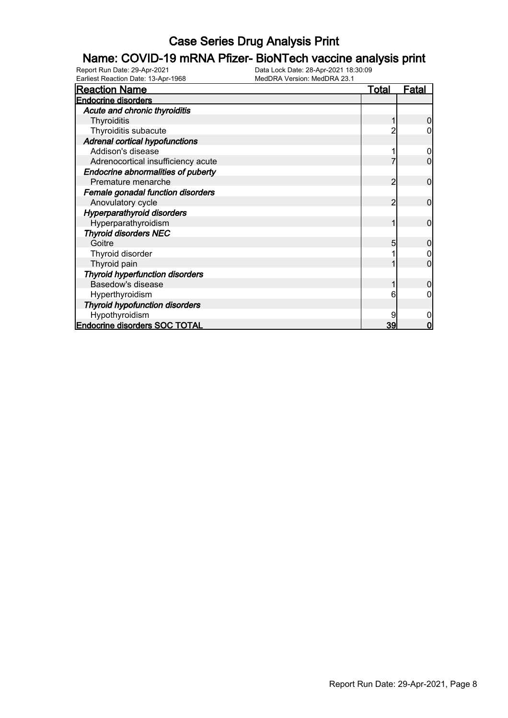# **Name: COVID-19 mRNA Pfizer- BioNTech vaccine analysis print**<br>Report Run Date: 29-Apr-2021<br>Data Lock Date: 28-Apr-2021 18:30:09

Earliest Reaction Date: 13-Apr-1968

| <b>Reaction Name</b>                      | Total | <u>Fatal</u> |
|-------------------------------------------|-------|--------------|
| <b>Endocrine disorders</b>                |       |              |
| Acute and chronic thyroiditis             |       |              |
| Thyroiditis                               |       |              |
| Thyroiditis subacute                      |       |              |
| <b>Adrenal cortical hypofunctions</b>     |       |              |
| Addison's disease                         |       |              |
| Adrenocortical insufficiency acute        |       |              |
| <b>Endocrine abnormalities of puberty</b> |       |              |
| Premature menarche                        | 2     | 0            |
| Female gonadal function disorders         |       |              |
| Anovulatory cycle                         |       | 0            |
| <b>Hyperparathyroid disorders</b>         |       |              |
| Hyperparathyroidism                       |       | 0            |
| <b>Thyroid disorders NEC</b>              |       |              |
| Goitre                                    | 5     | O            |
| Thyroid disorder                          |       |              |
| Thyroid pain                              |       | ი            |
| <b>Thyroid hyperfunction disorders</b>    |       |              |
| Basedow's disease                         |       |              |
| Hyperthyroidism                           | 6     |              |
| <b>Thyroid hypofunction disorders</b>     |       |              |
| Hypothyroidism                            |       |              |
| <b>Endocrine disorders SOC TOTAL</b>      | 39    | n            |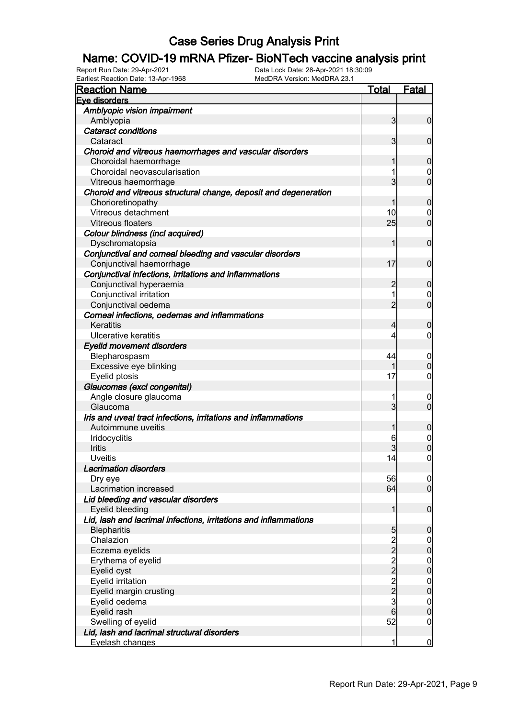# **Name: COVID-19 mRNA Pfizer- BioNTech vaccine analysis print**<br>Report Run Date: 29-Apr-2021<br>Data Lock Date: 28-Apr-2021 18:30:09

Earliest Reaction Date: 13-Apr-1968

| <b>Reaction Name</b>                                             | <b>Total</b>   | Fatal            |
|------------------------------------------------------------------|----------------|------------------|
| Eve disorders                                                    |                |                  |
| Amblyopic vision impairment                                      |                |                  |
| Amblyopia                                                        | $\overline{3}$ | $\overline{0}$   |
| <b>Cataract conditions</b>                                       |                |                  |
| Cataract                                                         | $\overline{3}$ | $\overline{0}$   |
| Choroid and vitreous haemorrhages and vascular disorders         |                |                  |
| Choroidal haemorrhage                                            |                | $\boldsymbol{0}$ |
| Choroidal neovascularisation                                     |                | 0                |
| Vitreous haemorrhage                                             | 3              | $\overline{0}$   |
| Choroid and vitreous structural change, deposit and degeneration |                |                  |
| Chorioretinopathy                                                |                | $\mathbf 0$      |
| Vitreous detachment                                              | 10             | $\mathbf 0$      |
| Vitreous floaters                                                | 25             | $\mathbf 0$      |
| Colour blindness (incl acquired)                                 |                |                  |
| Dyschromatopsia                                                  | 1              | $\mathbf 0$      |
|                                                                  |                |                  |
| Conjunctival and corneal bleeding and vascular disorders         | 17             | $\mathbf 0$      |
| Conjunctival haemorrhage                                         |                |                  |
| Conjunctival infections, irritations and inflammations           |                |                  |
| Conjunctival hyperaemia                                          | $\overline{c}$ | $\mathbf 0$      |
| Conjunctival irritation                                          |                | 0                |
| Conjunctival oedema                                              | $\overline{2}$ | $\overline{0}$   |
| Corneal infections, oedemas and inflammations                    |                |                  |
| Keratitis                                                        | 4              | $\boldsymbol{0}$ |
| Ulcerative keratitis                                             | 4              | $\mathbf 0$      |
| <b>Eyelid movement disorders</b>                                 |                |                  |
| Blepharospasm                                                    | 44             | $\mathbf 0$      |
| Excessive eye blinking                                           |                | $\mathbf 0$      |
| Eyelid ptosis                                                    | 17             | 0                |
| Glaucomas (excl congenital)                                      |                |                  |
| Angle closure glaucoma                                           |                | 0                |
| Glaucoma                                                         | $\overline{3}$ | $\overline{0}$   |
| Iris and uveal tract infections, irritations and inflammations   |                |                  |
| Autoimmune uveitis                                               |                | $\boldsymbol{0}$ |
| Iridocyclitis                                                    | 6              | $\mathbf 0$      |
| Iritis                                                           |                | $\overline{0}$   |
| Uveitis                                                          | 14             | $\overline{0}$   |
| <b>Lacrimation disorders</b>                                     |                |                  |
| Dry eye                                                          | 56             | 0                |
| Lacrimation increased                                            | 64             | $\overline{0}$   |
| Lid bleeding and vascular disorders                              |                |                  |
| Eyelid bleeding                                                  | 1              | $\mathbf 0$      |
| Lid, lash and lacrimal infections, irritations and inflammations |                |                  |
| <b>Blepharitis</b>                                               | 5              | $\mathbf 0$      |
| Chalazion                                                        |                | $\overline{0}$   |
| Eczema eyelids                                                   | $\frac{2}{2}$  | $\pmb{0}$        |
| Erythema of eyelid                                               |                | $\boldsymbol{0}$ |
| Eyelid cyst                                                      | $\frac{2}{2}$  | $\mathbf 0$      |
| Eyelid irritation                                                |                | $\overline{0}$   |
| Eyelid margin crusting                                           | $\frac{2}{2}$  | $\overline{0}$   |
| Eyelid oedema                                                    | 3              | $\mathbf 0$      |
| Eyelid rash                                                      | 6              | $\pmb{0}$        |
| Swelling of eyelid                                               | 52             | $\mathbf 0$      |
| Lid, lash and lacrimal structural disorders                      |                |                  |
| Eyelash changes                                                  | 1              | $\overline{0}$   |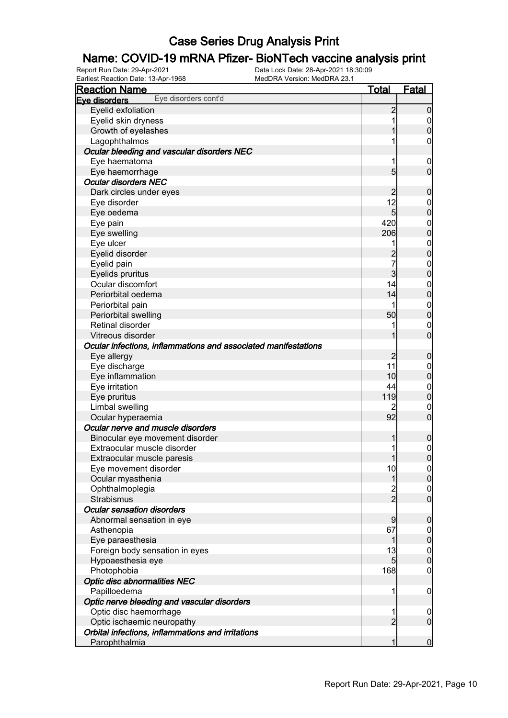# **Name: COVID-19 mRNA Pfizer- BioNTech vaccine analysis print**<br>Report Run Date: 29-Apr-2021<br>Data Lock Date: 28-Apr-2021 18:30:09

Earliest Reaction Date: 13-Apr-1968

| <b>Reaction Name</b>                                           | <b>Total</b>    | <b>Fatal</b>     |
|----------------------------------------------------------------|-----------------|------------------|
| Eye disorders cont'd<br>Eve disorders                          |                 |                  |
| Eyelid exfoliation                                             | $\overline{c}$  | $\boldsymbol{0}$ |
| Eyelid skin dryness                                            | 1               | $\overline{0}$   |
| Growth of eyelashes                                            |                 | $\mathbf 0$      |
| Lagophthalmos                                                  |                 | 0                |
| Ocular bleeding and vascular disorders NEC                     |                 |                  |
| Eye haematoma                                                  | 1               | $\mathbf 0$      |
| Eye haemorrhage                                                | 5               | $\mathbf 0$      |
| <b>Ocular disorders NEC</b>                                    |                 |                  |
| Dark circles under eyes                                        | $\overline{c}$  | $\mathbf 0$      |
| Eye disorder                                                   | 12              | $\mathbf 0$      |
| Eye oedema                                                     | $5\overline{)}$ | $\mathbf 0$      |
| Eye pain                                                       | 420             | $\mathbf 0$      |
| Eye swelling                                                   | 206             | $\mathbf 0$      |
| Eye ulcer                                                      | 1               | $\mathbf 0$      |
| Eyelid disorder                                                | $\overline{c}$  | $\mathbf 0$      |
| Eyelid pain                                                    | 7               | $\mathbf 0$      |
| Eyelids pruritus                                               | $\overline{3}$  | $\mathbf 0$      |
| Ocular discomfort                                              | 14              | $\mathbf 0$      |
| Periorbital oedema                                             | 14              | $\mathbf 0$      |
| Periorbital pain                                               |                 | $\mathbf 0$      |
| Periorbital swelling                                           | 50              | $\pmb{0}$        |
| Retinal disorder                                               |                 | $\mathbf 0$      |
| Vitreous disorder                                              |                 | $\overline{0}$   |
| Ocular infections, inflammations and associated manifestations |                 |                  |
| Eye allergy                                                    | $\overline{2}$  | $\mathbf 0$      |
| Eye discharge                                                  | 11              | $\overline{0}$   |
| Eye inflammation                                               | 10              | $\pmb{0}$        |
| Eye irritation                                                 | 44              | $\mathbf 0$      |
| Eye pruritus                                                   | 119             | $\mathbf 0$      |
| Limbal swelling                                                | 2               | 0                |
| Ocular hyperaemia                                              | 92              | $\mathbf 0$      |
| Ocular nerve and muscle disorders                              |                 |                  |
| Binocular eye movement disorder                                | 1               | $\mathbf 0$      |
| Extraocular muscle disorder                                    |                 | $\mathbf{0}$     |
| Extraocular muscle paresis                                     | 1               | $\overline{0}$   |
| Eye movement disorder                                          | 10              | 0                |
| Ocular myasthenia                                              | 1               | 0                |
| Ophthalmoplegia                                                |                 | $\overline{0}$   |
| <b>Strabismus</b>                                              | $\frac{2}{2}$   | $\overline{0}$   |
| <b>Ocular sensation disorders</b>                              |                 |                  |
| Abnormal sensation in eye                                      | 9               | $\mathbf 0$      |
| Asthenopia                                                     | 67              | $\overline{0}$   |
| Eye paraesthesia                                               | 1               | $\pmb{0}$        |
| Foreign body sensation in eyes                                 | 13              | $\boldsymbol{0}$ |
| Hypoaesthesia eye                                              | $5\overline{)}$ | $\mathbf 0$      |
| Photophobia                                                    | 168             | $\mathbf 0$      |
| <b>Optic disc abnormalities NEC</b>                            |                 |                  |
| Papilloedema                                                   | 1               | $\mathbf 0$      |
| Optic nerve bleeding and vascular disorders                    |                 |                  |
| Optic disc haemorrhage                                         | 1               | $\mathbf 0$      |
| Optic ischaemic neuropathy                                     | $\overline{2}$  | $\mathbf 0$      |
| Orbital infections, inflammations and irritations              |                 |                  |
| Parophthalmia                                                  | 1               | $\overline{0}$   |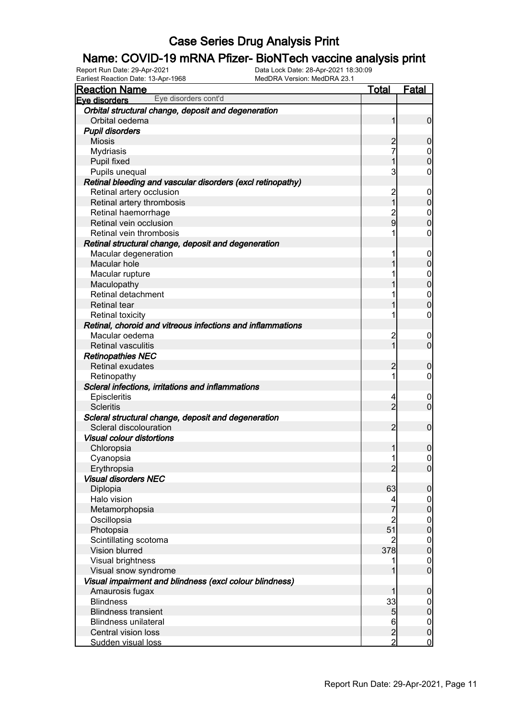# **Name: COVID-19 mRNA Pfizer- BioNTech vaccine analysis print**<br>Report Run Date: 29-Apr-2021<br>Data Lock Date: 28-Apr-2021 18:30:09

Earliest Reaction Date: 13-Apr-1968

| <b>Reaction Name</b>                                       | <u>Total</u>    | <b>Fatal</b>                       |
|------------------------------------------------------------|-----------------|------------------------------------|
| Eye disorders cont'd<br>Eve disorders                      |                 |                                    |
| Orbital structural change, deposit and degeneration        |                 |                                    |
| Orbital oedema                                             | 1               | $\mathbf 0$                        |
| <b>Pupil disorders</b>                                     |                 |                                    |
| <b>Miosis</b>                                              | 2               | 0                                  |
| Mydriasis                                                  | 7               | 0                                  |
| <b>Pupil fixed</b>                                         | 1               | $\overline{0}$                     |
| Pupils unequal                                             | 3               | 0                                  |
| Retinal bleeding and vascular disorders (excl retinopathy) |                 |                                    |
| Retinal artery occlusion                                   | $\overline{c}$  | $\mathbf 0$                        |
| Retinal artery thrombosis                                  | 1               | 0                                  |
| Retinal haemorrhage                                        | $\overline{c}$  | 0                                  |
| Retinal vein occlusion                                     | 9               | 0                                  |
| Retinal vein thrombosis                                    |                 | 0                                  |
| Retinal structural change, deposit and degeneration        |                 |                                    |
| Macular degeneration                                       |                 | $\boldsymbol{0}$                   |
| Macular hole                                               |                 | 0                                  |
| Macular rupture                                            |                 | 0                                  |
| Maculopathy                                                |                 | 0                                  |
| Retinal detachment                                         |                 | $\mathbf{0}$                       |
| <b>Retinal tear</b>                                        |                 | $\overline{0}$                     |
| <b>Retinal toxicity</b>                                    |                 | 0                                  |
| Retinal, choroid and vitreous infections and inflammations |                 |                                    |
| Macular oedema                                             | 2               | $\boldsymbol{0}$                   |
| <b>Retinal vasculitis</b>                                  | 1               | $\mathbf 0$                        |
| <b>Retinopathies NEC</b>                                   |                 |                                    |
| <b>Retinal exudates</b>                                    | 2               | 0                                  |
| Retinopathy                                                | 1               | 0                                  |
| Scleral infections, irritations and inflammations          |                 |                                    |
| Episcleritis                                               | 4               | $\overline{0}$                     |
| <b>Scleritis</b>                                           | $\overline{2}$  | $\mathbf 0$                        |
| Scleral structural change, deposit and degeneration        |                 |                                    |
| Scleral discolouration                                     | $\overline{2}$  | $\mathbf 0$                        |
| <b>Visual colour distortions</b>                           |                 |                                    |
| Chloropsia                                                 |                 | 0                                  |
| Cyanopsia                                                  | 1               | $\boldsymbol{0}$                   |
| Erythropsia                                                | $\overline{2}$  | 0                                  |
| <b>Visual disorders NEC</b>                                |                 |                                    |
| Diplopia                                                   | 63              | $\mathbf 0$                        |
| Halo vision                                                | 4               | $\overline{0}$                     |
| Metamorphopsia                                             | 7               | $\mathbf 0$                        |
| Oscillopsia                                                | $\overline{c}$  | $\boldsymbol{0}$<br>$\overline{0}$ |
| Photopsia                                                  | 51<br>2         |                                    |
| Scintillating scotoma<br><b>Vision blurred</b>             | 378             | $\boldsymbol{0}$<br>$\overline{0}$ |
| Visual brightness                                          |                 |                                    |
| Visual snow syndrome                                       |                 | $\mathbf 0$<br>$\overline{0}$      |
| Visual impairment and blindness (excl colour blindness)    |                 |                                    |
| Amaurosis fugax                                            |                 | $\boldsymbol{0}$                   |
| <b>Blindness</b>                                           | 33              |                                    |
| <b>Blindness transient</b>                                 | $\overline{5}$  | $\mathbf 0$<br>$\mathbf 0$         |
| <b>Blindness unilateral</b>                                | $6\phantom{.}6$ | $\mathbf 0$                        |
| Central vision loss                                        | $\overline{c}$  | $\mathbf 0$                        |
| Sudden visual loss                                         | $\overline{2}$  | $\mathbf 0$                        |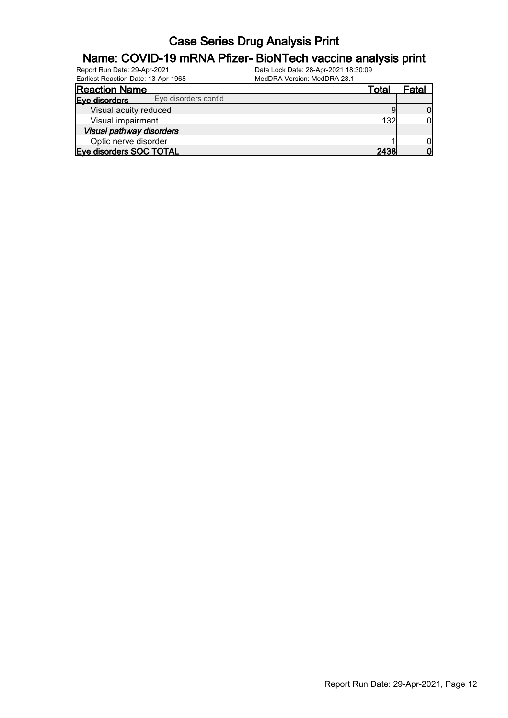#### Name: COVID-19 mRNA Pfizer- BioNTech vaccine analysis print

| Report Run Date: 29-Apr-2021        | Data Lock Date: 28-Apr-2021 18:30:09 |
|-------------------------------------|--------------------------------------|
| Earliest Reaction Date: 13-Apr-1968 | MedDRA Version: MedDRA 23.1          |

| Earliest Reaction Date: 13-Apr-1968   | MedDRA Version: MedDRA 23.1 |             |       |
|---------------------------------------|-----------------------------|-------------|-------|
| <b>Reaction Name</b>                  |                             | Total       | Fatal |
| Eye disorders cont'd<br>Eve disorders |                             |             |       |
| Visual acuity reduced                 |                             |             |       |
| Visual impairment                     |                             | 132         |       |
| Visual pathway disorders              |                             |             |       |
| Optic nerve disorder                  |                             |             |       |
| Eye disorders SOC TOTAL               |                             | <b>2438</b> |       |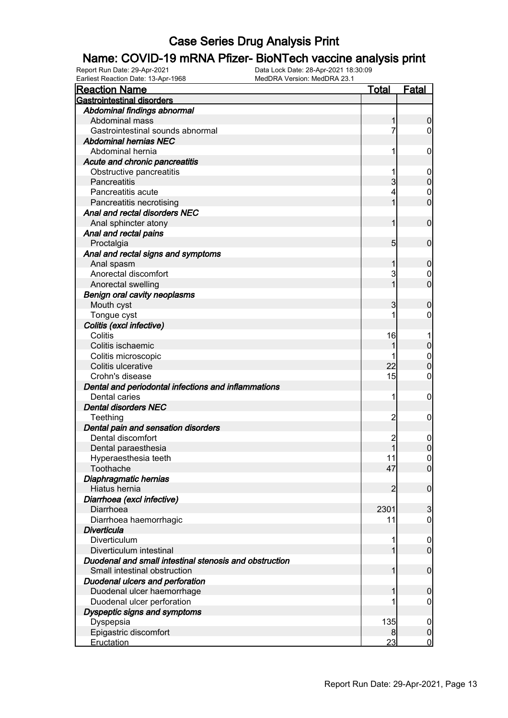#### Name: COVID-19 mRNA Pfizer- BioNTech vaccine analysis print

Report Run Date: 29-Apr-2021 Data Lock Date: 28-Apr-2021 18:30:09

| Earliest Reaction Date: 13-Apr-1968                    | MedDRA Version: MedDRA 23.1 |                 |                                  |
|--------------------------------------------------------|-----------------------------|-----------------|----------------------------------|
| <b>Reaction Name</b>                                   |                             | <u>Total</u>    | <b>Fatal</b>                     |
| <b>Gastrointestinal disorders</b>                      |                             |                 |                                  |
| Abdominal findings abnormal                            |                             |                 |                                  |
| Abdominal mass                                         |                             | 1               | $\boldsymbol{0}$                 |
| Gastrointestinal sounds abnormal                       |                             | 7               | $\overline{0}$                   |
| <b>Abdominal hernias NEC</b>                           |                             |                 |                                  |
| Abdominal hernia                                       |                             | 1               | $\mathbf 0$                      |
| Acute and chronic pancreatitis                         |                             |                 |                                  |
| Obstructive pancreatitis                               |                             | 1               | $\mathbf 0$                      |
| Pancreatitis                                           |                             | $\overline{3}$  | $\pmb{0}$                        |
| Pancreatitis acute                                     |                             | 4               | $\boldsymbol{0}$                 |
| Pancreatitis necrotising                               |                             | 1               | $\mathbf 0$                      |
| Anal and rectal disorders NEC                          |                             |                 |                                  |
| Anal sphincter atony                                   |                             | $\mathbf{1}$    | $\boldsymbol{0}$                 |
| Anal and rectal pains                                  |                             |                 |                                  |
| Proctalgia                                             |                             | $5\overline{)}$ | $\boldsymbol{0}$                 |
| Anal and rectal signs and symptoms                     |                             |                 |                                  |
| Anal spasm                                             |                             | 1               | $\mathbf 0$                      |
| Anorectal discomfort                                   |                             | 3               | $\mathbf 0$                      |
| Anorectal swelling                                     |                             | $\overline{1}$  | $\boldsymbol{0}$                 |
| <b>Benign oral cavity neoplasms</b>                    |                             |                 |                                  |
| Mouth cyst                                             |                             | 3               | $\mathbf 0$                      |
| Tongue cyst                                            |                             |                 | $\mathbf 0$                      |
| Colitis (excl infective)                               |                             |                 |                                  |
| Colitis                                                |                             | 16              | 1                                |
| Colitis ischaemic                                      |                             | 1               | $\pmb{0}$                        |
| Colitis microscopic                                    |                             | 1               | $\boldsymbol{0}$                 |
| Colitis ulcerative                                     |                             | 22              | $\mathbf 0$                      |
| Crohn's disease                                        |                             | 15              | $\mathbf 0$                      |
| Dental and periodontal infections and inflammations    |                             |                 |                                  |
| Dental caries                                          |                             | 1               | $\mathbf 0$                      |
| <b>Dental disorders NEC</b>                            |                             |                 |                                  |
| Teething                                               |                             | $\overline{c}$  | $\mathbf 0$                      |
| Dental pain and sensation disorders                    |                             |                 |                                  |
| Dental discomfort                                      |                             | 2               | $\mathbf 0$                      |
| Dental paraesthesia                                    |                             | $\mathbf{1}$    | $\mathbf 0$                      |
| Hyperaesthesia teeth                                   |                             | 11              | $\overline{0}$                   |
| Toothache                                              |                             | 47              | 0                                |
| Diaphragmatic hernias                                  |                             |                 |                                  |
| Hiatus hernia                                          |                             | 2               | $\overline{0}$                   |
| Diarrhoea (excl infective)                             |                             |                 |                                  |
| Diarrhoea                                              |                             | 2301            | 3                                |
| Diarrhoea haemorrhagic                                 |                             | 11              | $\overline{0}$                   |
| <b>Diverticula</b>                                     |                             |                 |                                  |
| Diverticulum                                           |                             | 1               | $\overline{0}$                   |
| Diverticulum intestinal                                |                             | $\mathbf{1}$    | $\overline{0}$                   |
| Duodenal and small intestinal stenosis and obstruction |                             |                 |                                  |
| Small intestinal obstruction                           |                             | $\mathbf{1}$    | $\boldsymbol{0}$                 |
| <b>Duodenal ulcers and perforation</b>                 |                             |                 |                                  |
| Duodenal ulcer haemorrhage                             |                             | 1               | $\mathbf 0$                      |
| Duodenal ulcer perforation                             |                             | 1               | $\overline{0}$                   |
|                                                        |                             |                 |                                  |
| Dyspeptic signs and symptoms                           |                             | 135             |                                  |
| Dyspepsia<br>Epigastric discomfort                     |                             | 8               | $\overline{0}$<br>$\overline{0}$ |
| Eructation                                             |                             | 23              | <u>0</u>                         |
|                                                        |                             |                 |                                  |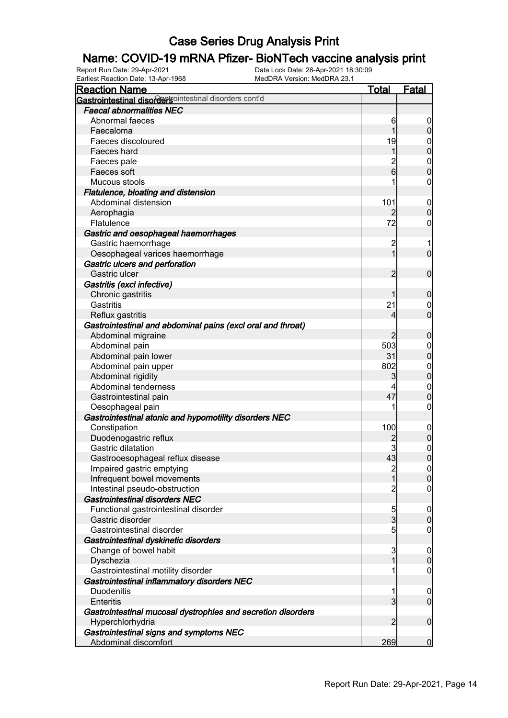# **Name: COVID-19 mRNA Pfizer- BioNTech vaccine analysis print**<br>Report Run Date: 29-Apr-2021<br>Data Lock Date: 28-Apr-2021 18:30:09

Earliest Reaction Date: 13-Apr-1968

| <b>Reaction Name</b>                                         | <b>Total</b>   | <b>Fatal</b>     |
|--------------------------------------------------------------|----------------|------------------|
| Gastrointestinal disordersointestinal disorders cont'd       |                |                  |
| <b>Faecal abnormalities NEC</b>                              |                |                  |
| Abnormal faeces                                              | 6              | 0                |
| Faecaloma                                                    | 1              | $\boldsymbol{0}$ |
| Faeces discoloured                                           | 19             | 0                |
| Faeces hard                                                  | 1              | $\overline{0}$   |
| Faeces pale                                                  |                | $\mathbf 0$      |
| Faeces soft                                                  | $\frac{2}{6}$  | $\mathbf 0$      |
| Mucous stools                                                |                | 0                |
| Flatulence, bloating and distension                          |                |                  |
| Abdominal distension                                         | 101            | $\mathbf 0$      |
| Aerophagia                                                   | 2              | $\boldsymbol{0}$ |
| Flatulence                                                   | 72             | 0                |
| Gastric and oesophageal haemorrhages                         |                |                  |
| Gastric haemorrhage                                          | $\overline{c}$ |                  |
| Oesophageal varices haemorrhage                              | 1              | $\mathbf 0$      |
| Gastric ulcers and perforation                               |                |                  |
| Gastric ulcer                                                | $\overline{2}$ | $\mathbf 0$      |
| Gastritis (excl infective)                                   |                |                  |
| Chronic gastritis                                            |                | $\mathbf 0$      |
| Gastritis                                                    | 21             | 0                |
| Reflux gastritis                                             | 4              | $\mathbf 0$      |
| Gastrointestinal and abdominal pains (excl oral and throat)  |                |                  |
| Abdominal migraine                                           | $\overline{2}$ | $\mathbf 0$      |
| Abdominal pain                                               | 503            | $\mathbf 0$      |
| Abdominal pain lower                                         | 31             | $\mathbf 0$      |
| Abdominal pain upper                                         | 802            | $\mathbf{0}$     |
| Abdominal rigidity                                           | 3              | $\pmb{0}$        |
| Abdominal tenderness                                         |                | $\mathbf 0$      |
| Gastrointestinal pain                                        | 47             | $\mathbf 0$      |
| Oesophageal pain                                             |                | 0                |
| Gastrointestinal atonic and hypomotility disorders NEC       |                |                  |
| Constipation                                                 | 100            | $\mathbf 0$      |
| Duodenogastric reflux                                        |                | $\pmb{0}$        |
| Gastric dilatation                                           |                | $\mathbf{0}$     |
| Gastrooesophageal reflux disease                             | 43             | $\overline{0}$   |
| Impaired gastric emptying                                    | $\frac{2}{1}$  | 0                |
| Infrequent bowel movements                                   |                | $\mathbf 0$      |
| Intestinal pseudo-obstruction                                | $\overline{c}$ | $\mathbf 0$      |
| <b>Gastrointestinal disorders NEC</b>                        |                |                  |
| Functional gastrointestinal disorder                         | 5              | $\overline{0}$   |
| Gastric disorder                                             | $\overline{3}$ | $\mathbf 0$      |
| Gastrointestinal disorder                                    | 5              | $\mathbf 0$      |
| Gastrointestinal dyskinetic disorders                        |                |                  |
| Change of bowel habit                                        | 3              | $\mathbf 0$      |
| Dyschezia                                                    | 1              | $\mathbf 0$      |
| Gastrointestinal motility disorder                           | 1              | $\mathbf 0$      |
| Gastrointestinal inflammatory disorders NEC                  |                |                  |
| <b>Duodenitis</b>                                            | 1              | $\overline{0}$   |
| <b>Enteritis</b>                                             | $\mathbf{3}$   | $\mathbf 0$      |
| Gastrointestinal mucosal dystrophies and secretion disorders |                |                  |
| Hyperchlorhydria                                             | $\overline{2}$ | $\boldsymbol{0}$ |
| Gastrointestinal signs and symptoms NEC                      |                |                  |
| Abdominal discomfort                                         | 269            | $\overline{0}$   |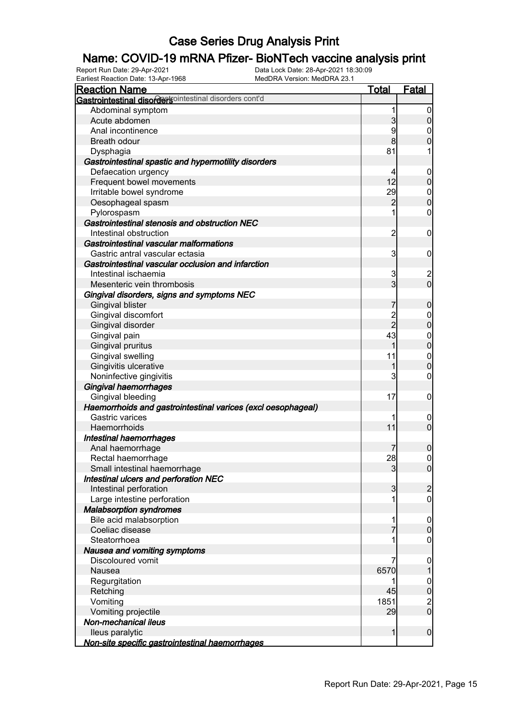#### Name: COVID-19 mRNA Pfizer- BioNTech vaccine analysis print

Report Run Date: 29-Apr-2021 Data Lock Date: 28-Apr-2021 18:30:09

| Earliest Reaction Date: 13-Apr-1968<br>MedDRA Version: MedDRA 23.1 |                |                                       |
|--------------------------------------------------------------------|----------------|---------------------------------------|
| <u>Reaction Name</u>                                               | <u>Total</u>   | <b>Fatal</b>                          |
| Gastrointestinal disordersointestinal disorders cont'd             |                |                                       |
| Abdominal symptom                                                  | 1              | $\overline{0}$                        |
| Acute abdomen                                                      | 3              | $\pmb{0}$                             |
| Anal incontinence                                                  | 9              | $\boldsymbol{0}$                      |
| <b>Breath odour</b>                                                | 8              | $\overline{0}$                        |
| Dysphagia                                                          | 81             | 1                                     |
| Gastrointestinal spastic and hypermotility disorders               |                |                                       |
| Defaecation urgency                                                | 4              | $\mathbf 0$                           |
| Frequent bowel movements                                           | 12             | $\pmb{0}$                             |
| Irritable bowel syndrome                                           | 29             | $\boldsymbol{0}$                      |
| Oesophageal spasm                                                  | $\overline{c}$ | $\mathbf 0$                           |
| Pylorospasm                                                        | 1              | $\boldsymbol{0}$                      |
| Gastrointestinal stenosis and obstruction NEC                      |                |                                       |
| Intestinal obstruction                                             | $\overline{c}$ | $\boldsymbol{0}$                      |
| Gastrointestinal vascular malformations                            |                |                                       |
| Gastric antral vascular ectasia                                    | 3              | $\mathbf 0$                           |
| Gastrointestinal vascular occlusion and infarction                 |                |                                       |
| Intestinal ischaemia                                               | 3              |                                       |
| Mesenteric vein thrombosis                                         | $\overline{3}$ | $\begin{array}{c} 2 \\ 0 \end{array}$ |
| Gingival disorders, signs and symptoms NEC                         |                |                                       |
| <b>Gingival blister</b>                                            | 7              | $\mathbf 0$                           |
| Gingival discomfort                                                |                | $\boldsymbol{0}$                      |
| Gingival disorder                                                  | 2<br>2         | $\mathbf 0$                           |
| Gingival pain                                                      | 43             | $\boldsymbol{0}$                      |
| Gingival pruritus                                                  | 1              | $\mathbf 0$                           |
| Gingival swelling                                                  | 11             | $\boldsymbol{0}$                      |
| Gingivitis ulcerative                                              | 1              | $\overline{0}$                        |
| Noninfective gingivitis                                            | 3              | $\mathsf{O}\xspace$                   |
| <b>Gingival haemorrhages</b>                                       |                |                                       |
| Gingival bleeding                                                  | 17             | $\mathbf 0$                           |
| Haemorrhoids and gastrointestinal varices (excl oesophageal)       |                |                                       |
| Gastric varices                                                    | 1              |                                       |
| Haemorrhoids                                                       | 11             | $\mathbf 0$<br>$\boldsymbol{0}$       |
|                                                                    |                |                                       |
| Intestinal haemorrhages                                            |                |                                       |
| Anal haemorrhage                                                   | 7              | $\pmb{0}$<br>$\overline{0}$           |
| Rectal haemorrhage                                                 | 28             | $\overline{0}$                        |
| Small intestinal haemorrhage                                       | 3              |                                       |
| Intestinal ulcers and perforation NEC                              |                |                                       |
| Intestinal perforation                                             | 3              | $\overline{c}$                        |
| Large intestine perforation                                        | 1              | $\overline{0}$                        |
| <b>Malabsorption syndromes</b>                                     |                |                                       |
| Bile acid malabsorption                                            | 1              | $\mathbf 0$                           |
| Coeliac disease                                                    |                | $\mathbf 0$                           |
| Steatorrhoea                                                       | 1              | $\overline{0}$                        |
| Nausea and vomiting symptoms                                       |                |                                       |
| <b>Discoloured vomit</b>                                           |                | 0                                     |
| Nausea                                                             | 6570           |                                       |
| Regurgitation                                                      |                | $\mathbf 0$                           |
| Retching                                                           | 45             | $\mathbf 0$                           |
| Vomiting                                                           | 1851           | $\frac{2}{0}$                         |
| Vomiting projectile                                                | 29             |                                       |
| Non-mechanical ileus                                               |                |                                       |
| lleus paralytic                                                    | 1              | $\boldsymbol{0}$                      |
| Non-site specific gastrointestinal haemorrhages                    |                |                                       |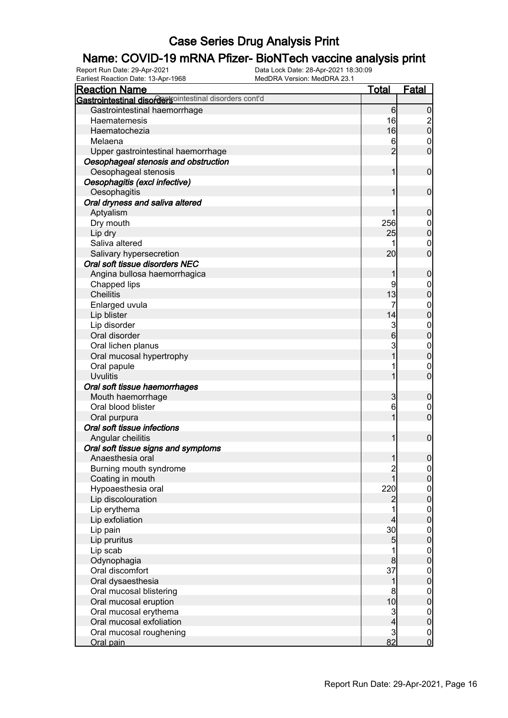# **Name: COVID-19 mRNA Pfizer- BioNTech vaccine analysis print**<br>Report Run Date: 29-Apr-2021<br>Data Lock Date: 28-Apr-2021 18:30:09

Report Run Date: 29-Apr-2021 Data Lock Date: 28-Apr-2021 18:30:09 Earliest Reaction Date: 13-Apr-1968 MedDRA Version: MedDRA 23.1

| <b>Reaction Name</b>                                    | Total                | <b>Fatal</b>                |
|---------------------------------------------------------|----------------------|-----------------------------|
| Gastrointestinal disordertsointestinal disorders cont'd |                      |                             |
| Gastrointestinal haemorrhage                            | 6                    | $\mathbf 0$                 |
| Haematemesis                                            | 16                   |                             |
| Haematochezia                                           | 16                   | $\frac{2}{0}$               |
| Melaena                                                 | 6                    | $\mathbf 0$                 |
| Upper gastrointestinal haemorrhage                      | $\overline{2}$       | $\overline{0}$              |
| Oesophageal stenosis and obstruction                    |                      |                             |
| Oesophageal stenosis                                    | 1                    | $\mathbf 0$                 |
| Oesophagitis (excl infective)                           |                      |                             |
| Oesophagitis                                            |                      | $\mathbf 0$                 |
| Oral dryness and saliva altered                         |                      |                             |
| Aptyalism                                               |                      | $\mathbf 0$                 |
| Dry mouth                                               | 256                  | $\mathbf 0$                 |
| Lip dry                                                 | 25                   | $\mathbf 0$                 |
| Saliva altered                                          |                      | $\boldsymbol{0}$            |
| Salivary hypersecretion                                 | 20                   | $\mathbf 0$                 |
| Oral soft tissue disorders NEC                          |                      |                             |
| Angina bullosa haemorrhagica                            | 1                    | $\mathbf 0$                 |
| Chapped lips                                            | 9                    | 0                           |
| <b>Cheilitis</b>                                        | 13                   | $\mathbf 0$                 |
| Enlarged uvula                                          | 7                    | $\mathbf 0$                 |
| Lip blister                                             | 14                   | $\mathbf 0$                 |
| Lip disorder                                            |                      |                             |
| Oral disorder                                           | 3<br>$6\overline{6}$ | $\mathbf{0}$<br>$\mathbf 0$ |
|                                                         | 3                    |                             |
| Oral lichen planus                                      |                      | $\mathbf{0}$<br>$\mathbf 0$ |
| Oral mucosal hypertrophy                                |                      |                             |
| Oral papule                                             |                      | $\mathbf 0$<br>$\mathbf 0$  |
| <b>Uvulitis</b>                                         |                      |                             |
| Oral soft tissue haemorrhages                           |                      |                             |
| Mouth haemorrhage                                       | 3                    | $\mathbf 0$                 |
| Oral blood blister                                      | 6                    | 0                           |
| Oral purpura                                            | 1                    | $\mathbf 0$                 |
| Oral soft tissue infections                             |                      |                             |
| Angular cheilitis                                       | 1                    | $\boldsymbol{0}$            |
| Oral soft tissue signs and symptoms                     |                      |                             |
| Anaesthesia oral                                        | $\mathbf{1}$         | $\boldsymbol{0}$            |
| Burning mouth syndrome                                  | $\frac{2}{1}$        | $\overline{0}$              |
| Coating in mouth                                        |                      | $\overline{0}$              |
| Hypoaesthesia oral                                      | 220                  | $0\atop 0$                  |
| Lip discolouration                                      | $\overline{c}$       |                             |
| Lip erythema                                            |                      | $\boldsymbol{0}$            |
| Lip exfoliation                                         | 4                    | $\overline{0}$              |
| Lip pain                                                | 30 <sup>2</sup>      | $\boldsymbol{0}$            |
| Lip pruritus                                            | 5                    | $\overline{0}$              |
| Lip scab                                                |                      | $\boldsymbol{0}$            |
| Odynophagia                                             | 8                    | $\overline{0}$              |
| Oral discomfort                                         | 37                   | $\boldsymbol{0}$            |
| Oral dysaesthesia                                       | 1                    | $\overline{0}$              |
| Oral mucosal blistering                                 | 8                    | $\boldsymbol{0}$            |
| Oral mucosal eruption                                   | 10                   | $\overline{0}$              |
| Oral mucosal erythema                                   | $\mathbf{3}$         | $\boldsymbol{0}$            |
| Oral mucosal exfoliation                                | $\overline{4}$       | $\boldsymbol{0}$            |
| Oral mucosal roughening                                 | $\overline{3}$       | $\overline{0}$              |
| Oral pain                                               | 82                   | $\mathbf 0$                 |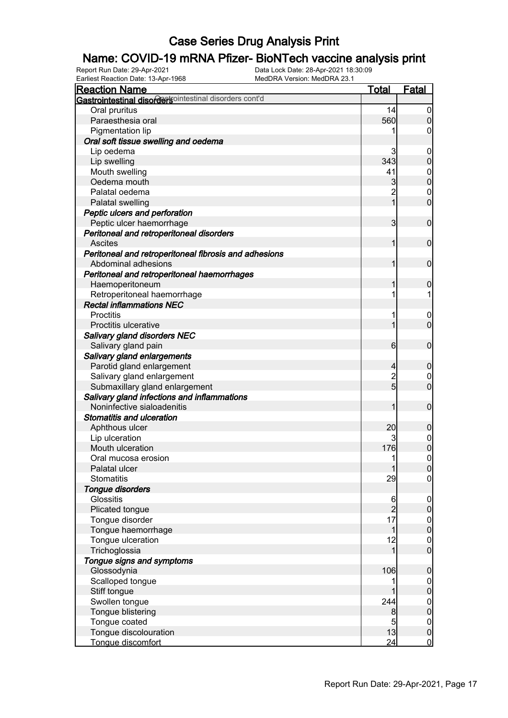# **Name: COVID-19 mRNA Pfizer- BioNTech vaccine analysis print**<br>Report Run Date: 29-Apr-2021<br>Data Lock Date: 28-Apr-2021 18:30:09

Earliest Reaction Date: 13-Apr-1968

| Lamost Readuoir Dato: 10-Apr-1000<br><b>Reaction Name</b>                    | <b>Total</b>   | <b>Fatal</b>     |
|------------------------------------------------------------------------------|----------------|------------------|
| Gastrointestinal disordersointestinal disorders cont'd                       |                |                  |
| Oral pruritus                                                                | 14             | $\boldsymbol{0}$ |
| Paraesthesia oral                                                            | 560            | $\mathbf 0$      |
| Pigmentation lip                                                             |                | 0                |
| Oral soft tissue swelling and oedema                                         |                |                  |
| Lip oedema                                                                   | 3              | $\mathbf 0$      |
| Lip swelling                                                                 | 343            | $\overline{0}$   |
| Mouth swelling                                                               | 41             | $\mathbf 0$      |
| Oedema mouth                                                                 | 3              | $\mathbf 0$      |
| Palatal oedema                                                               | $\overline{c}$ | $\mathbf 0$      |
| <b>Palatal swelling</b>                                                      | 1              | $\mathbf 0$      |
| Peptic ulcers and perforation                                                |                |                  |
| Peptic ulcer haemorrhage                                                     | 3              | $\mathbf 0$      |
| Peritoneal and retroperitoneal disorders                                     |                |                  |
| <b>Ascites</b>                                                               |                | $\mathbf 0$      |
|                                                                              |                |                  |
| Peritoneal and retroperitoneal fibrosis and adhesions<br>Abdominal adhesions |                | $\mathbf 0$      |
|                                                                              |                |                  |
| Peritoneal and retroperitoneal haemorrhages                                  |                |                  |
| Haemoperitoneum                                                              |                | $\mathbf 0$      |
| Retroperitoneal haemorrhage                                                  |                |                  |
| <b>Rectal inflammations NEC</b>                                              |                |                  |
| Proctitis                                                                    |                | $\boldsymbol{0}$ |
| Proctitis ulcerative                                                         |                | $\mathbf 0$      |
| <b>Salivary gland disorders NEC</b>                                          |                |                  |
| Salivary gland pain                                                          | 6              | $\mathbf 0$      |
| Salivary gland enlargements                                                  |                |                  |
| Parotid gland enlargement                                                    | 4              | $\mathbf 0$      |
| Salivary gland enlargement                                                   | $\overline{c}$ | $\mathbf 0$      |
| Submaxillary gland enlargement                                               | 5              | $\mathbf 0$      |
| Salivary gland infections and inflammations                                  |                |                  |
| Noninfective sialoadenitis                                                   |                | $\mathbf 0$      |
| <b>Stomatitis and ulceration</b>                                             |                |                  |
| Aphthous ulcer                                                               | 20             | $\mathbf 0$      |
| Lip ulceration                                                               |                | $\mathbf 0$      |
| Mouth ulceration                                                             | 176            | $\overline{0}$   |
| Oral mucosa erosion                                                          | 1              | $\overline{0}$   |
| Palatal ulcer                                                                |                | 0                |
| <b>Stomatitis</b>                                                            | 29             | 0                |
| Tongue disorders                                                             |                |                  |
| Glossitis                                                                    | 6              | $\overline{0}$   |
| Plicated tongue                                                              | $\overline{c}$ | $\mathbf 0$      |
| Tongue disorder                                                              | 17             | $\mathbf 0$      |
| Tongue haemorrhage                                                           | 1              | $\overline{0}$   |
| Tongue ulceration                                                            | 12             | $\boldsymbol{0}$ |
| Trichoglossia                                                                | 1              | $\overline{0}$   |
| Tongue signs and symptoms                                                    |                |                  |
| Glossodynia                                                                  | 106            | $\boldsymbol{0}$ |
| Scalloped tongue                                                             |                | $\overline{0}$   |
| Stiff tongue                                                                 |                | $\mathbf 0$      |
| Swollen tongue                                                               | 244            | $\boldsymbol{0}$ |
| Tongue blistering                                                            | 8              | $\overline{0}$   |
| Tongue coated                                                                | 5              | $\boldsymbol{0}$ |
| Tongue discolouration                                                        | 13             | $\mathbf 0$      |
| Tongue discomfort                                                            | 24             | $\overline{0}$   |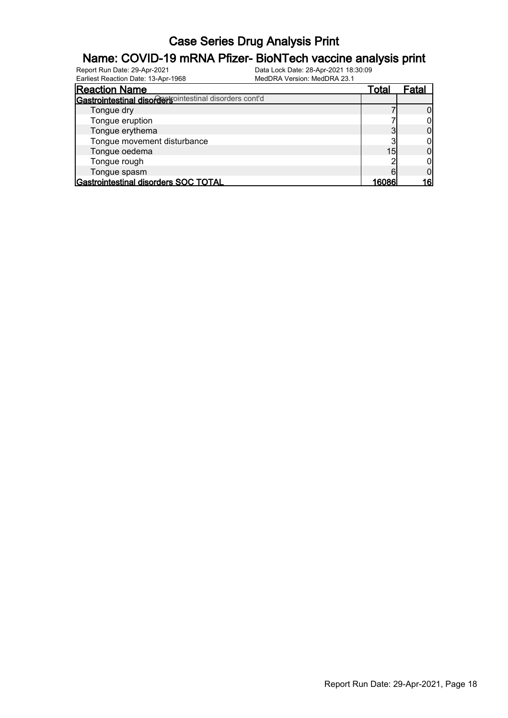# **Name: COVID-19 mRNA Pfizer- BioNTech vaccine analysis print**<br>Report Run Date: 29-Apr-2021<br>Data Lock Date: 28-Apr-2021 18:30:09

Earliest Reaction Date: 13-Apr-1968

| Lamour Roadworr Dato: To Tipi Tooo                     |       |       |
|--------------------------------------------------------|-------|-------|
| <b>Reaction Name</b>                                   | Total | Fatal |
| Gastrointestinal disordersointestinal disorders cont'd |       |       |
| Tongue dry                                             |       |       |
| Tongue eruption                                        |       |       |
| Tongue erythema                                        |       |       |
| Tongue movement disturbance                            |       |       |
| Tongue oedema                                          | 15    |       |
| Tongue rough                                           |       |       |
| Tongue spasm                                           |       |       |
| Gastrointestinal disorders SOC TOTAL                   | 16086 | 16    |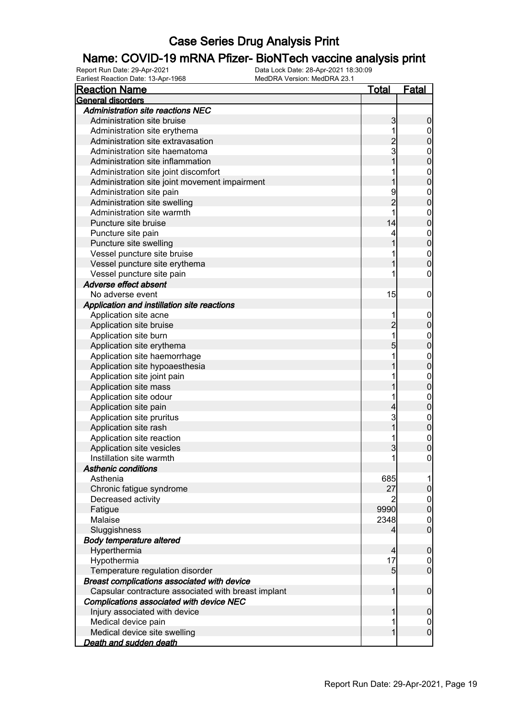#### Name: COVID-19 mRNA Pfizer- BioNTech vaccine analysis print

Report Run Date: 29-Apr-2021 Data Lock Date: 28-Apr-2021 18:30:09 Earliest Reaction Date: 13-Apr-1968 MedDRA Version: MedDRA 23.1

| <b>Reaction Name</b>                                | <u>Total</u>   | <b>Fatal</b>                       |
|-----------------------------------------------------|----------------|------------------------------------|
| General disorders                                   |                |                                    |
| <b>Administration site reactions NEC</b>            |                |                                    |
| Administration site bruise                          | 3              | $\boldsymbol{0}$                   |
| Administration site erythema                        | 1              | $\overline{0}$                     |
| Administration site extravasation                   | $\overline{c}$ | $\mathbf 0$                        |
| Administration site haematoma                       | $_3^-$         | $\mathbf{0}$                       |
| Administration site inflammation                    | 1              | $\overline{0}$                     |
| Administration site joint discomfort                | 1              | $\mathbf{0}$                       |
| Administration site joint movement impairment       | 1              | $\overline{0}$                     |
| Administration site pain                            | 9              | $\mathbf{0}$                       |
| Administration site swelling                        | $\overline{2}$ | $\overline{0}$                     |
| Administration site warmth                          |                | $\mathbf{0}$                       |
| Puncture site bruise                                | 14             | $\overline{0}$                     |
| Puncture site pain                                  | 4              |                                    |
| Puncture site swelling                              | 1              | $0\atop 0$                         |
| Vessel puncture site bruise                         | 1              |                                    |
| Vessel puncture site erythema                       | 1              | $\begin{matrix}0\\0\end{matrix}$   |
| Vessel puncture site pain                           | 1              | 0                                  |
| Adverse effect absent                               |                |                                    |
| No adverse event                                    | 15             | $\boldsymbol{0}$                   |
| Application and instillation site reactions         |                |                                    |
| Application site acne                               | 1              | $\mathbf 0$                        |
| Application site bruise                             | $\overline{c}$ | $\mathbf 0$                        |
| Application site burn                               | 1              | $\mathbf{0}$                       |
| Application site erythema                           | 5              | $\overline{0}$                     |
| Application site haemorrhage                        | 1              | $\mathbf{0}$                       |
| Application site hypoaesthesia                      |                | $\overline{0}$                     |
| Application site joint pain                         | 1              | $\mathbf{0}$                       |
| Application site mass                               |                | $\overline{0}$                     |
| Application site odour                              | 1              | $\mathbf{0}$                       |
| Application site pain                               | 4              | $\mathbf 0$                        |
| Application site pruritus                           | $\mathbf{3}$   |                                    |
| Application site rash                               | $\overline{1}$ | $0\atop 0$                         |
| Application site reaction                           | 1              |                                    |
| Application site vesicles                           | 3              | $\mathbf{0}$<br>$\overline{0}$     |
| Instillation site warmth                            | 1              | $\mathbf 0$                        |
| <b>Asthenic conditions</b>                          |                |                                    |
| Asthenia                                            | 685            |                                    |
| Chronic fatigue syndrome                            | 27             | 1<br>$\mathsf{O}\xspace$           |
|                                                     |                |                                    |
| Decreased activity                                  |                | $\boldsymbol{0}$<br>$\overline{0}$ |
| Fatigue<br>Malaise                                  | 9990           |                                    |
|                                                     | 2348           | $\mathbf{0}$<br>$\overline{0}$     |
| Sluggishness                                        | 4              |                                    |
| <b>Body temperature altered</b>                     |                |                                    |
| Hyperthermia                                        | 4              | $\mathbf 0$                        |
| Hypothermia                                         | 17             | $\mathbf 0$                        |
| Temperature regulation disorder                     | 5              | $\overline{0}$                     |
| Breast complications associated with device         |                |                                    |
| Capsular contracture associated with breast implant | 1              | $\boldsymbol{0}$                   |
| Complications associated with device NEC            |                |                                    |
| Injury associated with device                       | 1              | $\mathbf 0$                        |
| Medical device pain                                 | 1              | $\mathbf 0$                        |
| Medical device site swelling                        | $\mathbf{1}$   | $\mathbf 0$                        |
| <u>Death and sudden death</u>                       |                |                                    |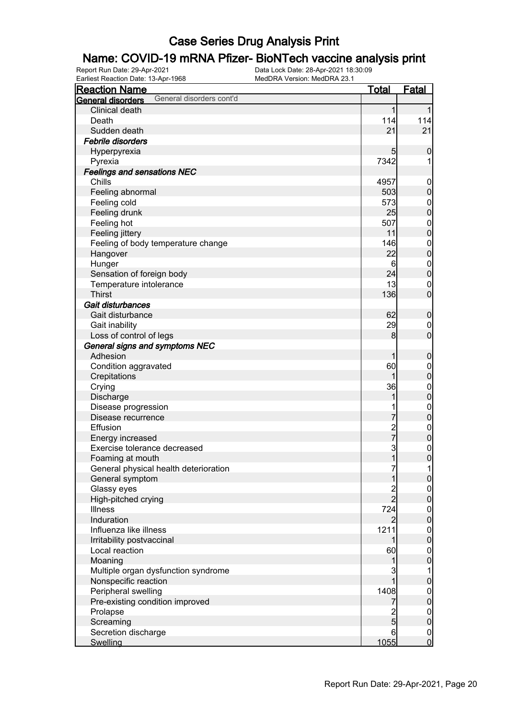# **Name: COVID-19 mRNA Pfizer- BioNTech vaccine analysis print**<br>Report Run Date: 29-Apr-2021<br>Data Lock Date: 28-Apr-2021 18:30:09

Earliest Reaction Date: 13-Apr-1968

| <b>Reaction Name</b>                          | <u>Total</u>   | <b>Fatal</b>                         |
|-----------------------------------------------|----------------|--------------------------------------|
| General disorders cont'd<br>General disorders |                |                                      |
| Clinical death                                | $\mathbf{1}$   |                                      |
| Death                                         | 114            | 114                                  |
| Sudden death                                  | 21             | 21                                   |
| Febrile disorders                             |                |                                      |
| Hyperpyrexia                                  | 5              | 0                                    |
| Pyrexia                                       | 7342           | 1                                    |
| <b>Feelings and sensations NEC</b>            |                |                                      |
| Chills                                        | 4957           | $\mathbf 0$                          |
| Feeling abnormal                              | 503            | $\pmb{0}$                            |
| Feeling cold                                  | 573            | $\boldsymbol{0}$                     |
| Feeling drunk                                 | 25             | $\mathbf 0$                          |
| Feeling hot                                   | 507            | $\boldsymbol{0}$                     |
| Feeling jittery                               | 11             | $\mathbf 0$                          |
| Feeling of body temperature change            | 146            | $\boldsymbol{0}$                     |
| Hangover                                      | 22             | $\mathbf 0$                          |
| Hunger                                        | 6              | $\boldsymbol{0}$                     |
| Sensation of foreign body                     | 24             | $\mathbf 0$                          |
| Temperature intolerance                       | 13             | $\mathbf 0$                          |
| <b>Thirst</b>                                 | 136            | $\overline{0}$                       |
| Gait disturbances                             |                |                                      |
| Gait disturbance                              | 62             | $\boldsymbol{0}$                     |
| Gait inability                                | 29             | $\boldsymbol{0}$                     |
| Loss of control of legs                       | 8              | $\overline{0}$                       |
| General signs and symptoms NEC                |                |                                      |
| Adhesion                                      | 1              | $\boldsymbol{0}$                     |
| Condition aggravated                          | 60             | $\boldsymbol{0}$                     |
| Crepitations                                  | 1              | $\mathbf 0$                          |
| Crying                                        | 36             | $\boldsymbol{0}$                     |
| Discharge                                     | 1              | $\mathbf 0$                          |
| Disease progression                           |                | $\mathbf{0}$                         |
| Disease recurrence                            | 7              | $\mathbf 0$                          |
| Effusion                                      | 2<br>7         | $\boldsymbol{0}$                     |
| Energy increased                              |                | $\mathbf 0$                          |
| Exercise tolerance decreased                  | 3              | $\begin{matrix} 0 \\ 0 \end{matrix}$ |
| Foaming at mouth                              | $\mathbf{1}$   |                                      |
| General physical health deterioration         | 7              | $\mathbf{1}$                         |
| General symptom                               | 1              | $\mathbf 0$                          |
| Glassy eyes                                   | $\frac{2}{2}$  | $\overline{0}$                       |
| High-pitched crying                           |                | $\mathbf 0$                          |
| Illness                                       | 724            | $\boldsymbol{0}$                     |
| Induration                                    | $\overline{2}$ | $\mathbf 0$                          |
| Influenza like illness                        | 1211           | $\boldsymbol{0}$                     |
| Irritability postvaccinal                     | 1              | $\mathbf 0$                          |
| Local reaction                                | 60             | $\boldsymbol{0}$                     |
| Moaning                                       | 1              | $\bf{0}$                             |
| Multiple organ dysfunction syndrome           | 3              | 1                                    |
| Nonspecific reaction                          | 1              | $\pmb{0}$                            |
| Peripheral swelling                           | 1408           | $\boldsymbol{0}$                     |
| Pre-existing condition improved               | 7              | $\mathbf 0$                          |
| Prolapse                                      | $\overline{c}$ | $\boldsymbol{0}$                     |
| Screaming                                     | $\overline{5}$ | $\mathbf 0$                          |
| Secretion discharge                           | $6 \mid$       | $\overline{0}$                       |
| Swelling                                      | 1055           | $\overline{0}$                       |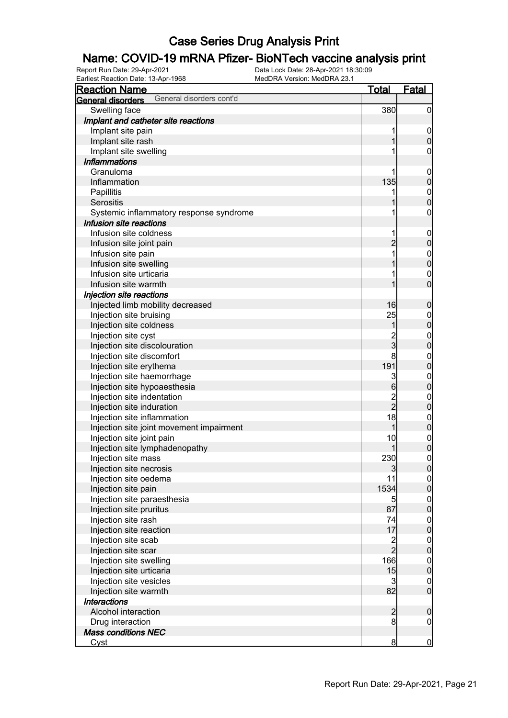# **Name: COVID-19 mRNA Pfizer- BioNTech vaccine analysis print**<br>Report Run Date: 29-Apr-2021<br>Data Lock Date: 28-Apr-2021 18:30:09

Earliest Reaction Date: 13-Apr-1968

| <b>Reaction Name</b>                          | <b>Total</b>   | <b>Fatal</b>                         |
|-----------------------------------------------|----------------|--------------------------------------|
| General disorders cont'd<br>General disorders |                |                                      |
| Swelling face                                 | 380            | $\boldsymbol{0}$                     |
| Implant and catheter site reactions           |                |                                      |
| Implant site pain                             | 1              | $\mathbf 0$                          |
| Implant site rash                             | 1              | $\boldsymbol{0}$                     |
| Implant site swelling                         |                | 0                                    |
| <b>Inflammations</b>                          |                |                                      |
| Granuloma                                     | 1              | $\mathbf 0$                          |
| Inflammation                                  | 135            | $\pmb{0}$                            |
| Papillitis                                    |                | $\boldsymbol{0}$                     |
| Serositis                                     |                | $\overline{0}$                       |
| Systemic inflammatory response syndrome       |                | $\boldsymbol{0}$                     |
| Infusion site reactions                       |                |                                      |
| Infusion site coldness                        | 1              | $\mathbf 0$                          |
| Infusion site joint pain                      | $\overline{c}$ | $\pmb{0}$                            |
| Infusion site pain                            |                | $\boldsymbol{0}$                     |
| Infusion site swelling                        |                | $\overline{0}$                       |
| Infusion site urticaria                       |                | $\mathbf 0$                          |
| Infusion site warmth                          |                | $\overline{0}$                       |
| Injection site reactions                      |                |                                      |
| Injected limb mobility decreased              | 16             | $\mathbf 0$                          |
| Injection site bruising                       | 25             | $\mathbf 0$                          |
| Injection site coldness                       | 1              | $\mathbf 0$                          |
| Injection site cyst                           |                | $\mathbf{0}$                         |
| Injection site discolouration                 | $\frac{2}{3}$  | $\mathbf 0$                          |
| Injection site discomfort                     | 8              | $\mathbf 0$                          |
| Injection site erythema                       | 191            | $\mathbf 0$                          |
| Injection site haemorrhage                    | 3              | $\boldsymbol{0}$                     |
| Injection site hypoaesthesia                  | 6              | $\mathbf 0$                          |
| Injection site indentation                    |                | $\mathbf 0$                          |
| Injection site induration                     | $\frac{2}{2}$  | $\mathbf 0$                          |
| Injection site inflammation                   | 18             | $\boldsymbol{0}$                     |
| Injection site joint movement impairment      | 1              | $\mathbf 0$                          |
| Injection site joint pain                     | 10             |                                      |
| Injection site lymphadenopathy                |                | $\begin{matrix} 0 \\ 0 \end{matrix}$ |
| Injection site mass                           | 230            | $\mathbf 0$                          |
| Injection site necrosis                       | $\mathbf{3}$   | 0                                    |
| Injection site oedema                         | 11             | $\overline{0}$                       |
| Injection site pain                           | 1534           | $\pmb{0}$                            |
| Injection site paraesthesia                   | 5              | $\overline{0}$                       |
| Injection site pruritus                       | 87             | $\mathbf 0$                          |
| Injection site rash                           | 74             | $\overline{0}$                       |
| Injection site reaction                       | 17             | $\boldsymbol{0}$                     |
| Injection site scab                           |                | $\boldsymbol{0}$                     |
| Injection site scar                           | $\frac{2}{2}$  | $\boldsymbol{0}$                     |
| Injection site swelling                       | 166            | $\boldsymbol{0}$                     |
| Injection site urticaria                      | 15             | $\boldsymbol{0}$                     |
| Injection site vesicles                       | 3              | $\mathbf 0$                          |
| Injection site warmth                         | 82             | $\overline{0}$                       |
| <b>Interactions</b>                           |                |                                      |
| Alcohol interaction                           | $\overline{a}$ | $\boldsymbol{0}$                     |
| Drug interaction                              | 8              | $\boldsymbol{0}$                     |
| <b>Mass conditions NEC</b>                    |                |                                      |
| <u>Cyst</u>                                   | $\overline{8}$ | $\overline{0}$                       |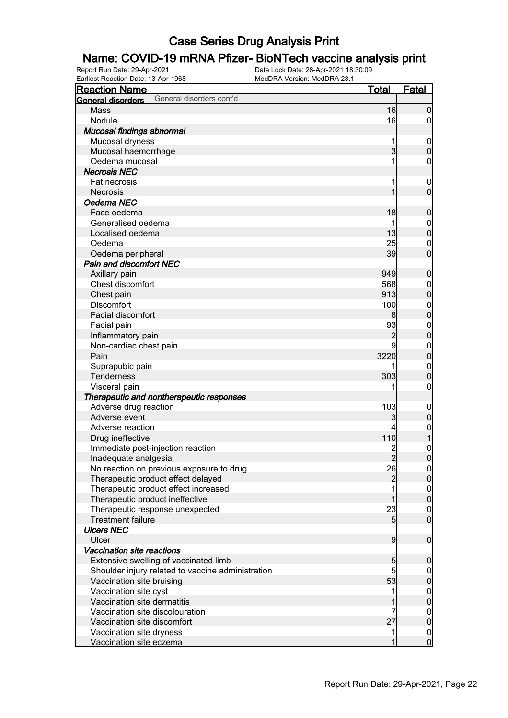# **Name: COVID-19 mRNA Pfizer- BioNTech vaccine analysis print**<br>Report Run Date: 29-Apr-2021<br>Data Lock Date: 28-Apr-2021 18:30:09

Earliest Reaction Date: 13-Apr-1968

| <b>Reaction Name</b>                              | Total          | <b>Fatal</b>     |
|---------------------------------------------------|----------------|------------------|
| General disorders cont'd<br>General disorders     |                |                  |
| Mass                                              | 16             | $\boldsymbol{0}$ |
| Nodule                                            | 16             | $\overline{0}$   |
| Mucosal findings abnormal                         |                |                  |
| Mucosal dryness                                   | 1              | $\mathbf 0$      |
| Mucosal haemorrhage                               | $\overline{3}$ | $\mathbf 0$      |
| Oedema mucosal                                    |                | 0                |
| <b>Necrosis NEC</b>                               |                |                  |
| Fat necrosis                                      |                | $\boldsymbol{0}$ |
| <b>Necrosis</b>                                   | 1              | $\overline{0}$   |
| Oedema NEC                                        |                |                  |
| Face oedema                                       | 18             | $\boldsymbol{0}$ |
| Generalised oedema                                |                | $\mathbf{0}$     |
| Localised oedema                                  | 13             | $\overline{0}$   |
| Oedema                                            | 25             | $\mathbf 0$      |
| Oedema peripheral                                 | 39             | $\overline{0}$   |
| <b>Pain and discomfort NEC</b>                    |                |                  |
| Axillary pain                                     | 949            | $\boldsymbol{0}$ |
| Chest discomfort                                  | 568            | $\mathbf 0$      |
| Chest pain                                        | 913            | $\mathbf 0$      |
| <b>Discomfort</b>                                 | 100            | $\mathbf{0}$     |
| Facial discomfort                                 | 8              | $\mathbf 0$      |
| Facial pain                                       | 93             | $\mathbf{0}$     |
| Inflammatory pain                                 | $\overline{c}$ | $\mathbf 0$      |
| Non-cardiac chest pain                            | 9              | $\mathbf{0}$     |
| Pain                                              | 3220           | $\mathbf 0$      |
| Suprapubic pain                                   |                | $\mathbf{0}$     |
| Tenderness                                        | 303            | $\mathbf 0$      |
| Visceral pain                                     | 1              | 0                |
| Therapeutic and nontherapeutic responses          |                |                  |
| Adverse drug reaction                             | 103            | $\mathbf 0$      |
| Adverse event                                     | 3              | $\pmb{0}$        |
| Adverse reaction                                  |                | $\mathbf 0$      |
| Drug ineffective                                  | 110            | $\mathbf{1}$     |
| Immediate post-injection reaction                 |                | $\mathbf{0}$     |
| Inadequate analgesia                              | $\overline{2}$ | $\overline{0}$   |
| No reaction on previous exposure to drug          | 26             | $\Omega$         |
| Therapeutic product effect delayed                | $\overline{2}$ | 0                |
| Therapeutic product effect increased              |                | $\overline{0}$   |
| Therapeutic product ineffective                   | 1              | $\mathbf 0$      |
| Therapeutic response unexpected                   | 23             | $\boldsymbol{0}$ |
| <b>Treatment failure</b>                          | 5 <sub>l</sub> | $\mathbf 0$      |
| <b>Ulcers NEC</b>                                 |                |                  |
| Ulcer                                             | $\overline{9}$ | $\boldsymbol{0}$ |
| Vaccination site reactions                        |                |                  |
| Extensive swelling of vaccinated limb             | 5              | $\boldsymbol{0}$ |
| Shoulder injury related to vaccine administration | 5              | $\overline{0}$   |
| Vaccination site bruising                         | 53             | $\pmb{0}$        |
| Vaccination site cyst                             | 1              | $\boldsymbol{0}$ |
| Vaccination site dermatitis                       |                | $\pmb{0}$        |
| Vaccination site discolouration                   |                | $\overline{0}$   |
| Vaccination site discomfort                       | 27             | $\pmb{0}$        |
| Vaccination site dryness                          | 1              | $\overline{0}$   |
| Vaccination site eczema                           | 1              | $\overline{0}$   |
|                                                   |                |                  |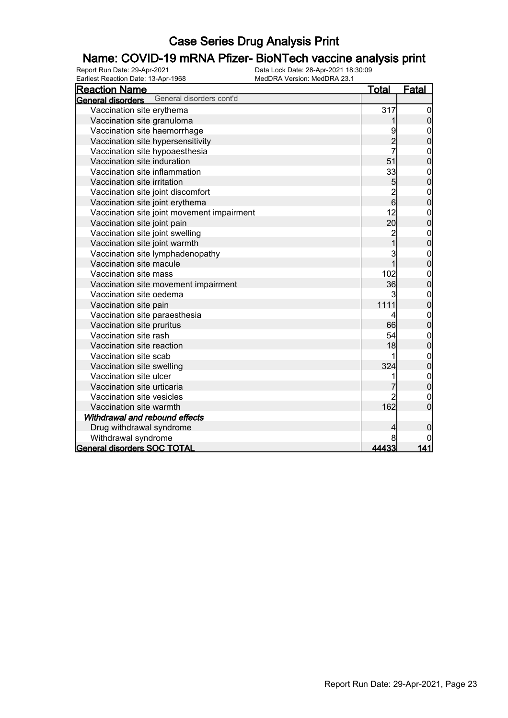# **Name: COVID-19 mRNA Pfizer- BioNTech vaccine analysis print**<br>Report Run Date: 29-Apr-2021<br>Data Lock Date: 28-Apr-2021 18:30:09

Earliest Reaction Date: 13-Apr-1968

| <b>Reaction Name</b>                          | <b>Total</b>   | <b>Fatal</b>                         |
|-----------------------------------------------|----------------|--------------------------------------|
| General disorders cont'd<br>General disorders |                |                                      |
| Vaccination site erythema                     | 317            | $\overline{0}$                       |
| Vaccination site granuloma                    |                | $\overline{0}$                       |
| Vaccination site haemorrhage                  |                | $\mathbf 0$                          |
| Vaccination site hypersensitivity             | $\overline{2}$ | $\overline{0}$                       |
| Vaccination site hypoaesthesia                |                | $\mathbf{0}$                         |
| Vaccination site induration                   | 51             | $\overline{0}$                       |
| Vaccination site inflammation                 | 33             | $\mathbf{0}$                         |
| Vaccination site irritation                   | 5              | $\mathbf 0$                          |
| Vaccination site joint discomfort             | $\frac{2}{6}$  | $\begin{matrix}0\\0\end{matrix}$     |
| Vaccination site joint erythema               |                |                                      |
| Vaccination site joint movement impairment    | 12             | $\mathbf{0}$                         |
| Vaccination site joint pain                   | 20             | $\overline{0}$                       |
| Vaccination site joint swelling               | $\overline{c}$ | $\mathbf{0}$                         |
| Vaccination site joint warmth                 | $\overline{1}$ | $\overline{0}$                       |
| Vaccination site lymphadenopathy              | 3              | $\mathbf{0}$                         |
| Vaccination site macule                       | $\overline{1}$ | $\overline{0}$                       |
| Vaccination site mass                         | 102            | $\mathbf{0}$                         |
| Vaccination site movement impairment          | 36             | $\overline{0}$                       |
| Vaccination site oedema                       | 3              | $\mathbf{0}$                         |
| Vaccination site pain                         | 1111           | $\overline{0}$                       |
| Vaccination site paraesthesia                 | 4              | $\mathbf{0}$                         |
| Vaccination site pruritus                     | 66             | $\overline{0}$                       |
| Vaccination site rash                         | 54             | $\mathbf{0}$                         |
| Vaccination site reaction                     | 18             | $\overline{0}$                       |
| Vaccination site scab                         |                | $\begin{matrix} 0 \\ 0 \end{matrix}$ |
| Vaccination site swelling                     | 324            |                                      |
| Vaccination site ulcer                        |                | $\begin{matrix}0\\0\end{matrix}$     |
| Vaccination site urticaria                    |                |                                      |
| Vaccination site vesicles                     |                | $\mathbf 0$                          |
| Vaccination site warmth                       | 162            | 0                                    |
| Withdrawal and rebound effects                |                |                                      |
| Drug withdrawal syndrome                      | 4              | 0                                    |
| Withdrawal syndrome                           | 8              |                                      |
| <b>General disorders SOC TOTAL</b>            | 44433          | 141                                  |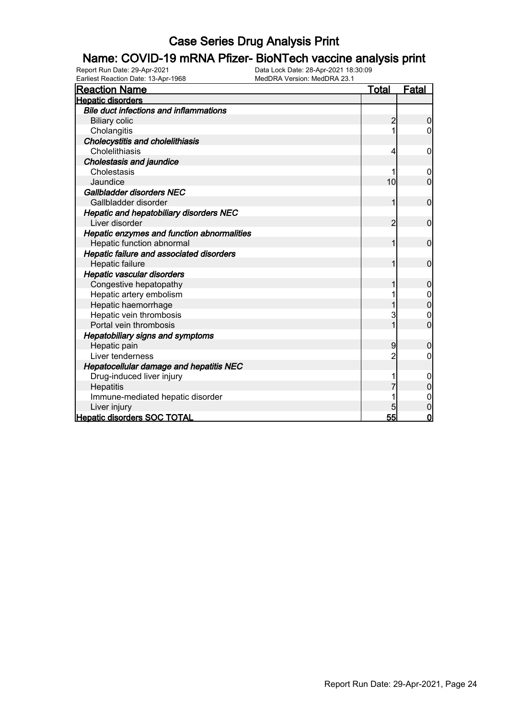# **Name: COVID-19 mRNA Pfizer- BioNTech vaccine analysis print**<br>Report Run Date: 29-Apr-2021<br>Data Lock Date: 28-Apr-2021 18:30:09

Earliest Reaction Date: 13-Apr-1968

| <b>Reaction Name</b>                          | <b>Total</b>   | Fatal            |
|-----------------------------------------------|----------------|------------------|
| <b>Hepatic disorders</b>                      |                |                  |
| <b>Bile duct infections and inflammations</b> |                |                  |
| <b>Biliary colic</b>                          | 2              | 0                |
| Cholangitis                                   | 1              | 0                |
| Cholecystitis and cholelithiasis              |                |                  |
| Cholelithiasis                                | 4              | 0                |
| <b>Cholestasis and jaundice</b>               |                |                  |
| Cholestasis                                   |                | 0                |
| Jaundice                                      | 10             | $\overline{0}$   |
| Gallbladder disorders NEC                     |                |                  |
| Gallbladder disorder                          | 1              | $\mathbf 0$      |
| Hepatic and hepatobiliary disorders NEC       |                |                  |
| Liver disorder                                | $\overline{2}$ | $\mathbf 0$      |
| Hepatic enzymes and function abnormalities    |                |                  |
| Hepatic function abnormal                     | 1              | $\mathbf 0$      |
| Hepatic failure and associated disorders      |                |                  |
| Hepatic failure                               | 1              | $\mathbf 0$      |
| Hepatic vascular disorders                    |                |                  |
| Congestive hepatopathy                        |                | $\mathbf 0$      |
| Hepatic artery embolism                       |                |                  |
| Hepatic haemorrhage                           |                | 0                |
| Hepatic vein thrombosis                       | 3              | $\mathbf 0$      |
| Portal vein thrombosis                        | $\overline{1}$ | $\overline{0}$   |
| Hepatobiliary signs and symptoms              |                |                  |
| Hepatic pain                                  | 9              | $\Omega$         |
| Liver tenderness                              | $\overline{c}$ | 0                |
| Hepatocellular damage and hepatitis NEC       |                |                  |
| Drug-induced liver injury                     |                | $\mathbf 0$      |
| Hepatitis                                     |                | $\Omega$         |
| Immune-mediated hepatic disorder              |                | 0                |
| Liver injury                                  | 5              | $\boldsymbol{0}$ |
| <b>Hepatic disorders SOC TOTAL</b>            | 55             | $\overline{0}$   |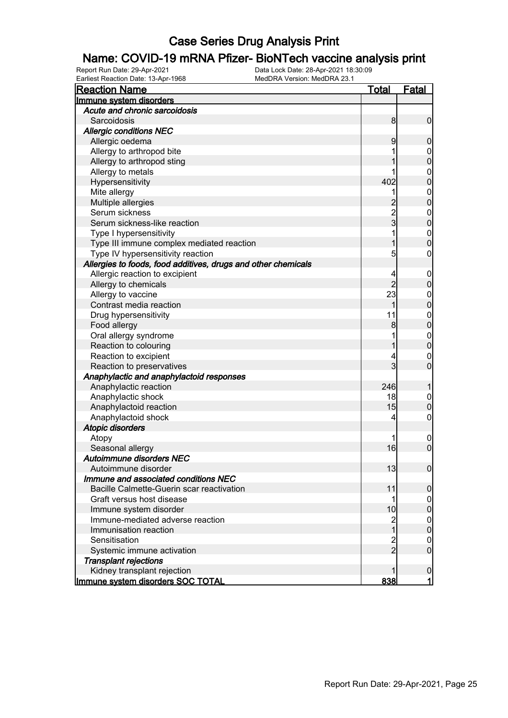# **Name: COVID-19 mRNA Pfizer- BioNTech vaccine analysis print**<br>Report Run Date: 29-Apr-2021<br>Data Lock Date: 28-Apr-2021 18:30:09

Earliest Reaction Date: 13-Apr-1968

| <b>Reaction Name</b>                                          | <b>Total</b>   | <b>Fatal</b>     |
|---------------------------------------------------------------|----------------|------------------|
| Immune system disorders                                       |                |                  |
| Acute and chronic sarcoidosis                                 |                |                  |
| Sarcoidosis                                                   | 8              | $\mathbf 0$      |
| <b>Allergic conditions NEC</b>                                |                |                  |
| Allergic oedema                                               | 9              | $\boldsymbol{0}$ |
| Allergy to arthropod bite                                     |                | 0                |
| Allergy to arthropod sting                                    |                | $\mathbf 0$      |
| Allergy to metals                                             |                | $\mathbf 0$      |
| Hypersensitivity                                              | 402            | $\mathbf 0$      |
| Mite allergy                                                  |                | $\boldsymbol{0}$ |
| Multiple allergies                                            |                | $\mathbf 0$      |
| Serum sickness                                                | $\frac{2}{3}$  | $\boldsymbol{0}$ |
| Serum sickness-like reaction                                  |                | $\mathbf 0$      |
| Type I hypersensitivity                                       |                | $\boldsymbol{0}$ |
| Type III immune complex mediated reaction                     |                | $\mathbf 0$      |
| Type IV hypersensitivity reaction                             | 5              | 0                |
| Allergies to foods, food additives, drugs and other chemicals |                |                  |
| Allergic reaction to excipient                                | 4              | $\mathbf 0$      |
| Allergy to chemicals                                          | $\overline{2}$ | $\boldsymbol{0}$ |
| Allergy to vaccine                                            | 23             | $\mathbf 0$      |
| Contrast media reaction                                       | 1              | $\mathbf 0$      |
| Drug hypersensitivity                                         | 11             | $\boldsymbol{0}$ |
| Food allergy                                                  | 8              | $\mathbf 0$      |
| Oral allergy syndrome                                         |                | $\mathbf 0$      |
| Reaction to colouring                                         |                | $\mathbf 0$      |
| Reaction to excipient                                         |                | $\mathbf 0$      |
| Reaction to preservatives                                     | 3              | $\mathbf 0$      |
| Anaphylactic and anaphylactoid responses                      |                |                  |
| Anaphylactic reaction                                         | 246            | 1                |
| Anaphylactic shock                                            | 18             | $\mathbf 0$      |
| Anaphylactoid reaction                                        | 15             | $\mathbf 0$      |
| Anaphylactoid shock                                           | 4              | $\mathbf 0$      |
| <b>Atopic disorders</b>                                       |                |                  |
| Atopy                                                         |                | $\overline{0}$   |
| Seasonal allergy                                              | 16             | $\mathbf 0$      |
| Autoimmune disorders NEC                                      |                |                  |
| Autoimmune disorder                                           | 13             | 0                |
| Immune and associated conditions NEC                          |                |                  |
| Bacille Calmette-Guerin scar reactivation                     | 11             | $\boldsymbol{0}$ |
| Graft versus host disease                                     | 1              | 0                |
| Immune system disorder                                        | 10             | $\pmb{0}$        |
| Immune-mediated adverse reaction                              | 2<br>1         | $\mathbf 0$      |
| Immunisation reaction                                         |                | $\pmb{0}$        |
| Sensitisation                                                 | $\frac{2}{2}$  | $\mathbf 0$      |
| Systemic immune activation                                    |                | $\overline{0}$   |
| <b>Transplant rejections</b>                                  |                |                  |
| Kidney transplant rejection                                   |                | $\mathbf 0$      |
| Immune system disorders SOC TOTAL                             | 838            | $\mathbf{1}$     |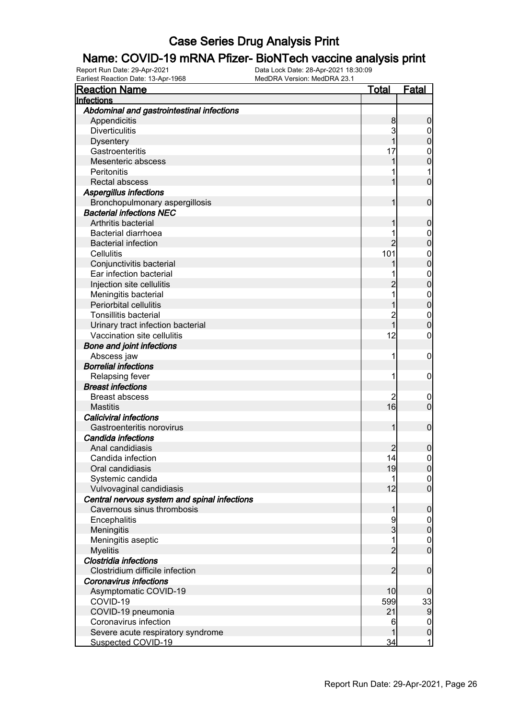# **Name: COVID-19 mRNA Pfizer- BioNTech vaccine analysis print**<br>Report Run Date: 29-Apr-2021<br>Data Lock Date: 28-Apr-2021 18:30:09

Earliest Reaction Date: 13-Apr-1968

| <b>Reaction Name</b>                         | <u>Total</u>   | <u>Fatal</u>     |
|----------------------------------------------|----------------|------------------|
| Infections                                   |                |                  |
| Abdominal and gastrointestinal infections    |                |                  |
| Appendicitis                                 | 8              | 0                |
| <b>Diverticulitis</b>                        | 3              | 0                |
| <b>Dysentery</b>                             |                | $\mathbf 0$      |
| Gastroenteritis                              | 17             | $\mathbf{0}$     |
| Mesenteric abscess                           |                | $\mathbf{0}$     |
| Peritonitis                                  |                | 1                |
| <b>Rectal abscess</b>                        |                | $\overline{0}$   |
| Aspergillus infections                       |                |                  |
| Bronchopulmonary aspergillosis               | 1              | $\mathbf 0$      |
| <b>Bacterial infections NEC</b>              |                |                  |
| Arthritis bacterial                          |                | 0                |
| Bacterial diarrhoea                          |                | 0                |
| <b>Bacterial infection</b>                   |                | $\mathbf{0}$     |
| Cellulitis                                   | 101            | $\boldsymbol{0}$ |
| Conjunctivitis bacterial                     |                | $\overline{0}$   |
| Ear infection bacterial                      |                | $\mathbf{0}$     |
| Injection site cellulitis                    |                | $\overline{0}$   |
| Meningitis bacterial                         |                | $\mathbf{0}$     |
| Periorbital cellulitis                       |                | $\overline{0}$   |
| <b>Tonsillitis bacterial</b>                 | $\overline{c}$ | $\mathbf 0$      |
| Urinary tract infection bacterial            | 1              | $\overline{0}$   |
| Vaccination site cellulitis                  | 12             | 0                |
| <b>Bone and joint infections</b>             |                |                  |
| Abscess jaw                                  | 1              | $\mathbf 0$      |
| <b>Borrelial infections</b>                  |                |                  |
| Relapsing fever                              | 1              | $\mathbf 0$      |
| <b>Breast infections</b>                     |                |                  |
| <b>Breast abscess</b>                        |                | $\overline{0}$   |
| <b>Mastitis</b>                              | 16             | $\overline{0}$   |
| <b>Caliciviral infections</b>                |                |                  |
| Gastroenteritis norovirus                    | 1              | $\mathbf 0$      |
| Candida infections                           |                |                  |
| Anal candidiasis                             |                | 0                |
| Candida infection                            | 14             | $\boldsymbol{0}$ |
| Oral candidiasis                             | 19             | 0                |
| Systemic candida                             |                | $\overline{0}$   |
| Vulvovaginal candidiasis                     | 12             | $\overline{0}$   |
| Central nervous system and spinal infections |                |                  |
| Cavernous sinus thrombosis                   | 1              | $\mathbf 0$      |
| Encephalitis                                 | 9              | $\mathbf 0$      |
| Meningitis                                   | 3              | $\mathbf 0$      |
| Meningitis aseptic                           | 1              | $\boldsymbol{0}$ |
| <b>Myelitis</b>                              | $\overline{2}$ | $\overline{0}$   |
| Clostridia infections                        |                |                  |
| Clostridium difficile infection              | $\overline{2}$ | $\boldsymbol{0}$ |
| <b>Coronavirus infections</b>                |                |                  |
| Asymptomatic COVID-19                        | 10             | 0                |
| COVID-19                                     | 599            | 33               |
| COVID-19 pneumonia                           | 21             | $\overline{9}$   |
| Coronavirus infection                        | 6              | $\overline{0}$   |
| Severe acute respiratory syndrome            |                | $\pmb{0}$        |
| Suspected COVID-19                           | 34             | 1                |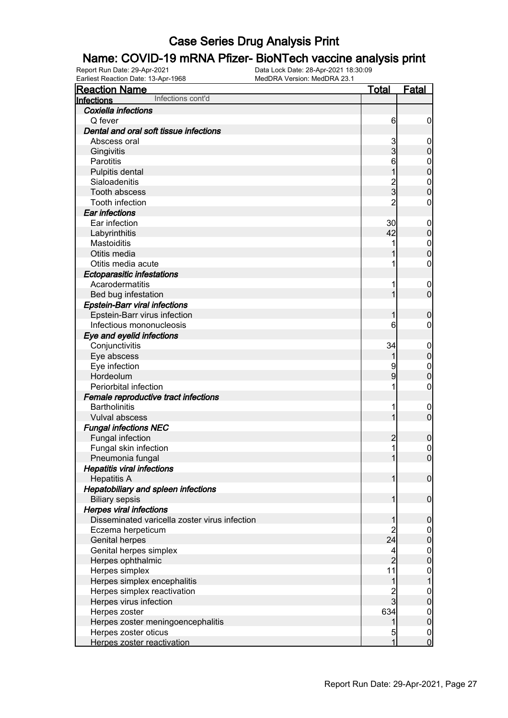#### Name: COVID-19 mRNA Pfizer- BioNTech vaccine analysis print

Report Run Date: 29-Apr-2021 Data Lock Date: 28-Apr-2021 18:30:09 Earliest Reaction Date: 13-Apr-1968 MedDRA Version: MedDRA 23.1

| <b>Reaction Name</b>                          | <u>Total</u>   | <b>Fatal</b>                         |
|-----------------------------------------------|----------------|--------------------------------------|
| Infections cont'd<br>Infections               |                |                                      |
| Coxiella infections                           |                |                                      |
| Q fever                                       | 6              | $\boldsymbol{0}$                     |
| Dental and oral soft tissue infections        |                |                                      |
| Abscess oral                                  | 3              | $\boldsymbol{0}$                     |
| Gingivitis                                    | $\overline{3}$ | $\mathbf 0$                          |
| <b>Parotitis</b>                              | 6              | $\mathbf{0}$                         |
| Pulpitis dental                               | 1              | $\overline{0}$                       |
| Sialoadenitis                                 |                | $\mathbf{0}$                         |
| Tooth abscess                                 | $\frac{2}{3}$  | $\overline{0}$                       |
| Tooth infection                               | $\overline{2}$ | 0                                    |
| Ear infections                                |                |                                      |
| Ear infection                                 | 30             | $\boldsymbol{0}$                     |
| Labyrinthitis                                 | 42             | $\mathbf 0$                          |
| Mastoiditis                                   | 1              | $\mathbf{0}$                         |
| Otitis media                                  |                | $\overline{0}$                       |
| Otitis media acute                            | 1              | 0                                    |
| <b>Ectoparasitic infestations</b>             |                |                                      |
| Acarodermatitis                               | 1              | $\mathbf 0$                          |
| Bed bug infestation                           | 1              | $\overline{0}$                       |
| <b>Epstein-Barr viral infections</b>          |                |                                      |
| Epstein-Barr virus infection                  | 1              | $\mathbf 0$                          |
| Infectious mononucleosis                      | 6              | 0                                    |
| Eye and eyelid infections                     |                |                                      |
| Conjunctivitis                                | 34             | $\mathbf 0$                          |
| Eye abscess                                   | 1              | $\mathbf 0$                          |
| Eye infection                                 | 9              | $\mathbf{0}$                         |
| Hordeolum                                     | 9              | $\mathbf 0$                          |
| Periorbital infection                         | 1              | 0                                    |
| Female reproductive tract infections          |                |                                      |
| <b>Bartholinitis</b>                          | 1              | $\mathbf 0$                          |
| Vulval abscess                                | 1              | $\overline{0}$                       |
| <b>Fungal infections NEC</b>                  |                |                                      |
| <b>Fungal infection</b>                       | $\overline{c}$ | $\mathbf 0$                          |
| Fungal skin infection                         | 1              |                                      |
| Pneumonia fungal                              | 1              | $0\atop 0$                           |
| <b>Hepatitis viral infections</b>             |                |                                      |
| <b>Hepatitis A</b>                            | $\mathbf{1}$   | $\overline{0}$                       |
| <b>Hepatobiliary and spleen infections</b>    |                |                                      |
| <b>Biliary sepsis</b>                         | $\mathbf{1}$   | $\boldsymbol{0}$                     |
| <b>Herpes viral infections</b>                |                |                                      |
| Disseminated varicella zoster virus infection | 1              | $\mathbf 0$                          |
| Eczema herpeticum                             | $\overline{2}$ | $\mathbf 0$                          |
| <b>Genital herpes</b>                         | 24             | $\mathbf 0$                          |
| Genital herpes simplex                        | 4              | $\boldsymbol{0}$                     |
| Herpes ophthalmic                             | $\overline{2}$ | $\overline{0}$                       |
| Herpes simplex                                | 11             | $\mathbf{0}$                         |
| Herpes simplex encephalitis                   | 1              | $\mathbf{1}$                         |
| Herpes simplex reactivation                   |                | $\mathbf{0}$                         |
| Herpes virus infection                        | $\frac{2}{3}$  | $\mathbf 0$                          |
| Herpes zoster                                 | 634            | $\boldsymbol{0}$                     |
| Herpes zoster meningoencephalitis             | 1              | $\mathbf 0$                          |
| Herpes zoster oticus                          | 5              |                                      |
| Herpes zoster reactivation                    | 1              | $\begin{matrix} 0 \\ 0 \end{matrix}$ |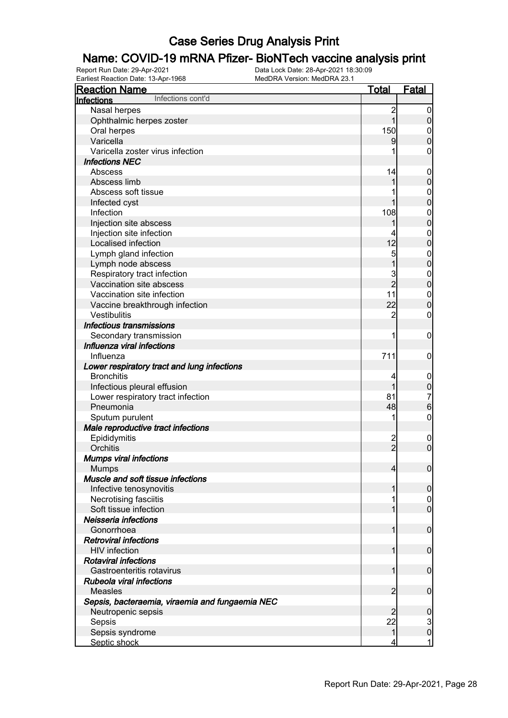# **Name: COVID-19 mRNA Pfizer- BioNTech vaccine analysis print**<br>Report Run Date: 29-Apr-2021<br>Data Lock Date: 28-Apr-2021 18:30:09

Earliest Reaction Date: 13-Apr-1968

| Lamost Readuoir Dato: 10-Apr-1000<br><b>Reaction Name</b> | <b>Total</b>   | <b>Fatal</b>                          |
|-----------------------------------------------------------|----------------|---------------------------------------|
| Infections cont'd<br><b>Infections</b>                    |                |                                       |
| Nasal herpes                                              | $\overline{c}$ | $\boldsymbol{0}$                      |
| Ophthalmic herpes zoster                                  | 1              | $\overline{0}$                        |
| Oral herpes                                               | 150            | $\mathbf 0$                           |
| Varicella                                                 | 9              | $\mathbf 0$                           |
| Varicella zoster virus infection                          |                | 0                                     |
| <b>Infections NEC</b>                                     |                |                                       |
| Abscess                                                   | 14             | $\mathbf 0$                           |
| Abscess limb                                              |                | $\boldsymbol{0}$                      |
| Abscess soft tissue                                       |                | $\mathbf 0$                           |
| Infected cyst                                             |                | $\overline{0}$                        |
| Infection                                                 | 108            | $\boldsymbol{0}$                      |
| Injection site abscess                                    |                | $\overline{0}$                        |
| Injection site infection                                  |                | $\boldsymbol{0}$                      |
| Localised infection                                       | 12             | $\overline{0}$                        |
| Lymph gland infection                                     | 5              | $\mathbf{0}$                          |
| Lymph node abscess                                        | $\overline{1}$ | $\overline{0}$                        |
| Respiratory tract infection                               | 3              | $\boldsymbol{0}$                      |
| Vaccination site abscess                                  | $\overline{2}$ | $\overline{0}$                        |
| Vaccination site infection                                | 11             | $\boldsymbol{0}$                      |
| Vaccine breakthrough infection                            | 22             | $\overline{0}$                        |
| Vestibulitis                                              | $\overline{2}$ | 0                                     |
| Infectious transmissions                                  |                |                                       |
| Secondary transmission                                    | 1              | $\boldsymbol{0}$                      |
| Influenza viral infections                                |                |                                       |
| Influenza                                                 | 711            | $\mathbf 0$                           |
| Lower respiratory tract and lung infections               |                |                                       |
| <b>Bronchitis</b>                                         | 4              | $\mathbf 0$                           |
| Infectious pleural effusion                               |                | $\pmb{0}$                             |
| Lower respiratory tract infection                         | 81             |                                       |
| Pneumonia                                                 | 48             | $\begin{array}{c} 7 \\ 6 \end{array}$ |
| Sputum purulent                                           |                | $\mathbf 0$                           |
| Male reproductive tract infections                        |                |                                       |
| Epididymitis                                              |                | $\mathbf 0$                           |
| Orchitis                                                  | $\frac{2}{2}$  | $\overline{0}$                        |
| <b>Mumps viral infections</b>                             |                |                                       |
| <b>Mumps</b>                                              | 4              | $\overline{0}$                        |
| Muscle and soft tissue infections                         |                |                                       |
| Infective tenosynovitis                                   |                | $\mathbf 0$                           |
| Necrotising fasciitis                                     |                | $\overline{0}$                        |
| Soft tissue infection                                     |                | $\overline{0}$                        |
| Neisseria infections                                      |                |                                       |
| Gonorrhoea                                                |                | $\mathbf 0$                           |
| <b>Retroviral infections</b>                              |                |                                       |
| <b>HIV</b> infection                                      |                | $\overline{0}$                        |
| <b>Rotaviral infections</b>                               |                |                                       |
| Gastroenteritis rotavirus                                 |                | $\overline{0}$                        |
| Rubeola viral infections                                  |                |                                       |
| <b>Measles</b>                                            | 2              | $\boldsymbol{0}$                      |
| Sepsis, bacteraemia, viraemia and fungaemia NEC           |                |                                       |
| Neutropenic sepsis                                        |                | $\boldsymbol{0}$                      |
| Sepsis                                                    | 22             |                                       |
| Sepsis syndrome                                           | 1              | $\frac{3}{0}$                         |
| Septic shock                                              |                | 1                                     |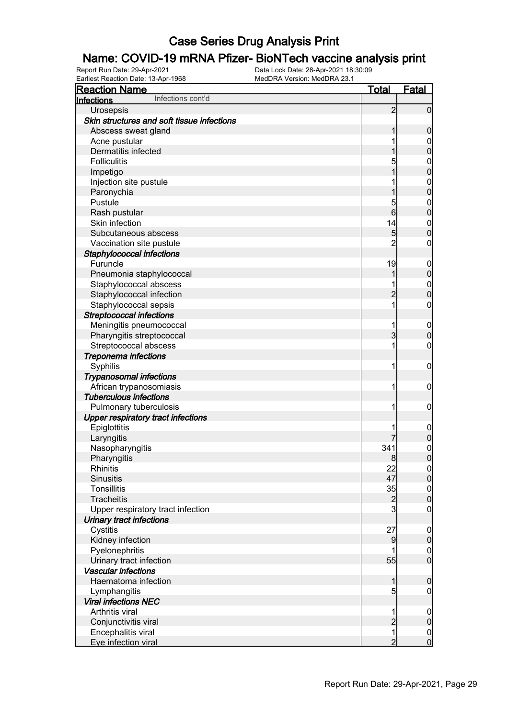#### Name: COVID-19 mRNA Pfizer- BioNTech vaccine analysis print

Report Run Date: 29-Apr-2021 Data Lock Date: 28-Apr-2021 18:30:09 Earliest Reaction Date: 13-Apr-1968 MedDRA Version: MedDRA 23.1

| <b>Reaction Name</b>                       | Total          | <b>Fatal</b>                     |
|--------------------------------------------|----------------|----------------------------------|
| Infections cont'd<br>Infections            |                |                                  |
| Urosepsis                                  | $\overline{c}$ | $\mathbf 0$                      |
| Skin structures and soft tissue infections |                |                                  |
| Abscess sweat gland                        | 1              | $\boldsymbol{0}$                 |
| Acne pustular                              |                | $\mathbf 0$                      |
| Dermatitis infected                        |                | $\mathbf 0$                      |
| <b>Folliculitis</b>                        | 5              | $\boldsymbol{0}$                 |
| Impetigo                                   | 1              | $\mathbf 0$                      |
| Injection site pustule                     |                | $\boldsymbol{0}$                 |
| Paronychia                                 | 1              | $\mathbf 0$                      |
| Pustule                                    | 5              | $\boldsymbol{0}$                 |
| Rash pustular                              | 6              | $\mathbf 0$                      |
| Skin infection                             | 14             | $\boldsymbol{0}$                 |
| Subcutaneous abscess                       | 5              | $\overline{0}$                   |
| Vaccination site pustule                   | $\overline{2}$ | $\boldsymbol{0}$                 |
| Staphylococcal infections                  |                |                                  |
| Furuncle                                   | 19             | $\mathbf 0$                      |
| Pneumonia staphylococcal                   | 1              | $\pmb{0}$                        |
| Staphylococcal abscess                     |                | $\mathbf{0}$                     |
| Staphylococcal infection                   | $\overline{c}$ | $\overline{0}$                   |
| Staphylococcal sepsis                      | 1              | $\boldsymbol{0}$                 |
| <b>Streptococcal infections</b>            |                |                                  |
| Meningitis pneumococcal                    | 1              | $\mathbf 0$                      |
| Pharyngitis streptococcal                  | 3              | $\mathbf 0$                      |
| Streptococcal abscess                      | 1              | $\boldsymbol{0}$                 |
| Treponema infections                       |                |                                  |
| Syphilis                                   | 1              | $\boldsymbol{0}$                 |
| <b>Trypanosomal infections</b>             |                |                                  |
| African trypanosomiasis                    | 1              | $\mathbf 0$                      |
| <b>Tuberculous infections</b>              |                |                                  |
| Pulmonary tuberculosis                     | 1              | $\mathbf 0$                      |
| <b>Upper respiratory tract infections</b>  |                |                                  |
| Epiglottitis                               |                | $\mathbf 0$                      |
| Laryngitis                                 |                | $\pmb{0}$                        |
| Nasopharyngitis                            | 341            |                                  |
| Pharyngitis                                | 8              | $\begin{matrix}0\\0\end{matrix}$ |
| <b>Rhinitis</b>                            | 22             | $\overline{0}$                   |
| <b>Sinusitis</b>                           | 47             | $\mathbf 0$                      |
| <b>Tonsillitis</b>                         | 35             | $\boldsymbol{0}$                 |
| <b>Tracheitis</b>                          |                | $\overline{0}$                   |
| Upper respiratory tract infection          | $\frac{2}{3}$  | $\mathbf 0$                      |
| <b>Urinary tract infections</b>            |                |                                  |
| Cystitis                                   | 27             | $\mathbf 0$                      |
| Kidney infection                           | 9              | $\pmb{0}$                        |
| Pyelonephritis                             |                | $\boldsymbol{0}$                 |
| Urinary tract infection                    | 55             | $\mathbf 0$                      |
| Vascular infections                        |                |                                  |
| Haematoma infection                        | 1              | $\boldsymbol{0}$                 |
| Lymphangitis                               | 5              | $\boldsymbol{0}$                 |
| <b>Viral infections NEC</b>                |                |                                  |
| Arthritis viral                            | 1              | $\mathbf 0$                      |
| Conjunctivitis viral                       | $\overline{c}$ | $\pmb{0}$                        |
| Encephalitis viral                         | 1              | $\overline{0}$                   |
| Eye infection viral                        | $\overline{2}$ | $\overline{0}$                   |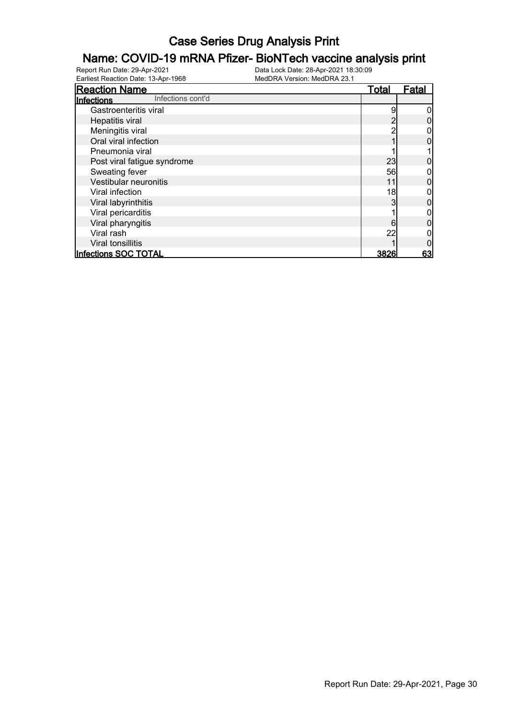# **Name: COVID-19 mRNA Pfizer- BioNTech vaccine analysis print**<br>Report Run Date: 29-Apr-2021<br>Data Lock Date: 28-Apr-2021 18:30:09

Earliest Reaction Date: 13-Apr-1968

| <b>Reaction Name</b>            | <b>Total</b> | <b>Fatal</b> |
|---------------------------------|--------------|--------------|
| Infections cont'd<br>Infections |              |              |
| Gastroenteritis viral           | 9            |              |
| Hepatitis viral                 |              |              |
| Meningitis viral                |              |              |
| Oral viral infection            |              |              |
| Pneumonia viral                 |              |              |
| Post viral fatigue syndrome     | 23           |              |
| Sweating fever                  | 56           |              |
| Vestibular neuronitis           | 11           |              |
| Viral infection                 | 18           |              |
| Viral labyrinthitis             | 3            |              |
| Viral pericarditis              |              |              |
| Viral pharyngitis               | 6            |              |
| Viral rash                      | 22           |              |
| Viral tonsillitis               |              |              |
| <b>Infections SOC TOTAL</b>     | 3826         | 63           |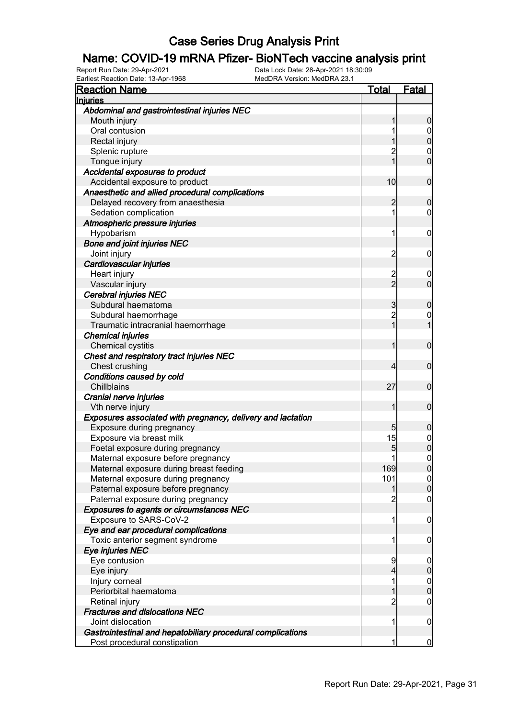#### Name: COVID-19 mRNA Pfizer- BioNTech vaccine analysis print

Earliest Reaction Date: 13-Apr-1968 MedDRA Version: MedDRA 23.1

Report Run Date: 29-Apr-2021 Data Lock Date: 28-Apr-2021 18:30:09

| <b>Reaction Name</b>                                        | <u>Total</u>   | Fatal            |
|-------------------------------------------------------------|----------------|------------------|
| <b>Injuries</b>                                             |                |                  |
| Abdominal and gastrointestinal injuries NEC                 |                |                  |
| Mouth injury                                                |                | 0                |
| Oral contusion                                              |                |                  |
| Rectal injury                                               |                | 0                |
| Splenic rupture                                             |                | 0                |
| Tongue injury                                               |                | 0                |
| Accidental exposures to product                             |                |                  |
| Accidental exposure to product                              | 10             | $\mathbf 0$      |
| Anaesthetic and allied procedural complications             |                |                  |
| Delayed recovery from anaesthesia                           | 2              | 0                |
| Sedation complication                                       | 1              | 0                |
| Atmospheric pressure injuries                               |                |                  |
| Hypobarism                                                  | 1              | 0                |
| <b>Bone and joint injuries NEC</b>                          |                |                  |
| Joint injury                                                | $\overline{c}$ | 0                |
| Cardiovascular injuries                                     |                |                  |
| Heart injury                                                |                | 0                |
| Vascular injury                                             | 2<br>2         | 0                |
| <b>Cerebral injuries NEC</b>                                |                |                  |
| Subdural haematoma                                          | 3              | 0                |
| Subdural haemorrhage                                        | $\overline{2}$ | 0                |
| Traumatic intracranial haemorrhage                          |                |                  |
| <b>Chemical injuries</b>                                    |                |                  |
| Chemical cystitis                                           |                | 0                |
| Chest and respiratory tract injuries NEC                    |                |                  |
| Chest crushing                                              | 4              | 0                |
| Conditions caused by cold                                   |                |                  |
| Chillblains                                                 | 27             | 0                |
| Cranial nerve injuries                                      |                |                  |
| Vth nerve injury                                            |                | 0                |
| Exposures associated with pregnancy, delivery and lactation |                |                  |
| Exposure during pregnancy                                   | 5              | 0                |
| Exposure via breast milk                                    | 15             | $\boldsymbol{0}$ |
| Foetal exposure during pregnancy                            | 5              | $\overline{0}$   |
| Maternal exposure before pregnancy                          |                | $\mathbf{0}$     |
| Maternal exposure during breast feeding                     | 169            |                  |
| Maternal exposure during pregnancy                          | 101            | $\overline{0}$   |
| Paternal exposure before pregnancy                          |                | $\overline{0}$   |
| Paternal exposure during pregnancy                          |                | 0                |
| Exposures to agents or circumstances NEC                    |                |                  |
| Exposure to SARS-CoV-2                                      | 1              | 0                |
| Eye and ear procedural complications                        |                |                  |
| Toxic anterior segment syndrome                             | 1              | 0                |
| Eye injuries NEC                                            |                |                  |
| Eye contusion                                               | 9              |                  |
| Eye injury                                                  | 4              | 0                |
| Injury corneal                                              | 1              | $\mathbf 0$      |
| Periorbital haematoma                                       |                | 0                |
| Retinal injury                                              | 2              | 0                |
| <b>Fractures and dislocations NEC</b>                       |                |                  |
| Joint dislocation                                           | 1              | 0                |
| Gastrointestinal and hepatobiliary procedural complications |                |                  |
| Post procedural constipation                                |                | $\overline{0}$   |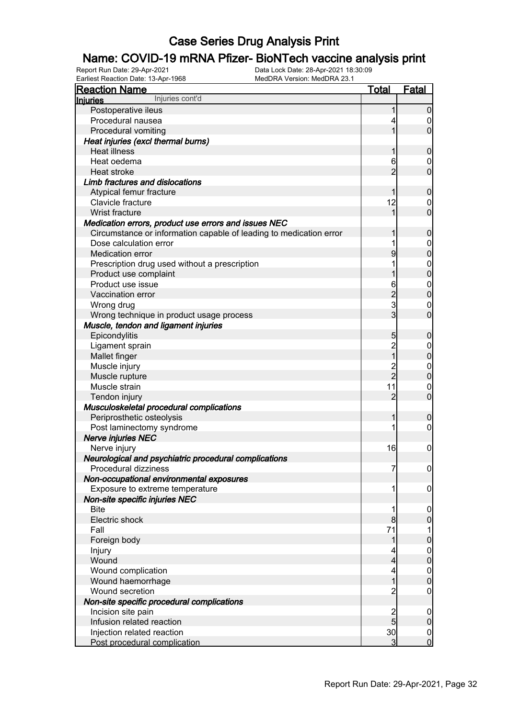# **Name: COVID-19 mRNA Pfizer- BioNTech vaccine analysis print**<br>Report Run Date: 29-Apr-2021<br>Data Lock Date: 28-Apr-2021 18:30:09

Earliest Reaction Date: 13-Apr-1968

| <b>Reaction Name</b>                                               | Total          | Fatal            |
|--------------------------------------------------------------------|----------------|------------------|
| Injuries cont'd<br><b>Injuries</b>                                 |                |                  |
| Postoperative ileus                                                |                | $\boldsymbol{0}$ |
| Procedural nausea                                                  |                | 0                |
| Procedural vomiting                                                |                | $\overline{0}$   |
| Heat injuries (excl thermal burns)                                 |                |                  |
| <b>Heat illness</b>                                                |                | $\boldsymbol{0}$ |
| Heat oedema                                                        | 6              | 0                |
| Heat stroke                                                        | $\overline{2}$ | $\mathbf 0$      |
| Limb fractures and dislocations                                    |                |                  |
| Atypical femur fracture                                            |                | $\boldsymbol{0}$ |
| Clavicle fracture                                                  | 12             | 0                |
| Wrist fracture                                                     |                | $\mathbf 0$      |
| Medication errors, product use errors and issues NEC               |                |                  |
| Circumstance or information capable of leading to medication error |                | $\boldsymbol{0}$ |
| Dose calculation error                                             |                | $\mathbf 0$      |
| Medication error                                                   | 9              | $\overline{0}$   |
| Prescription drug used without a prescription                      |                | $\boldsymbol{0}$ |
| Product use complaint                                              |                | $\overline{0}$   |
| Product use issue                                                  | 6              | $\boldsymbol{0}$ |
| Vaccination error                                                  | $\overline{c}$ | $\overline{0}$   |
| Wrong drug                                                         | 3              | $\boldsymbol{0}$ |
| Wrong technique in product usage process                           | 3 <sup>1</sup> | $\mathbf 0$      |
| Muscle, tendon and ligament injuries                               |                |                  |
| Epicondylitis                                                      | 5              | $\boldsymbol{0}$ |
| Ligament sprain                                                    | $\overline{c}$ | $\mathbf 0$      |
| Mallet finger                                                      | $\overline{1}$ | $\overline{0}$   |
| Muscle injury                                                      |                | $\boldsymbol{0}$ |
| Muscle rupture                                                     | 2<br>2         | $\mathbf 0$      |
| Muscle strain                                                      | 11             | $\boldsymbol{0}$ |
| Tendon injury                                                      | $\overline{2}$ | $\mathbf 0$      |
| Musculoskeletal procedural complications                           |                |                  |
| Periprosthetic osteolysis                                          | 1              | $\boldsymbol{0}$ |
| Post laminectomy syndrome                                          |                | $\mathbf 0$      |
| <b>Nerve injuries NEC</b>                                          |                |                  |
| Nerve injury                                                       | 16             | $\mathbf 0$      |
| Neurological and psychiatric procedural complications              |                |                  |
| Procedural dizziness                                               | 7              | 0                |
| Non-occupational environmental exposures                           |                |                  |
| Exposure to extreme temperature                                    | 1              | $\mathbf 0$      |
| Non-site specific injuries NEC                                     |                |                  |
| <b>Bite</b>                                                        |                | $\mathbf 0$      |
| Electric shock                                                     | 8              | $\boldsymbol{0}$ |
| Fall                                                               | 71             | 1                |
| Foreign body                                                       |                | $\pmb{0}$        |
| Injury                                                             |                | $\boldsymbol{0}$ |
| Wound                                                              | 4              | $\overline{0}$   |
| Wound complication                                                 | 4              | $\overline{0}$   |
| Wound haemorrhage                                                  |                | $\boldsymbol{0}$ |
| Wound secretion                                                    | $\overline{c}$ | 0                |
| Non-site specific procedural complications                         |                |                  |
| Incision site pain                                                 |                | $\mathbf 0$      |
| Infusion related reaction                                          | $\frac{2}{5}$  | $\mathbf 0$      |
| Injection related reaction                                         | 30             | $\overline{0}$   |
| Post procedural complication                                       | 3              | $\mathbf 0$      |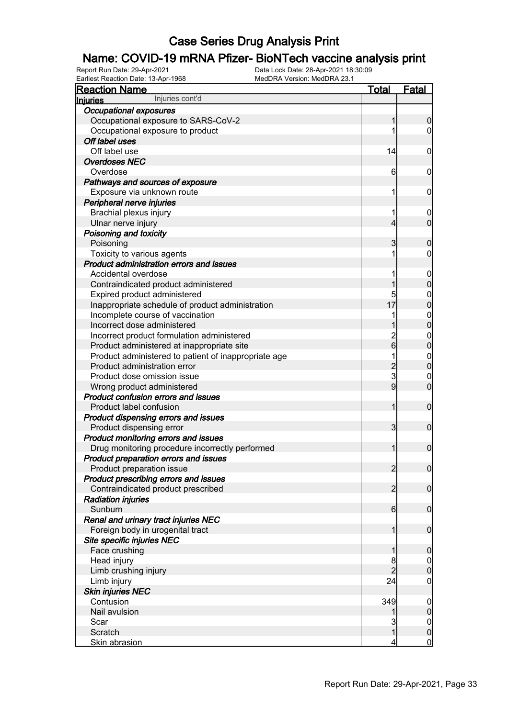# **Name: COVID-19 mRNA Pfizer- BioNTech vaccine analysis print**<br>Report Run Date: 29-Apr-2021<br>Data Lock Date: 28-Apr-2021 18:30:09

| Earliest Reaction Date: 13-Apr-1968                  | MedDRA Version: MedDRA 23.1 |                     |                                      |
|------------------------------------------------------|-----------------------------|---------------------|--------------------------------------|
| <b>Reaction Name</b>                                 | Total                       |                     | <u>Fatal</u>                         |
| Injuries cont'd<br><b>Injuries</b>                   |                             |                     |                                      |
| <b>Occupational exposures</b>                        |                             |                     |                                      |
| Occupational exposure to SARS-CoV-2                  |                             | 1                   | $\overline{0}$                       |
| Occupational exposure to product                     |                             |                     | 0                                    |
| Off label uses                                       |                             |                     |                                      |
| Off label use                                        |                             | 14                  | 0                                    |
| <b>Overdoses NEC</b>                                 |                             |                     |                                      |
| Overdose                                             |                             | 6                   | 0                                    |
| Pathways and sources of exposure                     |                             |                     |                                      |
| Exposure via unknown route                           |                             |                     | 0                                    |
| Peripheral nerve injuries                            |                             |                     |                                      |
| Brachial plexus injury                               |                             |                     | 0                                    |
| Ulnar nerve injury                                   |                             | 4                   | $\overline{0}$                       |
| Poisoning and toxicity                               |                             |                     |                                      |
| Poisoning                                            |                             | 3                   | $\mathbf 0$                          |
| Toxicity to various agents                           |                             |                     | 0                                    |
| Product administration errors and issues             |                             |                     |                                      |
| Accidental overdose                                  |                             |                     | 0                                    |
| Contraindicated product administered                 |                             | 1                   | $\mathbf 0$                          |
| Expired product administered                         |                             | 5                   | $\mathbf 0$                          |
| Inappropriate schedule of product administration     |                             | 17                  | $\overline{0}$                       |
| Incomplete course of vaccination                     |                             |                     |                                      |
| Incorrect dose administered                          |                             | 1                   | $\begin{matrix} 0 \\ 0 \end{matrix}$ |
| Incorrect product formulation administered           |                             |                     | $\mathbf{0}$                         |
| Product administered at inappropriate site           |                             | $\frac{2}{6}$       | $\overline{0}$                       |
| Product administered to patient of inappropriate age |                             | 1                   | $\mathbf{0}$                         |
| Product administration error                         |                             | $\overline{2}$      | $\overline{0}$                       |
| Product dose omission issue                          |                             | $\overline{3}$      | $\boldsymbol{0}$                     |
| Wrong product administered                           |                             | 9                   | $\overline{0}$                       |
| <b>Product confusion errors and issues</b>           |                             |                     |                                      |
| Product label confusion                              |                             | 1                   | $\mathbf 0$                          |
| Product dispensing errors and issues                 |                             |                     |                                      |
| Product dispensing error                             |                             | 3                   | $\mathbf 0$                          |
| Product monitoring errors and issues                 |                             |                     |                                      |
| Drug monitoring procedure incorrectly performed      |                             | 1                   | $\mathbf 0$                          |
| Product preparation errors and issues                |                             |                     |                                      |
| Product preparation issue                            |                             | $\overline{2}$      | $\overline{0}$                       |
| Product prescribing errors and issues                |                             |                     |                                      |
| Contraindicated product prescribed                   |                             | $\overline{2}$      | $\overline{0}$                       |
| <b>Radiation injuries</b>                            |                             |                     |                                      |
| Sunburn                                              |                             | 6                   | $\overline{0}$                       |
| Renal and urinary tract injuries NEC                 |                             |                     |                                      |
| Foreign body in urogenital tract                     |                             | 1                   | $\overline{0}$                       |
| Site specific injuries NEC                           |                             |                     |                                      |
| Face crushing                                        |                             |                     | $\mathbf 0$                          |
| Head injury                                          |                             |                     |                                      |
|                                                      |                             | 8<br>$\overline{2}$ | $\mathbf 0$<br>$\overline{0}$        |
| Limb crushing injury                                 |                             |                     |                                      |
| Limb injury                                          |                             | 24                  | 0                                    |
| <b>Skin injuries NEC</b>                             |                             |                     |                                      |
| Contusion                                            |                             | 349                 | $\overline{0}$                       |
| Nail avulsion                                        |                             | 1                   | $\overline{0}$                       |
| Scar                                                 |                             | 3                   | $\mathbf 0$                          |
| Scratch                                              |                             | $\overline{1}$      | $\overline{0}$                       |
| <b>Skin abrasion</b>                                 |                             | 4                   | $\mathbf 0$                          |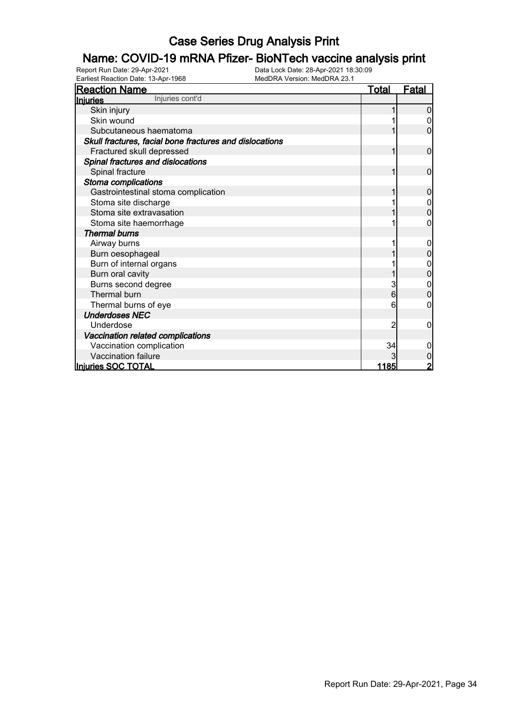# **Name: COVID-19 mRNA Pfizer- BioNTech vaccine analysis print**<br>Report Run Date: 29-Apr-2021<br>Data Lock Date: 28-Apr-2021 18:30:09

Earliest Reaction Date: 13-Apr-1968

| <b>Reaction Name</b>                                    | <u>Total</u> | <u>Fatal</u> |
|---------------------------------------------------------|--------------|--------------|
| Injuries cont'd<br>Injuries                             |              |              |
| Skin injury                                             |              |              |
| Skin wound                                              |              |              |
| Subcutaneous haematoma                                  |              | 0            |
| Skull fractures, facial bone fractures and dislocations |              |              |
| Fractured skull depressed                               |              | $\mathbf 0$  |
| Spinal fractures and dislocations                       |              |              |
| Spinal fracture                                         |              | 0            |
| Stoma complications                                     |              |              |
| Gastrointestinal stoma complication                     |              | 0            |
| Stoma site discharge                                    |              |              |
| Stoma site extravasation                                |              | 0            |
| Stoma site haemorrhage                                  |              |              |
| <b>Thermal burns</b>                                    |              |              |
| Airway burns                                            |              |              |
| Burn oesophageal                                        |              |              |
| Burn of internal organs                                 |              | 0            |
| Burn oral cavity                                        |              |              |
| Burns second degree                                     | 3            |              |
| Thermal burn                                            | 6            | 0            |
| Thermal burns of eye                                    | 6            | 0            |
| <b>Underdoses NEC</b>                                   |              |              |
| Underdose                                               | 2            | 0            |
| Vaccination related complications                       |              |              |
| Vaccination complication                                | 34           | 0            |
| Vaccination failure                                     |              | 0            |
| Injuries SOC TOTAL                                      | 1185         | 2            |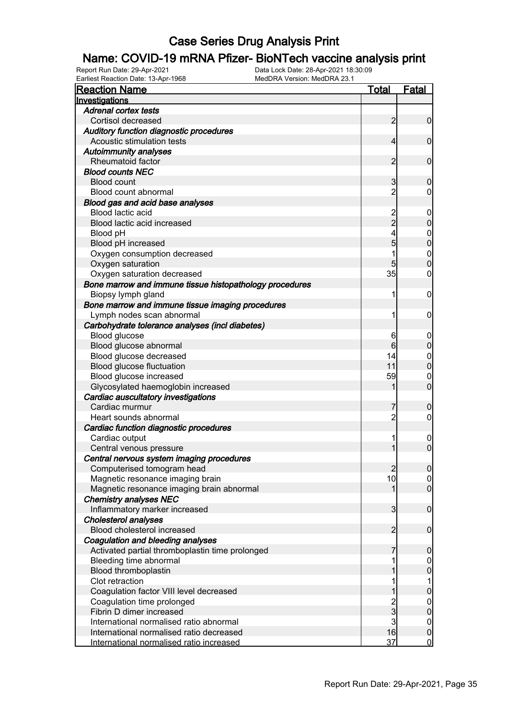# **Name: COVID-19 mRNA Pfizer- BioNTech vaccine analysis print**<br>Report Run Date: 29-Apr-2021<br>Data Lock Date: 28-Apr-2021 18:30:09

Earliest Reaction Date: 13-Apr-1968

| <b>Reaction Name</b>                                    | <u>Total</u>   | <b>Fatal</b>     |
|---------------------------------------------------------|----------------|------------------|
| Investigations                                          |                |                  |
| <b>Adrenal cortex tests</b>                             |                |                  |
| Cortisol decreased                                      | $\overline{2}$ | $\overline{0}$   |
| Auditory function diagnostic procedures                 |                |                  |
| Acoustic stimulation tests                              | 4              | $\mathbf 0$      |
| <b>Autoimmunity analyses</b>                            |                |                  |
| Rheumatoid factor                                       | 2              | $\mathbf 0$      |
| <b>Blood counts NEC</b>                                 |                |                  |
| <b>Blood count</b>                                      | 3              | $\mathbf 0$      |
| Blood count abnormal                                    | $\overline{2}$ | 0                |
| Blood gas and acid base analyses                        |                |                  |
| Blood lactic acid                                       |                | $\mathbf 0$      |
| Blood lactic acid increased                             | $\overline{2}$ | $\boldsymbol{0}$ |
| Blood pH                                                |                | $\mathbf{0}$     |
| Blood pH increased                                      | 5              | $\overline{0}$   |
| Oxygen consumption decreased                            |                | $\mathbf{0}$     |
| Oxygen saturation                                       | 5              | $\overline{0}$   |
| Oxygen saturation decreased                             | 35             | 0                |
| Bone marrow and immune tissue histopathology procedures |                |                  |
| Biopsy lymph gland                                      | 1              | $\boldsymbol{0}$ |
| Bone marrow and immune tissue imaging procedures        |                |                  |
| Lymph nodes scan abnormal                               | 1              | $\mathbf 0$      |
| Carbohydrate tolerance analyses (incl diabetes)         |                |                  |
| Blood glucose                                           | 6              | $\mathbf 0$      |
| Blood glucose abnormal                                  | 6              | $\boldsymbol{0}$ |
| Blood glucose decreased                                 | 14             | $\mathbf{0}$     |
| Blood glucose fluctuation                               | 11             | $\mathbf 0$      |
| Blood glucose increased                                 | 59             | $\boldsymbol{0}$ |
| Glycosylated haemoglobin increased                      |                | $\overline{0}$   |
| Cardiac auscultatory investigations                     |                |                  |
| Cardiac murmur                                          | 7              | $\boldsymbol{0}$ |
| Heart sounds abnormal                                   | $\overline{2}$ | $\mathbf 0$      |
| Cardiac function diagnostic procedures                  |                |                  |
| Cardiac output                                          | 1              | $\mathbf 0$      |
| Central venous pressure                                 | 1              | $\overline{0}$   |
| Central nervous system imaging procedures               |                |                  |
| Computerised tomogram head                              | $\overline{2}$ | 0                |
| Magnetic resonance imaging brain                        | 10             | 0                |
| Magnetic resonance imaging brain abnormal               | 1              | $\overline{0}$   |
| <b>Chemistry analyses NEC</b>                           |                |                  |
| Inflammatory marker increased                           | $\mathbf{3}$   | $\boldsymbol{0}$ |
| Cholesterol analyses                                    |                |                  |
| Blood cholesterol increased                             | $\overline{2}$ | $\boldsymbol{0}$ |
| Coagulation and bleeding analyses                       |                |                  |
| Activated partial thromboplastin time prolonged         |                | $\mathbf 0$      |
| Bleeding time abnormal                                  |                | $\overline{0}$   |
| Blood thromboplastin                                    |                | $\bf{0}$         |
| Clot retraction                                         |                | 1                |
| Coagulation factor VIII level decreased                 |                | $\pmb{0}$        |
| Coagulation time prolonged                              |                | $\boldsymbol{0}$ |
| Fibrin D dimer increased                                | $\frac{2}{3}$  | $\mathbf 0$      |
| International normalised ratio abnormal                 | $\overline{3}$ | $\boldsymbol{0}$ |
| International normalised ratio decreased                | 16             | $\pmb{0}$        |
| International normalised ratio increased                | 37             | $\overline{0}$   |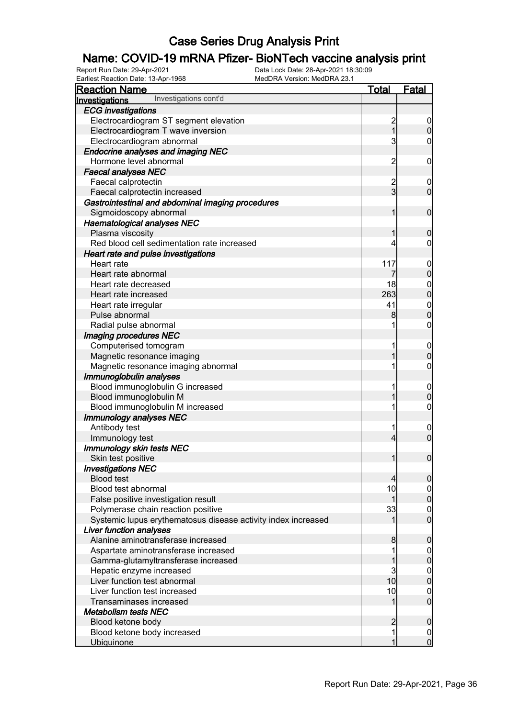# **Name: COVID-19 mRNA Pfizer- BioNTech vaccine analysis print**<br>Report Run Date: 29-Apr-2021<br>Data Lock Date: 28-Apr-2021 18:30:09

Report Run Date: 29-Apr-2021 Data Lock Date: 28-Apr-2021 18:30:09 Earliest Reaction Date: 13-Apr-1968 MedDRA Version: MedDRA 23.1

| <b>Reaction Name</b>                                          | <b>Total</b>   | <b>Fatal</b>                     |
|---------------------------------------------------------------|----------------|----------------------------------|
| Investigations cont'd<br>Investigations                       |                |                                  |
| <b>ECG</b> investigations                                     |                |                                  |
| Electrocardiogram ST segment elevation                        | $\frac{2}{1}$  | $\overline{0}$                   |
| Electrocardiogram T wave inversion                            |                | $\mathbf 0$                      |
| Electrocardiogram abnormal                                    | 3              | $\mathbf 0$                      |
| <b>Endocrine analyses and imaging NEC</b>                     |                |                                  |
| Hormone level abnormal                                        | $\overline{c}$ | $\mathbf 0$                      |
| <b>Faecal analyses NEC</b>                                    |                |                                  |
| Faecal calprotectin                                           |                | $\mathbf 0$                      |
| Faecal calprotectin increased                                 | 2<br>3         | $\mathbf 0$                      |
| Gastrointestinal and abdominal imaging procedures             |                |                                  |
| Sigmoidoscopy abnormal                                        | 1              | $\mathbf 0$                      |
| <b>Haematological analyses NEC</b>                            |                |                                  |
| Plasma viscosity                                              | 1              | $\mathbf 0$                      |
| Red blood cell sedimentation rate increased                   | 4              | 0                                |
| Heart rate and pulse investigations                           |                |                                  |
| Heart rate                                                    | 117            | $\mathbf 0$                      |
| Heart rate abnormal                                           | 7              | $\pmb{0}$                        |
| Heart rate decreased                                          | 18             | $\boldsymbol{0}$                 |
| Heart rate increased                                          | 263            | $\overline{0}$                   |
| Heart rate irregular                                          | 41             |                                  |
| Pulse abnormal                                                | 8              | $\begin{matrix}0\\0\end{matrix}$ |
| Radial pulse abnormal                                         |                | $\boldsymbol{0}$                 |
| Imaging procedures NEC                                        |                |                                  |
| Computerised tomogram                                         |                | $\mathbf 0$                      |
| Magnetic resonance imaging                                    |                | $\mathbf 0$                      |
| Magnetic resonance imaging abnormal                           |                | $\boldsymbol{0}$                 |
| Immunoglobulin analyses                                       |                |                                  |
| Blood immunoglobulin G increased                              | 1              | $\mathbf 0$                      |
| Blood immunoglobulin M                                        |                | $\mathbf 0$                      |
| Blood immunoglobulin M increased                              | 1              | $\boldsymbol{0}$                 |
| <b>Immunology analyses NEC</b>                                |                |                                  |
| Antibody test                                                 | 1              | $\mathbf 0$                      |
| Immunology test                                               | $\overline{4}$ | $\overline{0}$                   |
| <b>Immunology skin tests NEC</b>                              |                |                                  |
| Skin test positive                                            | 1              | $\boldsymbol{0}$                 |
| <b>Investigations NEC</b>                                     |                |                                  |
| <b>Blood test</b>                                             | $\overline{4}$ | $\overline{0}$                   |
| Blood test abnormal                                           | 10             | $\overline{0}$                   |
| False positive investigation result                           | 1              | $\pmb{0}$                        |
| Polymerase chain reaction positive                            | 33             | $\boldsymbol{0}$                 |
| Systemic lupus erythematosus disease activity index increased |                | $\overline{0}$                   |
| Liver function analyses                                       |                |                                  |
| Alanine aminotransferase increased                            | 8              | $\mathbf 0$                      |
| Aspartate aminotransferase increased                          |                | $\mathbf 0$                      |
| Gamma-glutamyltransferase increased                           |                | $\pmb{0}$                        |
| Hepatic enzyme increased                                      | 3              | $\boldsymbol{0}$                 |
| Liver function test abnormal                                  | 10             | $\overline{0}$                   |
| Liver function test increased                                 | 10             | $\mathbf 0$                      |
| Transaminases increased                                       |                | $\overline{0}$                   |
| Metabolism tests NEC                                          |                |                                  |
| Blood ketone body                                             | $\overline{c}$ | $\mathbf 0$                      |
| Blood ketone body increased                                   | 1              | 0                                |
| <b>Ubiquinone</b>                                             |                | $\overline{0}$                   |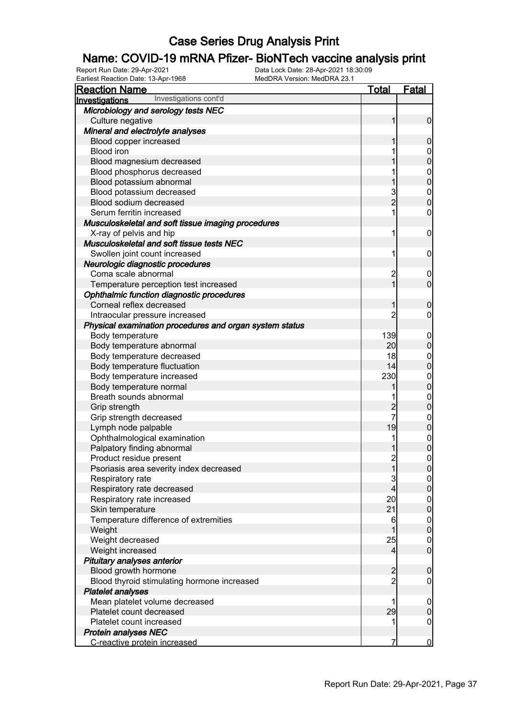#### Name: COVID-19 mRNA Pfizer- BioNTech vaccine analysis print

| <b>Reaction Name</b>                                    | <u>Total</u>   | <b>Fatal</b>                     |
|---------------------------------------------------------|----------------|----------------------------------|
| Investigations cont'd<br>Investigations                 |                |                                  |
| Microbiology and serology tests NEC                     |                |                                  |
| Culture negative                                        | 1              | $\mathbf 0$                      |
| Mineral and electrolyte analyses                        |                |                                  |
| Blood copper increased                                  | 1              | $\boldsymbol{0}$                 |
| <b>Blood iron</b>                                       |                | $\boldsymbol{0}$                 |
| Blood magnesium decreased                               |                | $\mathbf 0$                      |
| Blood phosphorus decreased                              |                |                                  |
| Blood potassium abnormal                                | 1              | $\begin{matrix}0\\0\end{matrix}$ |
| Blood potassium decreased                               |                |                                  |
| Blood sodium decreased                                  | 3<br>2         | $\begin{matrix}0\\0\end{matrix}$ |
| Serum ferritin increased                                | 1              | $\pmb{0}$                        |
| Musculoskeletal and soft tissue imaging procedures      |                |                                  |
| X-ray of pelvis and hip                                 | 1              | $\mathbf 0$                      |
| Musculoskeletal and soft tissue tests NEC               |                |                                  |
| Swollen joint count increased                           | 1              | $\mathbf 0$                      |
| Neurologic diagnostic procedures                        |                |                                  |
| Coma scale abnormal                                     | $\overline{c}$ | $\mathbf 0$                      |
| Temperature perception test increased                   | $\overline{1}$ | $\mathbf 0$                      |
| Ophthalmic function diagnostic procedures               |                |                                  |
| Corneal reflex decreased                                | 1              | $\mathbf 0$                      |
| Intraocular pressure increased                          | 2              | $\mathbf 0$                      |
| Physical examination procedures and organ system status |                |                                  |
| Body temperature                                        | 139            |                                  |
|                                                         | 20             | $\mathbf 0$                      |
| Body temperature abnormal                               | 18             | $\pmb{0}$                        |
| Body temperature decreased                              | 14             | $\mathbf{0}$                     |
| Body temperature fluctuation                            |                | $\overline{0}$                   |
| Body temperature increased                              | 230            | $0\atop 0$                       |
| Body temperature normal                                 |                |                                  |
| Breath sounds abnormal                                  |                | $0\atop 0$                       |
| Grip strength                                           | $\frac{2}{7}$  |                                  |
| Grip strength decreased                                 |                | $0$ 0                            |
| Lymph node palpable                                     | 19             |                                  |
| Ophthalmological examination                            | 1              | $0\atop 0$                       |
| Palpatory finding abnormal                              |                |                                  |
| Product residue present                                 | $\overline{2}$ | $\mathbf 0$                      |
| Psoriasis area severity index decreased                 | 11             | 0                                |
| Respiratory rate                                        | $\mathbf{3}$   | $\overline{0}$                   |
| Respiratory rate decreased                              | 4              | $\mathbf 0$                      |
| Respiratory rate increased                              | 20             | $\boldsymbol{0}$                 |
| Skin temperature                                        | 21             | $\overline{0}$                   |
| Temperature difference of extremities                   | 6              | $\boldsymbol{0}$                 |
| Weight                                                  | 1              | $\mathbf 0$                      |
| Weight decreased                                        | 25             | $\overline{0}$                   |
| Weight increased                                        | $\overline{4}$ | $\mathbf 0$                      |
| Pituitary analyses anterior                             |                |                                  |
| Blood growth hormone                                    | $\overline{c}$ | $\mathbf 0$                      |
| Blood thyroid stimulating hormone increased             | $\overline{2}$ | $\boldsymbol{0}$                 |
| <b>Platelet analyses</b>                                |                |                                  |
| Mean platelet volume decreased                          | 1              | $\mathbf 0$                      |
| Platelet count decreased                                | 29             | $\pmb{0}$                        |
| Platelet count increased                                | 1              | $\mathbf 0$                      |
| <b>Protein analyses NEC</b>                             |                |                                  |
| C-reactive protein increased                            | 7              | $\overline{0}$                   |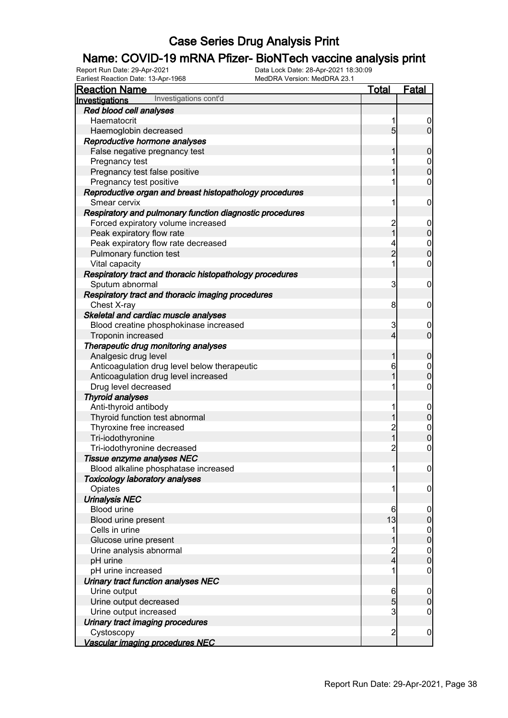#### Name: COVID-19 mRNA Pfizer- BioNTech vaccine analysis print

| Earliest Reaction Date: 13-Apr-1968                      |                |                                      |
|----------------------------------------------------------|----------------|--------------------------------------|
| <b>Reaction Name</b>                                     | <u>Total</u>   | <b>Fatal</b>                         |
| Investigations cont'd<br>Investigations                  |                |                                      |
| Red blood cell analyses                                  |                |                                      |
| Haematocrit                                              | 1              | $\overline{0}$                       |
| Haemoglobin decreased                                    | $\overline{5}$ | $\overline{0}$                       |
| Reproductive hormone analyses                            |                |                                      |
| False negative pregnancy test                            | 1              | $\boldsymbol{0}$                     |
| Pregnancy test                                           | 1              | $\boldsymbol{0}$                     |
| Pregnancy test false positive                            | 1              | $\overline{0}$                       |
| Pregnancy test positive                                  | 1              | $\boldsymbol{0}$                     |
| Reproductive organ and breast histopathology procedures  |                |                                      |
| Smear cervix                                             | 1              | $\mathbf 0$                          |
| Respiratory and pulmonary function diagnostic procedures |                |                                      |
| Forced expiratory volume increased                       | $\frac{2}{1}$  | $\mathbf 0$                          |
| Peak expiratory flow rate                                |                | $\mathbf 0$                          |
| Peak expiratory flow rate decreased                      | 4              | $\begin{matrix} 0 \\ 0 \end{matrix}$ |
| Pulmonary function test                                  | $\overline{2}$ |                                      |
| Vital capacity                                           | 1              | $\boldsymbol{0}$                     |
| Respiratory tract and thoracic histopathology procedures |                |                                      |
| Sputum abnormal                                          | 3              | $\mathbf 0$                          |
| Respiratory tract and thoracic imaging procedures        |                |                                      |
| Chest X-ray                                              | 8              | $\mathbf 0$                          |
| Skeletal and cardiac muscle analyses                     |                |                                      |
| Blood creatine phosphokinase increased                   | 3              | $\mathbf 0$                          |
| Troponin increased                                       | $\overline{4}$ | $\overline{0}$                       |
| Therapeutic drug monitoring analyses                     |                |                                      |
| Analgesic drug level                                     | 1              | $\mathbf 0$                          |
| Anticoagulation drug level below therapeutic             | 6              | $\boldsymbol{0}$                     |
| Anticoagulation drug level increased                     | 1              | $\overline{0}$                       |
| Drug level decreased                                     | 1              | $\boldsymbol{0}$                     |
| <b>Thyroid analyses</b>                                  |                |                                      |
| Anti-thyroid antibody                                    | 1              | $\boldsymbol{0}$                     |
| Thyroid function test abnormal                           | 1              | $\pmb{0}$                            |
| Thyroxine free increased                                 | $\frac{2}{1}$  | $\boldsymbol{0}$                     |
| Tri-iodothyronine                                        |                | $\mathbf 0$                          |
| Tri-iodothyronine decreased                              | $\overline{c}$ | $\mathbf 0$                          |
| Tissue enzyme analyses NEC                               |                |                                      |
| Blood alkaline phosphatase increased                     | 1              | $\overline{0}$                       |
| <b>Toxicology laboratory analyses</b>                    |                |                                      |
| Opiates                                                  | 1              | $\boldsymbol{0}$                     |
| <b>Urinalysis NEC</b>                                    |                |                                      |
| <b>Blood urine</b>                                       | 6              | $\overline{0}$                       |
| Blood urine present                                      | 13             | $\mathbf 0$                          |
| Cells in urine                                           | 1              | $\overline{0}$                       |
| Glucose urine present                                    | 1              | $\pmb{0}$                            |
| Urine analysis abnormal                                  |                | $\mathbf 0$                          |
| pH urine                                                 | $\frac{2}{4}$  | $\mathbf 0$                          |
| pH urine increased                                       | 1              | $\mathbf 0$                          |
| Urinary tract function analyses NEC                      |                |                                      |
| Urine output                                             | 6              | $\mathbf 0$                          |
| Urine output decreased                                   | 5              | $\mathbf 0$                          |
| Urine output increased                                   | $\overline{3}$ | 0                                    |
| Urinary tract imaging procedures                         |                |                                      |
| Cystoscopy                                               | $\overline{c}$ | $\overline{0}$                       |
| Vascular imaging procedures NEC                          |                |                                      |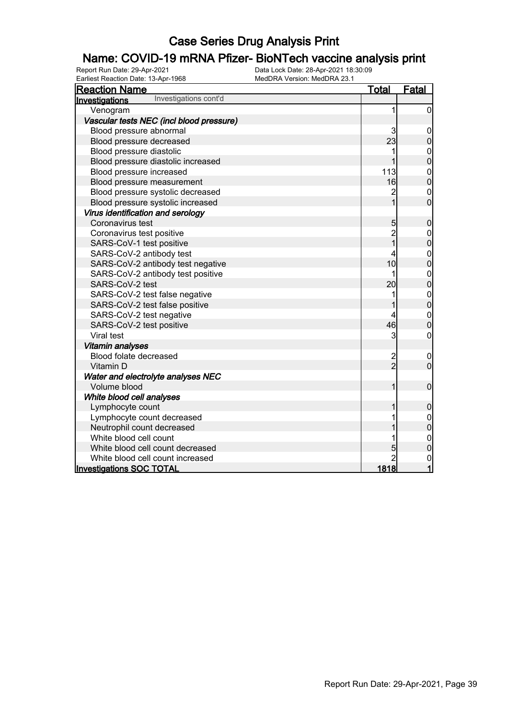# **Name: COVID-19 mRNA Pfizer- BioNTech vaccine analysis print**<br>Report Run Date: 29-Apr-2021<br>Data Lock Date: 28-Apr-2021 18:30:09

Earliest Reaction Date: 13-Apr-1968

| <b>Reaction Name</b>                     | <u>Total</u>   | <b>Fatal</b>                         |
|------------------------------------------|----------------|--------------------------------------|
| Investigations cont'd<br>Investigations  |                |                                      |
| Venogram                                 | 1              | $\mathbf 0$                          |
| Vascular tests NEC (incl blood pressure) |                |                                      |
| Blood pressure abnormal                  | 3              | $\mathbf 0$                          |
| Blood pressure decreased                 | 23             | 0                                    |
| Blood pressure diastolic                 | 1              | 0<br>0                               |
| Blood pressure diastolic increased       |                |                                      |
| Blood pressure increased                 | 113            | $\begin{matrix} 0 \\ 0 \end{matrix}$ |
| Blood pressure measurement               | 16             |                                      |
| Blood pressure systolic decreased        | $\overline{c}$ | $\mathbf 0$                          |
| Blood pressure systolic increased        | $\overline{1}$ | $\overline{0}$                       |
| Virus identification and serology        |                |                                      |
| Coronavirus test                         | 5 <sub>5</sub> | $\bf 0$                              |
| Coronavirus test positive                | 2<br>1         | $\mathbf 0$                          |
| SARS-CoV-1 test positive                 |                | $\overline{0}$                       |
| SARS-CoV-2 antibody test                 | 4              | $\mathbf{0}$                         |
| SARS-CoV-2 antibody test negative        | 10             | $\overline{0}$                       |
| SARS-CoV-2 antibody test positive        | 1              | $\mathbf 0$                          |
| SARS-CoV-2 test                          | 20             | $\overline{0}$                       |
| SARS-CoV-2 test false negative           | 1              | $\begin{matrix}0\\0\end{matrix}$     |
| SARS-CoV-2 test false positive           |                |                                      |
| SARS-CoV-2 test negative                 | 4              | $\begin{matrix} 0 \\ 0 \end{matrix}$ |
| SARS-CoV-2 test positive                 | 46             |                                      |
| Viral test                               | 3              | 0                                    |
| <b>Vitamin analyses</b>                  |                |                                      |
| Blood folate decreased                   | $\frac{2}{2}$  | $\mathbf 0$                          |
| Vitamin D                                |                | $\overline{0}$                       |
| Water and electrolyte analyses NEC       |                |                                      |
| Volume blood                             | 1              | $\mathbf 0$                          |
| White blood cell analyses                |                |                                      |
| Lymphocyte count                         | 1              | $\mathbf 0$                          |
| Lymphocyte count decreased               | 1              | $\mathbf 0$                          |
| Neutrophil count decreased               |                | $\overline{0}$                       |
| White blood cell count                   | 1              | $\mathbf{0}$                         |
| White blood cell count decreased         | 5              | $\overline{0}$                       |
| White blood cell count increased         | $\overline{2}$ | $\mathbf 0$                          |
| <b>Investigations SOC TOTAL</b>          | <u>1818</u>    | $\overline{\mathbf{1}}$              |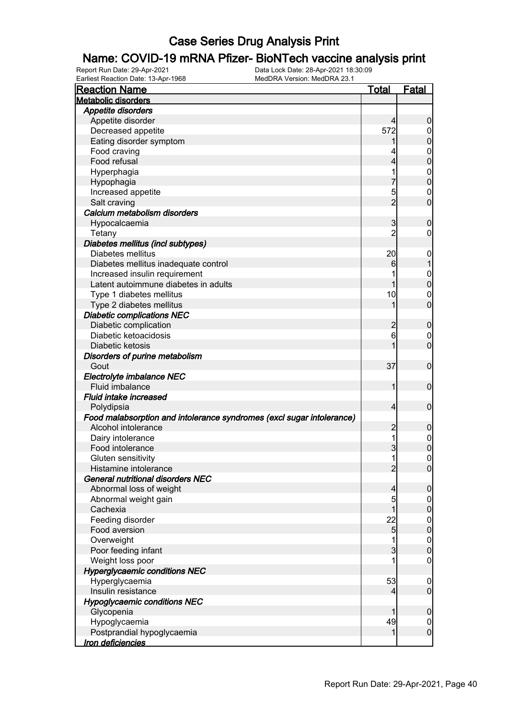# **Name: COVID-19 mRNA Pfizer- BioNTech vaccine analysis print**<br>Report Run Date: 29-Apr-2021<br>Data Lock Date: 28-Apr-2021 18:30:09

Earliest Reaction Date: 13-Apr-1968

| <b>Reaction Name</b>                                                  | <u>Total</u>   | Fatal            |
|-----------------------------------------------------------------------|----------------|------------------|
| <b>Metabolic disorders</b>                                            |                |                  |
| Appetite disorders                                                    |                |                  |
| Appetite disorder                                                     | 4              | $\boldsymbol{0}$ |
| Decreased appetite                                                    | 572            | $\mathbf 0$      |
| Eating disorder symptom                                               |                | $\mathbf 0$      |
| Food craving                                                          |                | $\boldsymbol{0}$ |
| Food refusal                                                          | 4              | $\mathbf 0$      |
| Hyperphagia                                                           |                | $\mathbf 0$      |
| Hypophagia                                                            |                | $\mathbf 0$      |
| Increased appetite                                                    | 5              | 0                |
| Salt craving                                                          | $\overline{2}$ | $\mathbf 0$      |
| Calcium metabolism disorders                                          |                |                  |
| Hypocalcaemia                                                         | 3              | $\boldsymbol{0}$ |
|                                                                       | $\overline{c}$ | 0                |
| Tetany                                                                |                |                  |
| Diabetes mellitus (incl subtypes)<br>Diabetes mellitus                |                |                  |
|                                                                       | 20             | $\mathbf 0$      |
| Diabetes mellitus inadequate control                                  | 6              |                  |
| Increased insulin requirement                                         |                | $\mathbf 0$      |
| Latent autoimmune diabetes in adults                                  |                | $\mathbf 0$      |
| Type 1 diabetes mellitus                                              | 10             | $\mathbf 0$      |
| Type 2 diabetes mellitus                                              |                | $\mathbf 0$      |
| <b>Diabetic complications NEC</b>                                     |                |                  |
| Diabetic complication                                                 | $\overline{c}$ | $\boldsymbol{0}$ |
| Diabetic ketoacidosis                                                 | 6              | 0                |
| Diabetic ketosis                                                      |                | $\mathbf 0$      |
| Disorders of purine metabolism                                        |                |                  |
| Gout                                                                  | 37             | $\mathbf 0$      |
| Electrolyte imbalance NEC                                             |                |                  |
| Fluid imbalance                                                       | 1              | $\mathbf 0$      |
| Fluid intake increased                                                |                |                  |
| Polydipsia                                                            | $\overline{4}$ | $\mathbf 0$      |
| Food malabsorption and intolerance syndromes (excl sugar intolerance) |                |                  |
| Alcohol intolerance                                                   | $\overline{2}$ | $\mathbf 0$      |
| Dairy intolerance                                                     | 1              | $\mathbf 0$      |
| Food intolerance                                                      | 3              | $\overline{0}$   |
| Gluten sensitivity                                                    | 1              | $\mathbf 0$      |
| Histamine intolerance                                                 | $\overline{2}$ | $\overline{0}$   |
| General nutritional disorders NEC                                     |                |                  |
| Abnormal loss of weight                                               | 4              | $\mathbf 0$      |
| Abnormal weight gain                                                  | 5              | $\overline{0}$   |
| Cachexia                                                              |                | $\pmb{0}$        |
| Feeding disorder                                                      | 22             | $\mathbf 0$      |
| Food aversion                                                         | $\overline{5}$ | $\overline{0}$   |
| Overweight                                                            |                | $\boldsymbol{0}$ |
| Poor feeding infant                                                   | 3              | $\mathbf 0$      |
| Weight loss poor                                                      |                | $\boldsymbol{0}$ |
| <b>Hyperglycaemic conditions NEC</b>                                  |                |                  |
| Hyperglycaemia                                                        | 53             | $\mathbf 0$      |
| Insulin resistance                                                    | 4              | $\overline{0}$   |
| <b>Hypoglycaemic conditions NEC</b>                                   |                |                  |
| Glycopenia                                                            |                | $\boldsymbol{0}$ |
| Hypoglycaemia                                                         | 49             | $\overline{0}$   |
| Postprandial hypoglycaemia                                            |                | $\boldsymbol{0}$ |
| Iron deficiencies                                                     |                |                  |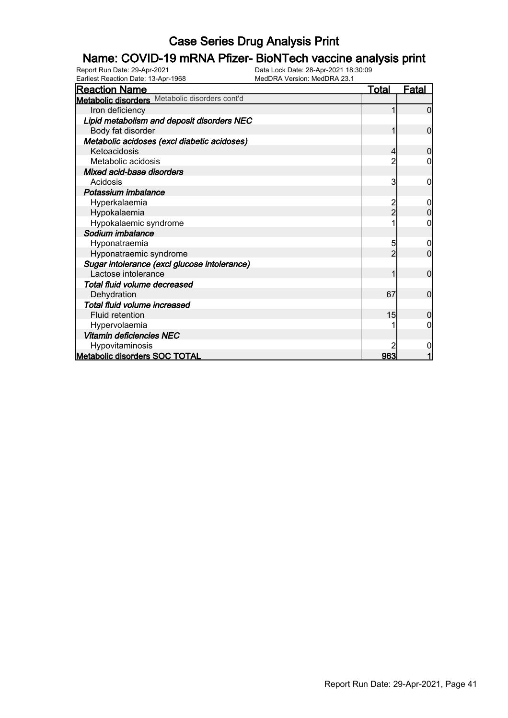#### Name: COVID-19 mRNA Pfizer- BioNTech vaccine analysis print

| <b>Reaction Name</b>                           | Total | <b>Fatal</b>   |
|------------------------------------------------|-------|----------------|
| Metabolic disorders Metabolic disorders cont'd |       |                |
| Iron deficiency                                |       | 0              |
| Lipid metabolism and deposit disorders NEC     |       |                |
| Body fat disorder                              |       | $\overline{0}$ |
| Metabolic acidoses (excl diabetic acidoses)    |       |                |
| Ketoacidosis                                   |       | 0              |
| Metabolic acidosis                             |       |                |
| Mixed acid-base disorders                      |       |                |
| Acidosis                                       | 3     | 0              |
| Potassium imbalance                            |       |                |
| Hyperkalaemia                                  |       |                |
| Hypokalaemia                                   | 2     | $\overline{0}$ |
| Hypokalaemic syndrome                          |       | 0              |
| Sodium imbalance                               |       |                |
| Hyponatraemia                                  | 5     | 0              |
| Hyponatraemic syndrome                         | 2     | $\overline{0}$ |
| Sugar intolerance (excl glucose intolerance)   |       |                |
| Lactose intolerance                            |       | $\overline{0}$ |
| Total fluid volume decreased                   |       |                |
| Dehydration                                    | 67    | $\overline{0}$ |
| Total fluid volume increased                   |       |                |
| <b>Fluid retention</b>                         | 15    | 0              |
| Hypervolaemia                                  |       | 0              |
| Vitamin deficiencies NEC                       |       |                |
| Hypovitaminosis                                |       | 0              |
| <b>Metabolic disorders SOC TOTAL</b>           | 963   |                |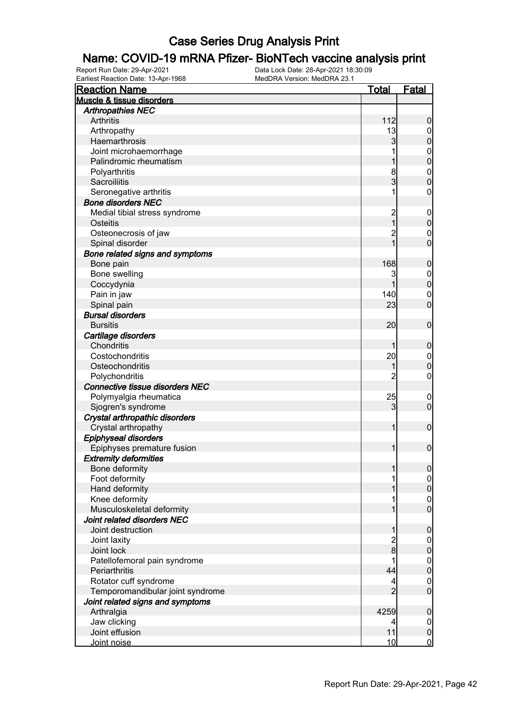# **Name: COVID-19 mRNA Pfizer- BioNTech vaccine analysis print**<br>Report Run Date: 29-Apr-2021<br>Data Lock Date: 28-Apr-2021 18:30:09

Earliest Reaction Date: 13-Apr-1968

| <b>Reaction Name</b>                   | <b>Total</b>   | <b>Fatal</b>                         |
|----------------------------------------|----------------|--------------------------------------|
| Muscle & tissue disorders              |                |                                      |
| <b>Arthropathies NEC</b>               |                |                                      |
| <b>Arthritis</b>                       | 112            | $\boldsymbol{0}$                     |
| Arthropathy                            | 13             | $\overline{0}$                       |
| Haemarthrosis                          | 3              | $\mathbf 0$                          |
| Joint microhaemorrhage                 |                | $\boldsymbol{0}$                     |
| Palindromic rheumatism                 |                | $\mathbf 0$                          |
| Polyarthritis                          | 8              | $\boldsymbol{0}$                     |
| Sacroiliitis                           | 3              | $\overline{0}$                       |
| Seronegative arthritis                 |                | $\mathbf 0$                          |
| <b>Bone disorders NEC</b>              |                |                                      |
| Medial tibial stress syndrome          | $\overline{c}$ | $\mathbf 0$                          |
| Osteitis                               | $\overline{1}$ | $\mathbf 0$                          |
| Osteonecrosis of jaw                   | $\overline{c}$ | $\mathbf 0$                          |
| Spinal disorder                        | $\overline{1}$ | $\overline{0}$                       |
| Bone related signs and symptoms        |                |                                      |
| Bone pain                              | 168            | $\boldsymbol{0}$                     |
| Bone swelling                          | 3              | $\boldsymbol{0}$                     |
| Coccydynia                             | 1              | $\mathbf 0$                          |
| Pain in jaw                            | 140            | $\mathbf 0$                          |
| Spinal pain                            | 23             | $\mathbf 0$                          |
| <b>Bursal disorders</b>                |                |                                      |
| <b>Bursitis</b>                        | 20             | $\mathbf 0$                          |
| Cartilage disorders                    |                |                                      |
| Chondritis                             |                | $\boldsymbol{0}$                     |
| Costochondritis                        | 20             | $\boldsymbol{0}$                     |
| Osteochondritis                        | 1              | $\mathbf 0$                          |
| Polychondritis                         | 2              | $\boldsymbol{0}$                     |
| <b>Connective tissue disorders NEC</b> |                |                                      |
| Polymyalgia rheumatica                 | 25             | $\overline{0}$                       |
| Sjogren's syndrome                     | 3              | $\mathbf 0$                          |
| Crystal arthropathic disorders         |                |                                      |
| Crystal arthropathy                    | 1              | $\mathbf 0$                          |
| <b>Epiphyseal disorders</b>            |                |                                      |
| Epiphyses premature fusion             | 1              | $\mathbf 0$                          |
| <b>Extremity deformities</b>           |                |                                      |
| Bone deformity                         | 1              | $\overline{0}$                       |
| Foot deformity                         |                | $\overline{0}$                       |
| Hand deformity                         |                | $\mathbf 0$                          |
| Knee deformity                         |                |                                      |
| Musculoskeletal deformity              |                | $\begin{matrix} 0 \\ 0 \end{matrix}$ |
| Joint related disorders NEC            |                |                                      |
| Joint destruction                      | 1              | $\boldsymbol{0}$                     |
| Joint laxity                           | $\overline{c}$ | $\boldsymbol{0}$                     |
| Joint lock                             | 8              | $\bf{0}$                             |
| Patellofemoral pain syndrome           |                |                                      |
| Periarthritis                          | 44             | $0$<br>0                             |
| Rotator cuff syndrome                  | 4              | $\boldsymbol{0}$                     |
| Temporomandibular joint syndrome       | $\overline{2}$ | $\overline{0}$                       |
| Joint related signs and symptoms       |                |                                      |
| Arthralgia                             | 4259           | $\mathbf 0$                          |
| Jaw clicking                           | 4              | $\overline{0}$                       |
| Joint effusion                         | 11             | $\pmb{0}$                            |
| Joint noise                            | 10             | $\overline{0}$                       |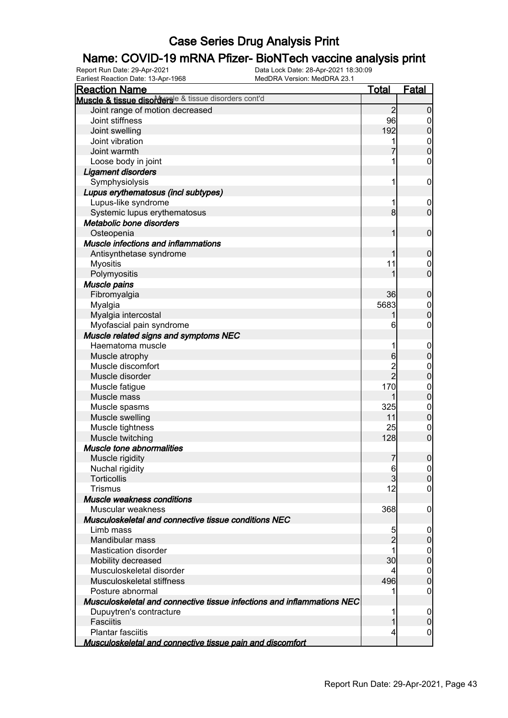# **Name: COVID-19 mRNA Pfizer- BioNTech vaccine analysis print**<br>Report Run Date: 29-Apr-2021<br>Data Lock Date: 28-Apr-2021 18:30:09

Earliest Reaction Date: 13-Apr-1968

| Total<br><b>Reaction Name</b><br>Muscle & tissue disordersle & tissue disorders cont'd<br>$\overline{2}$<br>Joint range of motion decreased<br>96<br>Joint stiffness<br>192<br>Joint swelling<br>Joint vibration<br>Joint warmth<br>Loose body in joint<br><b>Ligament disorders</b><br>Symphysiolysis<br>1<br>Lupus erythematosus (incl subtypes)<br>Lupus-like syndrome<br>8<br>Systemic lupus erythematosus<br>Metabolic bone disorders<br>Osteopenia<br>1<br><b>Muscle infections and inflammations</b><br>Antisynthetase syndrome<br>11<br><b>Myositis</b><br>Polymyositis<br>Muscle pains<br>36<br>Fibromyalgia<br>5683<br>Myalgia<br>Myalgia intercostal<br>Myofascial pain syndrome<br>6<br>Muscle related signs and symptoms NEC<br>Haematoma muscle<br>6<br>Muscle atrophy<br>Muscle discomfort<br>$\overline{2}$<br>Muscle disorder |                  |
|------------------------------------------------------------------------------------------------------------------------------------------------------------------------------------------------------------------------------------------------------------------------------------------------------------------------------------------------------------------------------------------------------------------------------------------------------------------------------------------------------------------------------------------------------------------------------------------------------------------------------------------------------------------------------------------------------------------------------------------------------------------------------------------------------------------------------------------------|------------------|
|                                                                                                                                                                                                                                                                                                                                                                                                                                                                                                                                                                                                                                                                                                                                                                                                                                                |                  |
|                                                                                                                                                                                                                                                                                                                                                                                                                                                                                                                                                                                                                                                                                                                                                                                                                                                | $\mathbf 0$      |
|                                                                                                                                                                                                                                                                                                                                                                                                                                                                                                                                                                                                                                                                                                                                                                                                                                                | 0                |
|                                                                                                                                                                                                                                                                                                                                                                                                                                                                                                                                                                                                                                                                                                                                                                                                                                                | $\mathbf 0$      |
|                                                                                                                                                                                                                                                                                                                                                                                                                                                                                                                                                                                                                                                                                                                                                                                                                                                | $\mathbf{0}$     |
|                                                                                                                                                                                                                                                                                                                                                                                                                                                                                                                                                                                                                                                                                                                                                                                                                                                | $\overline{0}$   |
|                                                                                                                                                                                                                                                                                                                                                                                                                                                                                                                                                                                                                                                                                                                                                                                                                                                | $\mathbf 0$      |
|                                                                                                                                                                                                                                                                                                                                                                                                                                                                                                                                                                                                                                                                                                                                                                                                                                                |                  |
|                                                                                                                                                                                                                                                                                                                                                                                                                                                                                                                                                                                                                                                                                                                                                                                                                                                | $\mathbf 0$      |
|                                                                                                                                                                                                                                                                                                                                                                                                                                                                                                                                                                                                                                                                                                                                                                                                                                                |                  |
|                                                                                                                                                                                                                                                                                                                                                                                                                                                                                                                                                                                                                                                                                                                                                                                                                                                | $\overline{0}$   |
|                                                                                                                                                                                                                                                                                                                                                                                                                                                                                                                                                                                                                                                                                                                                                                                                                                                | $\mathbf 0$      |
|                                                                                                                                                                                                                                                                                                                                                                                                                                                                                                                                                                                                                                                                                                                                                                                                                                                |                  |
|                                                                                                                                                                                                                                                                                                                                                                                                                                                                                                                                                                                                                                                                                                                                                                                                                                                | $\mathbf 0$      |
|                                                                                                                                                                                                                                                                                                                                                                                                                                                                                                                                                                                                                                                                                                                                                                                                                                                |                  |
|                                                                                                                                                                                                                                                                                                                                                                                                                                                                                                                                                                                                                                                                                                                                                                                                                                                | $\mathbf 0$      |
|                                                                                                                                                                                                                                                                                                                                                                                                                                                                                                                                                                                                                                                                                                                                                                                                                                                | $\mathbf 0$      |
|                                                                                                                                                                                                                                                                                                                                                                                                                                                                                                                                                                                                                                                                                                                                                                                                                                                | $\overline{0}$   |
|                                                                                                                                                                                                                                                                                                                                                                                                                                                                                                                                                                                                                                                                                                                                                                                                                                                |                  |
|                                                                                                                                                                                                                                                                                                                                                                                                                                                                                                                                                                                                                                                                                                                                                                                                                                                | $\boldsymbol{0}$ |
|                                                                                                                                                                                                                                                                                                                                                                                                                                                                                                                                                                                                                                                                                                                                                                                                                                                | $\mathbf 0$      |
|                                                                                                                                                                                                                                                                                                                                                                                                                                                                                                                                                                                                                                                                                                                                                                                                                                                | $\mathbf 0$      |
|                                                                                                                                                                                                                                                                                                                                                                                                                                                                                                                                                                                                                                                                                                                                                                                                                                                | 0                |
|                                                                                                                                                                                                                                                                                                                                                                                                                                                                                                                                                                                                                                                                                                                                                                                                                                                |                  |
|                                                                                                                                                                                                                                                                                                                                                                                                                                                                                                                                                                                                                                                                                                                                                                                                                                                | $\boldsymbol{0}$ |
|                                                                                                                                                                                                                                                                                                                                                                                                                                                                                                                                                                                                                                                                                                                                                                                                                                                | $\mathbf 0$      |
|                                                                                                                                                                                                                                                                                                                                                                                                                                                                                                                                                                                                                                                                                                                                                                                                                                                | $\boldsymbol{0}$ |
|                                                                                                                                                                                                                                                                                                                                                                                                                                                                                                                                                                                                                                                                                                                                                                                                                                                | $\mathbf 0$      |
| 170<br>Muscle fatigue                                                                                                                                                                                                                                                                                                                                                                                                                                                                                                                                                                                                                                                                                                                                                                                                                          | $\boldsymbol{0}$ |
| Muscle mass                                                                                                                                                                                                                                                                                                                                                                                                                                                                                                                                                                                                                                                                                                                                                                                                                                    | $\overline{0}$   |
| 325<br>Muscle spasms                                                                                                                                                                                                                                                                                                                                                                                                                                                                                                                                                                                                                                                                                                                                                                                                                           | $\boldsymbol{0}$ |
| 11<br>Muscle swelling                                                                                                                                                                                                                                                                                                                                                                                                                                                                                                                                                                                                                                                                                                                                                                                                                          | $\mathbf 0$      |
| 25<br>Muscle tightness                                                                                                                                                                                                                                                                                                                                                                                                                                                                                                                                                                                                                                                                                                                                                                                                                         | $\mathbf 0$      |
| Muscle twitching<br>128                                                                                                                                                                                                                                                                                                                                                                                                                                                                                                                                                                                                                                                                                                                                                                                                                        | $\mathbf 0$      |
| Muscle tone abnormalities                                                                                                                                                                                                                                                                                                                                                                                                                                                                                                                                                                                                                                                                                                                                                                                                                      |                  |
| $\overline{7}$<br>Muscle rigidity                                                                                                                                                                                                                                                                                                                                                                                                                                                                                                                                                                                                                                                                                                                                                                                                              | $\boldsymbol{0}$ |
| $6 \,$<br>Nuchal rigidity                                                                                                                                                                                                                                                                                                                                                                                                                                                                                                                                                                                                                                                                                                                                                                                                                      | 0                |
| $\overline{3}$<br>Torticollis                                                                                                                                                                                                                                                                                                                                                                                                                                                                                                                                                                                                                                                                                                                                                                                                                  | $\overline{0}$   |
| <b>Trismus</b><br>12                                                                                                                                                                                                                                                                                                                                                                                                                                                                                                                                                                                                                                                                                                                                                                                                                           | 0                |
| Muscle weakness conditions                                                                                                                                                                                                                                                                                                                                                                                                                                                                                                                                                                                                                                                                                                                                                                                                                     |                  |
| 368<br>Muscular weakness                                                                                                                                                                                                                                                                                                                                                                                                                                                                                                                                                                                                                                                                                                                                                                                                                       | $\mathbf 0$      |
| Musculoskeletal and connective tissue conditions NEC                                                                                                                                                                                                                                                                                                                                                                                                                                                                                                                                                                                                                                                                                                                                                                                           |                  |
| Limb mass<br>5                                                                                                                                                                                                                                                                                                                                                                                                                                                                                                                                                                                                                                                                                                                                                                                                                                 | 0                |
| $\overline{2}$<br>Mandibular mass                                                                                                                                                                                                                                                                                                                                                                                                                                                                                                                                                                                                                                                                                                                                                                                                              | $\mathbf 0$      |
| <b>Mastication disorder</b><br>1                                                                                                                                                                                                                                                                                                                                                                                                                                                                                                                                                                                                                                                                                                                                                                                                               | $\mathbf 0$      |
| 30<br>Mobility decreased                                                                                                                                                                                                                                                                                                                                                                                                                                                                                                                                                                                                                                                                                                                                                                                                                       | $\pmb{0}$        |
| Musculoskeletal disorder<br>4                                                                                                                                                                                                                                                                                                                                                                                                                                                                                                                                                                                                                                                                                                                                                                                                                  | $\mathbf 0$      |
| 496<br>Musculoskeletal stiffness                                                                                                                                                                                                                                                                                                                                                                                                                                                                                                                                                                                                                                                                                                                                                                                                               | $\mathbf 0$      |
| Posture abnormal                                                                                                                                                                                                                                                                                                                                                                                                                                                                                                                                                                                                                                                                                                                                                                                                                               | 0                |
| Musculoskeletal and connective tissue infections and inflammations NEC                                                                                                                                                                                                                                                                                                                                                                                                                                                                                                                                                                                                                                                                                                                                                                         |                  |
| Dupuytren's contracture                                                                                                                                                                                                                                                                                                                                                                                                                                                                                                                                                                                                                                                                                                                                                                                                                        | 0                |
| Fasciitis                                                                                                                                                                                                                                                                                                                                                                                                                                                                                                                                                                                                                                                                                                                                                                                                                                      | $\mathbf 0$      |
| <b>Plantar fasciitis</b><br>4                                                                                                                                                                                                                                                                                                                                                                                                                                                                                                                                                                                                                                                                                                                                                                                                                  | 0                |
| Musculoskeletal and connective tissue pain and discomfort                                                                                                                                                                                                                                                                                                                                                                                                                                                                                                                                                                                                                                                                                                                                                                                      |                  |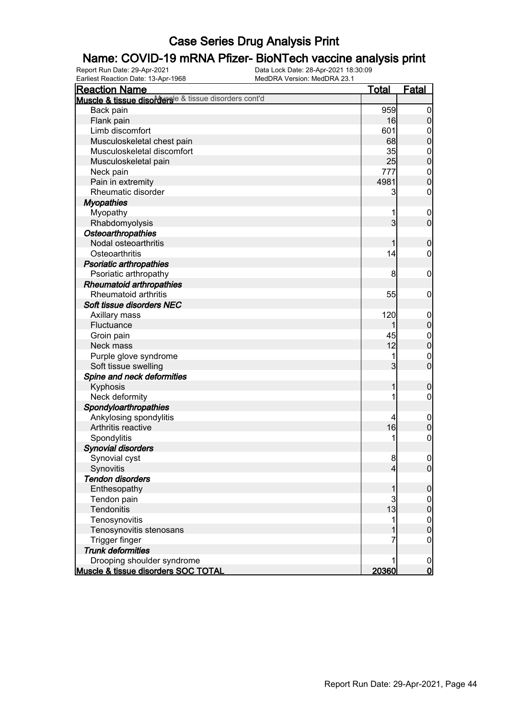#### Name: COVID-19 mRNA Pfizer- BioNTech vaccine analysis print

| <b>Reaction Name</b>                                  | <u>Total</u>   | <b>Fatal</b>                         |
|-------------------------------------------------------|----------------|--------------------------------------|
| Muscle & tissue disordersle & tissue disorders cont'd |                |                                      |
| Back pain                                             | 959            | $\boldsymbol{0}$                     |
| Flank pain                                            | 16             | $\boldsymbol{0}$                     |
| Limb discomfort                                       | 601            |                                      |
| Musculoskeletal chest pain                            | 68             | $0$<br>0                             |
| Musculoskeletal discomfort                            | 35             |                                      |
| Musculoskeletal pain                                  | 25             | $\begin{matrix}0\\0\end{matrix}$     |
| Neck pain                                             | 777            |                                      |
| Pain in extremity                                     | 4981           | $\begin{matrix}0\\0\end{matrix}$     |
| Rheumatic disorder                                    | 3              | $\pmb{0}$                            |
| <b>Myopathies</b>                                     |                |                                      |
| Myopathy                                              | 1              | $\boldsymbol{0}$                     |
| Rhabdomyolysis                                        | $\overline{3}$ | $\overline{0}$                       |
| Osteoarthropathies                                    |                |                                      |
| Nodal osteoarthritis                                  | 1              | $\mathbf 0$                          |
| Osteoarthritis                                        | 14             | $\mathbf 0$                          |
| Psoriatic arthropathies                               |                |                                      |
| Psoriatic arthropathy                                 | 8              | $\mathbf 0$                          |
| <b>Rheumatoid arthropathies</b>                       |                |                                      |
| Rheumatoid arthritis                                  | 55             | $\boldsymbol{0}$                     |
| Soft tissue disorders NEC                             |                |                                      |
| Axillary mass                                         | 120            |                                      |
| Fluctuance                                            |                | $0\atop 0$                           |
| Groin pain                                            | 45             |                                      |
| Neck mass                                             | 12             | $\begin{matrix}0\\0\end{matrix}$     |
| Purple glove syndrome                                 | 1              |                                      |
| Soft tissue swelling                                  | 3              | $\begin{matrix} 0 \\ 0 \end{matrix}$ |
| Spine and neck deformities                            |                |                                      |
| Kyphosis                                              | 1              | $\mathbf 0$                          |
| Neck deformity                                        | 1              | $\mathbf 0$                          |
| Spondyloarthropathies                                 |                |                                      |
| Ankylosing spondylitis                                | 4              | $\boldsymbol{0}$                     |
| Arthritis reactive                                    | 16             | $\mathbf 0$                          |
| Spondylitis                                           | 1              | $\pmb{0}$                            |
| <b>Synovial disorders</b>                             |                |                                      |
| Synovial cyst                                         | 8              | $\boldsymbol{0}$                     |
| Synovitis                                             | $\overline{4}$ | 0                                    |
| <b>Tendon disorders</b>                               |                |                                      |
| Enthesopathy                                          | 1              | $\mathbf 0$                          |
| Tendon pain                                           | 3              |                                      |
| Tendonitis                                            | 13             | $\overline{0}$<br>$\boldsymbol{0}$   |
|                                                       | 1              |                                      |
| Tenosynovitis                                         |                | $\boldsymbol{0}$<br>$\mathbf 0$      |
| Tenosynovitis stenosans                               | 7              |                                      |
| Trigger finger                                        |                | $\mathbf 0$                          |
| <b>Trunk deformities</b>                              |                |                                      |
| Drooping shoulder syndrome                            |                | 0<br>$\overline{0}$                  |
| Muscle & tissue disorders SOC TOTAL                   | 20360          |                                      |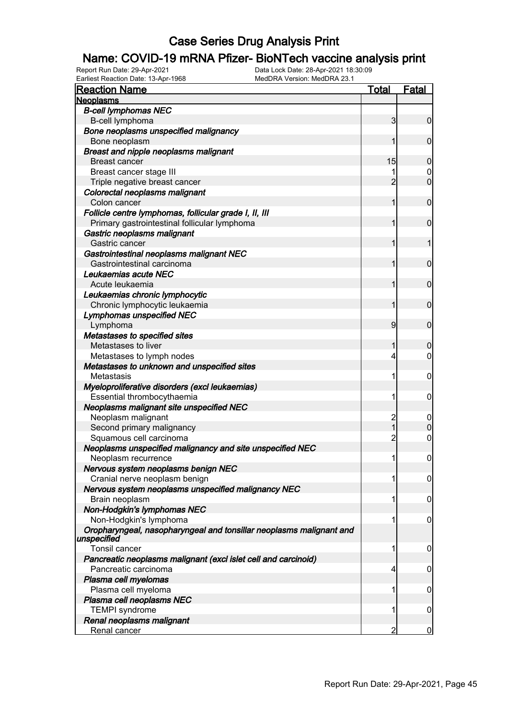#### Name: COVID-19 mRNA Pfizer- BioNTech vaccine analysis print

| <b>Reaction Name</b>                                                | <b>Total</b>   | <b>Fatal</b>     |
|---------------------------------------------------------------------|----------------|------------------|
| <b>Neoplasms</b>                                                    |                |                  |
| <b>B-cell lymphomas NEC</b>                                         |                |                  |
| B-cell lymphoma                                                     | $\mathbf{3}$   | $\boldsymbol{0}$ |
| Bone neoplasms unspecified malignancy                               |                |                  |
| Bone neoplasm                                                       | 1              | $\mathbf 0$      |
| <b>Breast and nipple neoplasms malignant</b>                        |                |                  |
| <b>Breast cancer</b>                                                | 15             | $\boldsymbol{0}$ |
| Breast cancer stage III                                             |                | 0                |
| Triple negative breast cancer                                       | $\overline{2}$ | $\mathbf 0$      |
| Colorectal neoplasms malignant                                      |                |                  |
| Colon cancer                                                        | 1              | $\mathbf 0$      |
| Follicle centre lymphomas, follicular grade I, II, III              |                |                  |
| Primary gastrointestinal follicular lymphoma                        | 1              | $\mathbf 0$      |
| Gastric neoplasms malignant                                         |                |                  |
| Gastric cancer                                                      | 1              | 1                |
| Gastrointestinal neoplasms malignant NEC                            |                |                  |
| Gastrointestinal carcinoma                                          | 1              | $\mathbf 0$      |
| Leukaemias acute NEC                                                |                |                  |
| Acute leukaemia                                                     | 1              | $\mathbf 0$      |
| Leukaemias chronic lymphocytic                                      |                |                  |
| Chronic lymphocytic leukaemia                                       | 1              | $\mathbf 0$      |
| <b>Lymphomas unspecified NEC</b>                                    |                |                  |
| Lymphoma                                                            | 9              | $\mathbf 0$      |
| Metastases to specified sites                                       |                |                  |
| Metastases to liver                                                 | 1              | $\boldsymbol{0}$ |
| Metastases to lymph nodes                                           | 4              | $\mathbf 0$      |
| Metastases to unknown and unspecified sites                         |                |                  |
| Metastasis                                                          | 1              | $\mathbf 0$      |
| Myeloproliferative disorders (excl leukaemias)                      |                |                  |
| Essential thrombocythaemia                                          | 1              | $\mathbf 0$      |
| Neoplasms malignant site unspecified NEC                            |                |                  |
| Neoplasm malignant                                                  | $\overline{c}$ | $\mathbf 0$      |
| Second primary malignancy                                           | $\overline{1}$ | $\mathbf 0$      |
| Squamous cell carcinoma                                             | $\overline{2}$ | $\mathbf 0$      |
| Neoplasms unspecified malignancy and site unspecified NEC           |                |                  |
| Neoplasm recurrence                                                 | 1              | $\boldsymbol{0}$ |
| Nervous system neoplasms benign NEC                                 |                |                  |
| Cranial nerve neoplasm benign                                       | 1              | $\overline{0}$   |
| Nervous system neoplasms unspecified malignancy NEC                 |                |                  |
| Brain neoplasm                                                      | 1              | $\mathbf 0$      |
| Non-Hodgkin's lymphomas NEC                                         |                |                  |
| Non-Hodgkin's lymphoma                                              | 1              | 0                |
| Oropharyngeal, nasopharyngeal and tonsillar neoplasms malignant and |                |                  |
| unspecified                                                         |                |                  |
| Tonsil cancer                                                       | 1              | 0                |
| Pancreatic neoplasms malignant (excl islet cell and carcinoid)      |                |                  |
| Pancreatic carcinoma                                                | 4              | 0                |
| Plasma cell myelomas                                                |                |                  |
| Plasma cell myeloma                                                 | 1              | 0                |
| Plasma cell neoplasms NEC                                           |                |                  |
| <b>TEMPI</b> syndrome                                               | 1              | $\boldsymbol{0}$ |
| Renal neoplasms malignant                                           |                |                  |
| Renal cancer                                                        | 2              | $\overline{0}$   |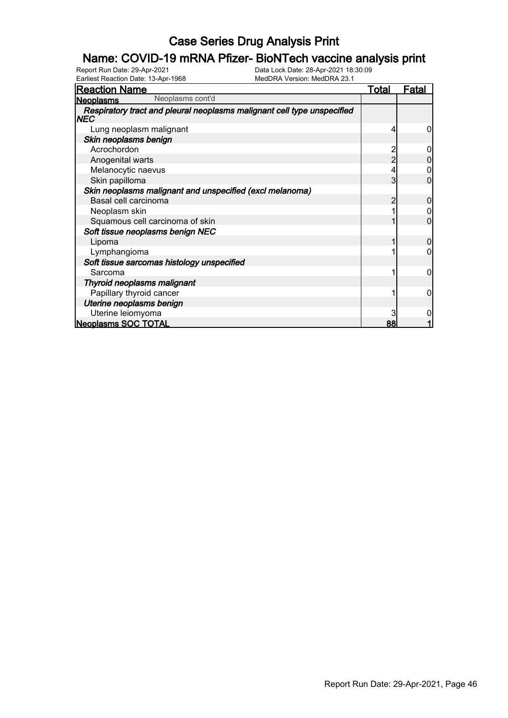# **Name: COVID-19 mRNA Pfizer- BioNTech vaccine analysis print**<br>Report Run Date: 29-Apr-2021<br>Data Lock Date: 28-Apr-2021 18:30:09

Earliest Reaction Date: 13-Apr-1968

| <b>Reaction Name</b>                                                            | <u>Total</u> | <u>Fatal</u> |
|---------------------------------------------------------------------------------|--------------|--------------|
| Neoplasms cont'd<br><b>Neoplasms</b>                                            |              |              |
| Respiratory tract and pleural neoplasms malignant cell type unspecified<br> NEC |              |              |
| Lung neoplasm malignant                                                         |              | 0            |
| Skin neoplasms benign                                                           |              |              |
| Acrochordon                                                                     |              | O            |
| Anogenital warts                                                                | 2            |              |
| Melanocytic naevus                                                              |              |              |
| Skin papilloma                                                                  | 3            |              |
| Skin neoplasms malignant and unspecified (excl melanoma)                        |              |              |
| Basal cell carcinoma                                                            |              |              |
| Neoplasm skin                                                                   |              |              |
| Squamous cell carcinoma of skin                                                 |              |              |
| Soft tissue neoplasms benign NEC                                                |              |              |
| Lipoma                                                                          |              | 0            |
| Lymphangioma                                                                    |              |              |
| Soft tissue sarcomas histology unspecified                                      |              |              |
| Sarcoma                                                                         |              | 0            |
| Thyroid neoplasms malignant                                                     |              |              |
| Papillary thyroid cancer                                                        |              | 0            |
| Uterine neoplasms benign                                                        |              |              |
| Uterine leiomyoma                                                               |              |              |
| <b>Neoplasms SOC TOTAL</b>                                                      | 88           |              |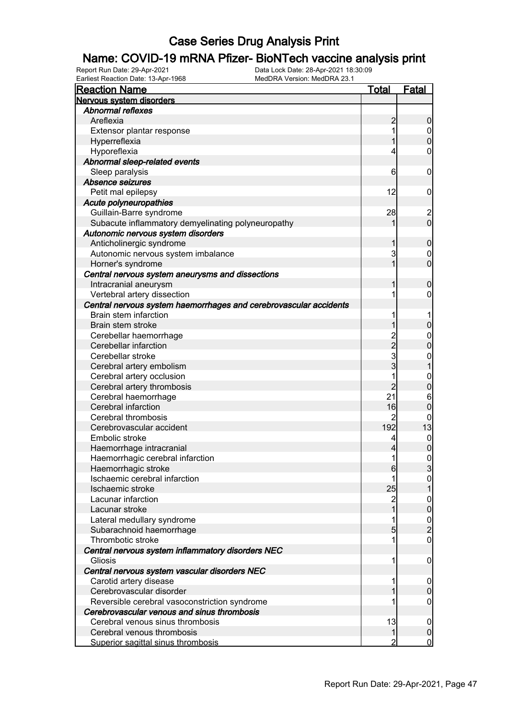# **Name: COVID-19 mRNA Pfizer- BioNTech vaccine analysis print**<br>Report Run Date: 29-Apr-2021<br>Data Lock Date: 28-Apr-2021 18:30:09

Earliest Reaction Date: 13-Apr-1968

| <b>Reaction Name</b>                                              | <b>Total</b>            | <b>Fatal</b>                          |
|-------------------------------------------------------------------|-------------------------|---------------------------------------|
| Nervous system disorders                                          |                         |                                       |
| <b>Abnormal reflexes</b>                                          |                         |                                       |
| Areflexia                                                         | $\overline{c}$          | $\boldsymbol{0}$                      |
| Extensor plantar response                                         | 1                       | $\overline{0}$                        |
| Hyperreflexia                                                     |                         | $\overline{0}$                        |
| Hyporeflexia                                                      | 4                       | $\boldsymbol{0}$                      |
| Abnormal sleep-related events                                     |                         |                                       |
| Sleep paralysis                                                   | 6                       | $\mathbf 0$                           |
| Absence seizures                                                  |                         |                                       |
| Petit mal epilepsy                                                | 12                      | $\mathbf 0$                           |
| Acute polyneuropathies                                            |                         |                                       |
| Guillain-Barre syndrome                                           | 28                      |                                       |
| Subacute inflammatory demyelinating polyneuropathy                |                         | $\begin{array}{c} 2 \\ 0 \end{array}$ |
| Autonomic nervous system disorders                                |                         |                                       |
| Anticholinergic syndrome                                          | 1                       | $\mathbf 0$                           |
| Autonomic nervous system imbalance                                | 3                       | $\mathbf 0$                           |
| Horner's syndrome                                                 | 1                       | $\mathbf 0$                           |
| Central nervous system aneurysms and dissections                  |                         |                                       |
| Intracranial aneurysm                                             |                         | $\mathbf 0$                           |
| Vertebral artery dissection                                       |                         | $\mathbf 0$                           |
| Central nervous system haemorrhages and cerebrovascular accidents |                         |                                       |
| Brain stem infarction                                             |                         |                                       |
| Brain stem stroke                                                 | 1                       | $\mathbf 0$                           |
| Cerebellar haemorrhage                                            |                         | $\mathbf{0}$                          |
| Cerebellar infarction                                             |                         | $\overline{0}$                        |
| Cerebellar stroke                                                 | 2<br>2<br>3<br>3        | $\mathbf{0}$                          |
| Cerebral artery embolism                                          |                         | $\mathbf{1}$                          |
| Cerebral artery occlusion                                         | 1                       | $\mathbf{0}$                          |
| Cerebral artery thrombosis                                        | $\overline{2}$          | $\mathbf 0$                           |
| Cerebral haemorrhage                                              | 21                      | 6                                     |
| Cerebral infarction                                               | 16                      | $\mathbf 0$                           |
| Cerebral thrombosis                                               | $\overline{c}$          | 0                                     |
| Cerebrovascular accident                                          | 192                     | 13                                    |
| Embolic stroke                                                    | 4                       |                                       |
| Haemorrhage intracranial                                          | 4                       | $0$<br>0                              |
| Haemorrhagic cerebral infarction                                  | 1                       | $\pmb{0}$                             |
| Haemorrhagic stroke                                               | $6 \,$                  | 3                                     |
| Ischaemic cerebral infarction                                     |                         | $\overline{0}$                        |
| Ischaemic stroke                                                  | 25                      |                                       |
| Lacunar infarction                                                | $\overline{\mathbf{c}}$ | $\mathbf{0}$                          |
| Lacunar stroke                                                    |                         | $\overline{0}$                        |
| Lateral medullary syndrome                                        |                         |                                       |
| Subarachnoid haemorrhage                                          | 5                       | $\frac{0}{2}$                         |
| Thrombotic stroke                                                 |                         | $\boldsymbol{0}$                      |
| Central nervous system inflammatory disorders NEC                 |                         |                                       |
| Gliosis                                                           | 1                       | $\mathbf 0$                           |
| Central nervous system vascular disorders NEC                     |                         |                                       |
| Carotid artery disease                                            |                         | $\mathbf 0$                           |
| Cerebrovascular disorder                                          |                         | $\pmb{0}$                             |
| Reversible cerebral vasoconstriction syndrome                     |                         | $\boldsymbol{0}$                      |
| Cerebrovascular venous and sinus thrombosis                       |                         |                                       |
| Cerebral venous sinus thrombosis                                  | 13                      | $\mathbf 0$                           |
| Cerebral venous thrombosis                                        | $\mathbf{1}$            | $\mathbf 0$                           |
| Superior sagittal sinus thrombosis                                | 2                       | 0                                     |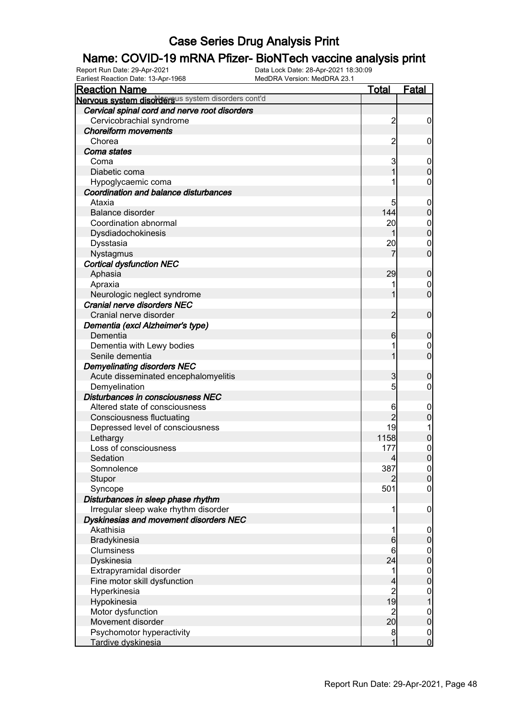# **Name: COVID-19 mRNA Pfizer- BioNTech vaccine analysis print**<br>Report Run Date: 29-Apr-2021<br>Data Lock Date: 28-Apr-2021 18:30:09

Earliest Reaction Date: 13-Apr-1968

| <b>Reaction Name</b>                               | <b>Total</b>                           | <b>Fatal</b>                           |
|----------------------------------------------------|----------------------------------------|----------------------------------------|
| Nervous system disordersus system disorders cont'd |                                        |                                        |
| Cervical spinal cord and nerve root disorders      |                                        |                                        |
| Cervicobrachial syndrome                           | $\overline{2}$                         | $\mathbf 0$                            |
| <b>Choreiform movements</b>                        |                                        |                                        |
| Chorea                                             | $\overline{2}$                         | 0                                      |
| Coma states                                        |                                        |                                        |
| Coma                                               | 3                                      | $\mathbf 0$                            |
| Diabetic coma                                      |                                        | $\mathbf 0$                            |
| Hypoglycaemic coma                                 |                                        | 0                                      |
| Coordination and balance disturbances              |                                        |                                        |
| Ataxia                                             | 5                                      | $\mathbf 0$                            |
| Balance disorder                                   | 144                                    | $\mathbf 0$                            |
| Coordination abnormal                              | 20                                     | $\mathbf 0$                            |
| Dysdiadochokinesis                                 |                                        | $\mathbf 0$                            |
| Dysstasia                                          | 20                                     | 0                                      |
| Nystagmus                                          |                                        | $\overline{0}$                         |
| <b>Cortical dysfunction NEC</b>                    |                                        |                                        |
| Aphasia                                            | 29                                     | $\boldsymbol{0}$                       |
| Apraxia                                            |                                        | 0                                      |
| Neurologic neglect syndrome                        |                                        | $\overline{0}$                         |
| Cranial nerve disorders NEC                        |                                        |                                        |
| Cranial nerve disorder                             | $\overline{2}$                         | $\mathbf 0$                            |
| Dementia (excl Alzheimer's type)                   |                                        |                                        |
| Dementia                                           | $6 \mid$                               | $\mathbf 0$                            |
| Dementia with Lewy bodies                          |                                        | 0                                      |
| Senile dementia                                    |                                        | $\overline{0}$                         |
| <b>Demyelinating disorders NEC</b>                 |                                        |                                        |
| Acute disseminated encephalomyelitis               | 3                                      | $\boldsymbol{0}$                       |
| Demyelination                                      | 5                                      | 0                                      |
| Disturbances in consciousness NEC                  |                                        |                                        |
| Altered state of consciousness                     | 6                                      | $\mathbf 0$                            |
| <b>Consciousness fluctuating</b>                   | $\overline{2}$                         | $\mathbf 0$                            |
| Depressed level of consciousness                   | 19                                     |                                        |
| Lethargy                                           | 1158                                   | $\mathbf 0$                            |
| Loss of consciousness                              | 177                                    | $\mathbf{0}$                           |
| Sedation                                           | 4                                      | $\mathbf 0$                            |
| Somnolence                                         | 387                                    | $\begin{bmatrix} 0 \\ 0 \end{bmatrix}$ |
| Stupor                                             | 2                                      |                                        |
| Syncope                                            | 501                                    | $\overline{0}$                         |
| Disturbances in sleep phase rhythm                 |                                        |                                        |
| Irregular sleep wake rhythm disorder               |                                        | $\mathbf 0$                            |
| Dyskinesias and movement disorders NEC             |                                        |                                        |
| Akathisia                                          |                                        | $\mathbf 0$                            |
| Bradykinesia                                       | $6 \,$                                 | $\pmb{0}$                              |
| <b>Clumsiness</b>                                  | 6                                      | $0$<br>0                               |
| Dyskinesia                                         | 24                                     |                                        |
| Extrapyramidal disorder                            | 1                                      | $\begin{matrix} 0 \\ 0 \end{matrix}$   |
| Fine motor skill dysfunction                       | 4                                      |                                        |
| Hyperkinesia                                       | $\begin{array}{c} 2 \\ 19 \end{array}$ | $\mathbf{0}$                           |
| Hypokinesia                                        |                                        | $\overline{1}$                         |
| Motor dysfunction                                  | $\mathbf{z}$                           | $0$<br>0                               |
| Movement disorder                                  | 20                                     |                                        |
| Psychomotor hyperactivity                          | 8                                      | $\frac{0}{0}$                          |
| Tardive dyskinesia                                 | 1                                      |                                        |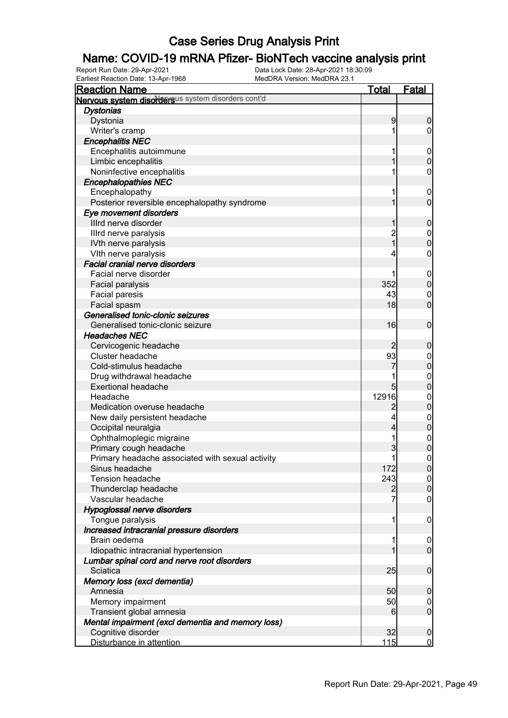#### Name: COVID-19 mRNA Pfizer- BioNTech vaccine analysis print

| <b>Reaction Name</b>                               | <u>Total</u>   | <b>Fatal</b>                     |
|----------------------------------------------------|----------------|----------------------------------|
| Nervous system disordersus system disorders cont'd |                |                                  |
| <b>Dystonias</b>                                   |                |                                  |
| Dystonia                                           | 9              | $\boldsymbol{0}$                 |
| Writer's cramp                                     | 1              | $\overline{0}$                   |
| <b>Encephalitis NEC</b>                            |                |                                  |
| Encephalitis autoimmune                            | 1              | $\mathbf{0}$                     |
| Limbic encephalitis                                | 1              | $\overline{0}$                   |
| Noninfective encephalitis                          | 1              | 0                                |
| <b>Encephalopathies NEC</b>                        |                |                                  |
| Encephalopathy                                     | 1              | $\mathbf 0$                      |
| Posterior reversible encephalopathy syndrome       | 1              | $\overline{0}$                   |
| Eye movement disorders                             |                |                                  |
| Illrd nerve disorder                               | 1              | $\mathbf 0$                      |
| Illrd nerve paralysis                              | $\overline{2}$ |                                  |
| IVth nerve paralysis                               | _<br>1         | $\begin{matrix}0\\0\end{matrix}$ |
| VIth nerve paralysis                               | 4              | $\mathbf 0$                      |
| <b>Facial cranial nerve disorders</b>              |                |                                  |
| Facial nerve disorder                              |                | $\mathbf{0}$                     |
| Facial paralysis                                   | 352            | $\overline{0}$                   |
| <b>Facial paresis</b>                              | 43             |                                  |
| Facial spasm                                       | 18             | $\begin{matrix}0\\0\end{matrix}$ |
| Generalised tonic-clonic seizures                  |                |                                  |
| Generalised tonic-clonic seizure                   | 16             | $\mathbf 0$                      |
| <b>Headaches NEC</b>                               |                |                                  |
| Cervicogenic headache                              |                | $\mathbf 0$                      |
| Cluster headache                                   | 93             |                                  |
| Cold-stimulus headache                             |                | $0\atop 0$                       |
| Drug withdrawal headache                           | 1              |                                  |
| <b>Exertional headache</b>                         | 5              | $\begin{matrix}0\\0\end{matrix}$ |
| Headache                                           | 12916          |                                  |
| Medication overuse headache                        | 2              | $0\atop 0$                       |
| New daily persistent headache                      | 4              |                                  |
| Occipital neuralgia                                | 4              | $\begin{matrix}0\\0\end{matrix}$ |
| Ophthalmoplegic migraine                           | 1              |                                  |
| Primary cough headache                             | 3              | $\begin{matrix}0\\0\end{matrix}$ |
| Primary headache associated with sexual activity   | 1              | $\overline{0}$                   |
| Sinus headache                                     | 172            | 0                                |
| <b>Tension headache</b>                            | 243            | $\overline{0}$                   |
| Thunderclap headache                               | $\overline{2}$ | $\boldsymbol{0}$                 |
| Vascular headache                                  | 7              | $\boldsymbol{0}$                 |
| Hypoglossal nerve disorders                        |                |                                  |
| Tongue paralysis                                   | 1              | $\mathbf 0$                      |
| Increased intracranial pressure disorders          |                |                                  |
| Brain oedema                                       | 1              | $\mathbf 0$                      |
| Idiopathic intracranial hypertension               | 1              | $\overline{0}$                   |
| Lumbar spinal cord and nerve root disorders        |                |                                  |
| Sciatica                                           | 25             | $\boldsymbol{0}$                 |
| Memory loss (excl dementia)                        |                |                                  |
| Amnesia                                            | 50             | $\mathbf 0$                      |
| Memory impairment                                  | 50             | $\mathbf 0$                      |
| Transient global amnesia                           | 6              | $\mathbf 0$                      |
| Mental impairment (excl dementia and memory loss)  |                |                                  |
| Cognitive disorder                                 | 32             | $\boldsymbol{0}$                 |
| Disturbance in attention                           | 115            | $\overline{0}$                   |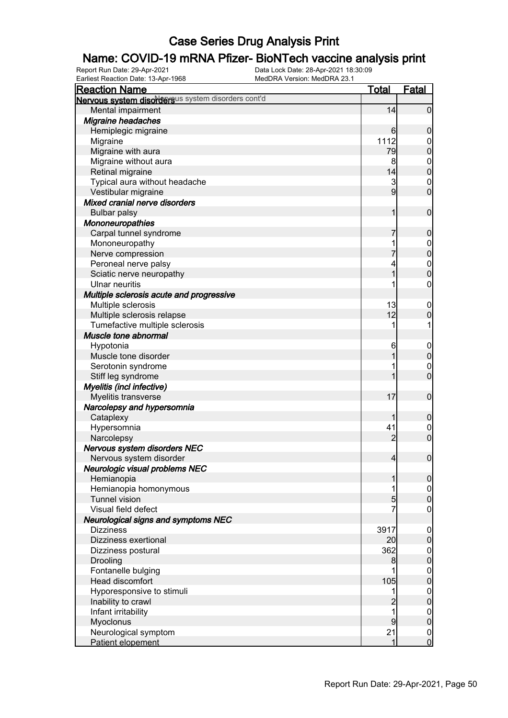# **Name: COVID-19 mRNA Pfizer- BioNTech vaccine analysis print**<br>Report Run Date: 29-Apr-2021<br>Data Lock Date: 28-Apr-2021 18:30:09

Earliest Reaction Date: 13-Apr-1968

| $\frac{1}{2}$<br><b>Reaction Name</b>                                                                                                               | <u>Total</u>                          | Fatal                                                                                                             |
|-----------------------------------------------------------------------------------------------------------------------------------------------------|---------------------------------------|-------------------------------------------------------------------------------------------------------------------|
| Nervous system disordersus system disorders cont'd                                                                                                  |                                       |                                                                                                                   |
| Mental impairment                                                                                                                                   | 14                                    | $\overline{0}$                                                                                                    |
| <b>Migraine headaches</b>                                                                                                                           |                                       |                                                                                                                   |
| Hemiplegic migraine                                                                                                                                 | 6                                     | $\boldsymbol{0}$                                                                                                  |
| Migraine                                                                                                                                            | 1112                                  | $\boldsymbol{0}$                                                                                                  |
| Migraine with aura                                                                                                                                  | 79                                    | $\mathbf 0$                                                                                                       |
| Migraine without aura                                                                                                                               | 8                                     | $\mathbf 0$                                                                                                       |
| Retinal migraine                                                                                                                                    | 14                                    | $\mathbf 0$                                                                                                       |
| Typical aura without headache                                                                                                                       | 3                                     | $\mathbf 0$                                                                                                       |
| Vestibular migraine                                                                                                                                 | 9                                     | $\mathbf 0$                                                                                                       |
| Mixed cranial nerve disorders                                                                                                                       |                                       |                                                                                                                   |
| <b>Bulbar palsy</b>                                                                                                                                 |                                       | $\mathbf 0$                                                                                                       |
| Mononeuropathies                                                                                                                                    |                                       |                                                                                                                   |
| Carpal tunnel syndrome                                                                                                                              |                                       | $\boldsymbol{0}$                                                                                                  |
| Mononeuropathy                                                                                                                                      |                                       | $\mathbf 0$                                                                                                       |
| Nerve compression                                                                                                                                   |                                       | $\mathbf 0$                                                                                                       |
| Peroneal nerve palsy                                                                                                                                |                                       | $\boldsymbol{0}$                                                                                                  |
| Sciatic nerve neuropathy                                                                                                                            |                                       | $\overline{0}$                                                                                                    |
| Ulnar neuritis                                                                                                                                      |                                       | 0                                                                                                                 |
| Multiple sclerosis acute and progressive                                                                                                            |                                       |                                                                                                                   |
| Multiple sclerosis                                                                                                                                  | 13                                    | $\boldsymbol{0}$                                                                                                  |
| Multiple sclerosis relapse                                                                                                                          | 12                                    | $\mathbf 0$                                                                                                       |
| Tumefactive multiple sclerosis                                                                                                                      |                                       |                                                                                                                   |
| Muscle tone abnormal                                                                                                                                |                                       |                                                                                                                   |
| Hypotonia                                                                                                                                           | 6                                     | $\mathbf 0$                                                                                                       |
| Muscle tone disorder                                                                                                                                |                                       | $\mathbf 0$                                                                                                       |
| Serotonin syndrome                                                                                                                                  |                                       | $\boldsymbol{0}$                                                                                                  |
| Stiff leg syndrome                                                                                                                                  |                                       | $\overline{0}$                                                                                                    |
| Myelitis (incl infective)                                                                                                                           |                                       |                                                                                                                   |
| Myelitis transverse                                                                                                                                 | 17                                    | $\mathbf 0$                                                                                                       |
| Narcolepsy and hypersomnia                                                                                                                          |                                       |                                                                                                                   |
|                                                                                                                                                     |                                       | $\boldsymbol{0}$                                                                                                  |
| Cataplexy                                                                                                                                           | 41                                    |                                                                                                                   |
| Hypersomnia<br>Narcolepsy                                                                                                                           | 2                                     | $\boldsymbol{0}$<br>$\overline{0}$                                                                                |
| Nervous system disorders NEC                                                                                                                        |                                       |                                                                                                                   |
| Nervous system disorder                                                                                                                             | $\overline{4}$                        | $\boldsymbol{0}$                                                                                                  |
| Neurologic visual problems NEC                                                                                                                      |                                       |                                                                                                                   |
| Hemianopia                                                                                                                                          |                                       | 0                                                                                                                 |
| Hemianopia homonymous                                                                                                                               |                                       |                                                                                                                   |
| <b>Tunnel vision</b>                                                                                                                                | 5                                     | $\overline{0}$<br>$\mathbf 0$                                                                                     |
| Visual field defect                                                                                                                                 |                                       |                                                                                                                   |
|                                                                                                                                                     |                                       | $\mathbf 0$                                                                                                       |
| Neurological signs and symptoms NEC<br><b>Dizziness</b>                                                                                             |                                       |                                                                                                                   |
| Dizziness exertional                                                                                                                                | 3917                                  | $\mathbf 0$<br>$\pmb{0}$                                                                                          |
|                                                                                                                                                     | 20                                    |                                                                                                                   |
| Dizziness postural                                                                                                                                  | 362                                   | $\mathbf 0$<br>$\mathbf 0$                                                                                        |
| Drooling                                                                                                                                            | 8                                     |                                                                                                                   |
| Fontanelle bulging                                                                                                                                  |                                       | $\boldsymbol{0}$                                                                                                  |
|                                                                                                                                                     |                                       |                                                                                                                   |
|                                                                                                                                                     |                                       |                                                                                                                   |
|                                                                                                                                                     |                                       |                                                                                                                   |
|                                                                                                                                                     |                                       |                                                                                                                   |
|                                                                                                                                                     |                                       |                                                                                                                   |
|                                                                                                                                                     |                                       |                                                                                                                   |
| Head discomfort<br>Hyporesponsive to stimuli<br>Inability to crawl<br>Infant irritability<br>Myoclonus<br>Neurological symptom<br>Patient elopement | 105<br>$\overline{2}$<br>9<br>21<br>1 | $\mathbf 0$<br>$\boldsymbol{0}$<br>$\mathbf 0$<br>$\overline{0}$<br>$\pmb{0}$<br>$\overline{0}$<br>$\overline{0}$ |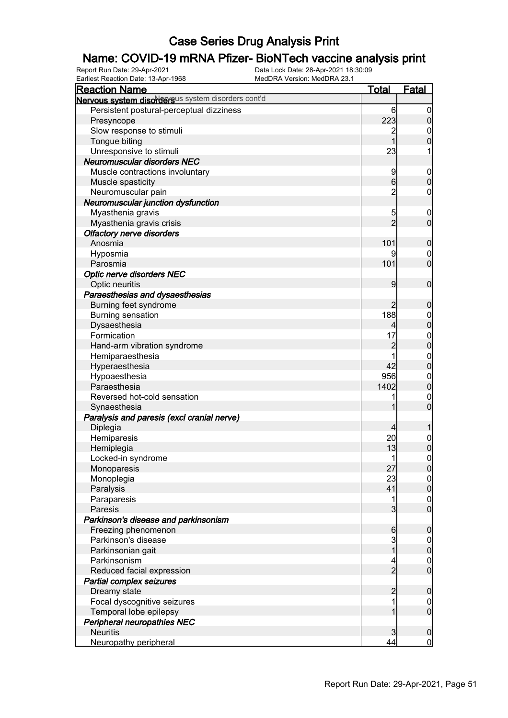# **Name: COVID-19 mRNA Pfizer- BioNTech vaccine analysis print**<br>Report Run Date: 29-Apr-2021<br>Data Lock Date: 28-Apr-2021 18:30:09

Earliest Reaction Date: 13-Apr-1968

| <b>Properties Pate:</b> 10 Mpi<br><b>Reaction Name</b> | <u>Total</u>    | <b>Fatal</b>     |
|--------------------------------------------------------|-----------------|------------------|
| Nervous system disordersus system disorders cont'd     |                 |                  |
| Persistent postural-perceptual dizziness               | 6               | $\boldsymbol{0}$ |
| Presyncope                                             | 223             | $\mathbf 0$      |
| Slow response to stimuli                               | $\overline{c}$  | 0                |
| Tongue biting                                          | 1               | $\mathbf 0$      |
| Unresponsive to stimuli                                | 23              |                  |
| Neuromuscular disorders NEC                            |                 |                  |
| Muscle contractions involuntary                        | 9               | $\mathbf 0$      |
| Muscle spasticity                                      | $6 \,$          | $\mathbf 0$      |
| Neuromuscular pain                                     | $\overline{c}$  | $\mathbf 0$      |
| Neuromuscular junction dysfunction                     |                 |                  |
| Myasthenia gravis                                      | 5               | $\boldsymbol{0}$ |
| Myasthenia gravis crisis                               | $\overline{2}$  | $\mathbf 0$      |
| <b>Olfactory nerve disorders</b>                       |                 |                  |
| Anosmia                                                | 101             | $\boldsymbol{0}$ |
| Hyposmia                                               |                 | $\boldsymbol{0}$ |
| Parosmia                                               | 101             | $\mathbf 0$      |
|                                                        |                 |                  |
| <b>Optic nerve disorders NEC</b>                       | 9               | $\mathbf 0$      |
| Optic neuritis                                         |                 |                  |
| Paraesthesias and dysaesthesias                        |                 |                  |
| Burning feet syndrome                                  | 2               | $\boldsymbol{0}$ |
| <b>Burning sensation</b>                               | 188             | $\mathbf 0$      |
| Dysaesthesia                                           | 4               | $\overline{0}$   |
| Formication                                            | 17              | $\mathbf{0}$     |
| Hand-arm vibration syndrome                            | $\overline{c}$  | $\overline{0}$   |
| Hemiparaesthesia                                       |                 | $\boldsymbol{0}$ |
| Hyperaesthesia                                         | 42              | $\overline{0}$   |
| Hypoaesthesia                                          | 956             | $\boldsymbol{0}$ |
| Paraesthesia                                           | 1402            | $\mathbf 0$      |
| Reversed hot-cold sensation                            |                 | $\mathbf 0$      |
| Synaesthesia                                           |                 | $\overline{0}$   |
| Paralysis and paresis (excl cranial nerve)             |                 |                  |
| Diplegia                                               | 4               |                  |
| Hemiparesis                                            | 20              | $\boldsymbol{0}$ |
| Hemiplegia                                             | 13              | $\overline{0}$   |
| Locked-in syndrome                                     | 1               | $\mathbf 0$      |
| Monoparesis                                            | 27              | 0                |
| Monoplegia                                             | 23              | 0                |
| Paralysis                                              | 41              | $\overline{0}$   |
| Paraparesis                                            | 1               | $\boldsymbol{0}$ |
| Paresis                                                | $\overline{3}$  | $\overline{0}$   |
| Parkinson's disease and parkinsonism                   |                 |                  |
| Freezing phenomenon                                    | $6\phantom{.0}$ | $\boldsymbol{0}$ |
| Parkinson's disease                                    | 3               | $\boldsymbol{0}$ |
| Parkinsonian gait                                      | 1               | $\mathbf 0$      |
| Parkinsonism                                           | 4               | $\boldsymbol{0}$ |
| Reduced facial expression                              | $\overline{2}$  | $\overline{0}$   |
| Partial complex seizures                               |                 |                  |
| Dreamy state                                           | $\overline{2}$  | $\boldsymbol{0}$ |
| Focal dyscognitive seizures                            |                 | $\mathbf 0$      |
| Temporal lobe epilepsy                                 |                 | $\boldsymbol{0}$ |
| Peripheral neuropathies NEC                            |                 |                  |
| <b>Neuritis</b>                                        | $\mathbf{3}$    | $\mathbf 0$      |
| Neuropathy peripheral                                  | 44              | $\overline{0}$   |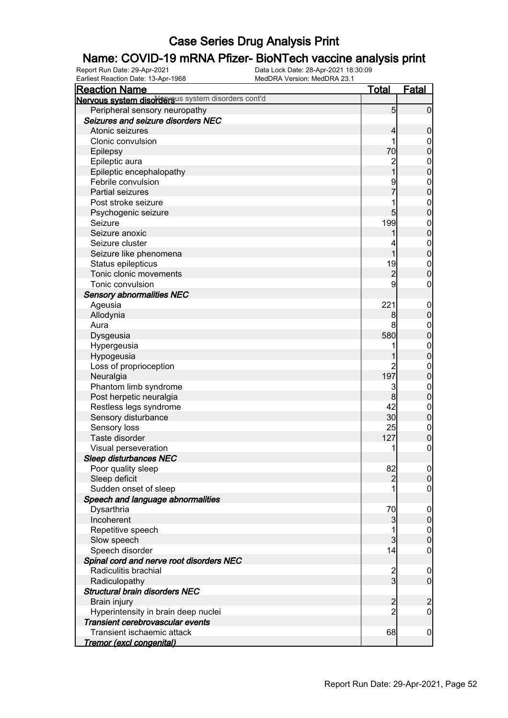# **Name: COVID-19 mRNA Pfizer- BioNTech vaccine analysis print**<br>Report Run Date: 29-Apr-2021<br>Data Lock Date: 28-Apr-2021 18:30:09

Earliest Reaction Date: 13-Apr-1968

| $\frac{1}{2}$<br><b>Reaction Name</b>              | <u>Total</u>    | <b>Fatal</b>     |
|----------------------------------------------------|-----------------|------------------|
| Nervous system disordersus system disorders cont'd |                 |                  |
| Peripheral sensory neuropathy                      | $5\overline{)}$ | $\overline{0}$   |
| Seizures and seizure disorders NEC                 |                 |                  |
| Atonic seizures                                    | 4               | $\boldsymbol{0}$ |
| Clonic convulsion                                  |                 | $\mathbf 0$      |
| Epilepsy                                           | 70              | $\mathbf 0$      |
| Epileptic aura                                     |                 | $\boldsymbol{0}$ |
| Epileptic encephalopathy                           | 2<br>1          | $\mathbf 0$      |
| Febrile convulsion                                 |                 | $\boldsymbol{0}$ |
| Partial seizures                                   |                 | $\overline{0}$   |
| Post stroke seizure                                |                 | $\boldsymbol{0}$ |
| Psychogenic seizure                                | 5               | $\mathbf 0$      |
| Seizure                                            | 199             | $\boldsymbol{0}$ |
| Seizure anoxic                                     |                 | $\overline{0}$   |
| Seizure cluster                                    |                 | $\boldsymbol{0}$ |
| Seizure like phenomena                             |                 | $\overline{0}$   |
| Status epilepticus                                 | 19              | $\boldsymbol{0}$ |
| Tonic clonic movements                             | $\overline{c}$  | $\mathbf 0$      |
| Tonic convulsion                                   | 9               | 0                |
| <b>Sensory abnormalities NEC</b>                   |                 |                  |
| Ageusia                                            | 221             | $\mathbf 0$      |
| Allodynia                                          | 8               | $\mathbf 0$      |
| Aura                                               |                 | $\mathbf 0$      |
| Dysgeusia                                          | 580             | $\mathbf 0$      |
| Hypergeusia                                        |                 | $\boldsymbol{0}$ |
| Hypogeusia                                         |                 | $\mathbf 0$      |
| Loss of proprioception                             |                 | $\boldsymbol{0}$ |
| Neuralgia                                          | 197             | $\mathbf 0$      |
| Phantom limb syndrome                              | 3               | $\boldsymbol{0}$ |
| Post herpetic neuralgia                            | 8               | $\pmb{0}$        |
| Restless legs syndrome                             | 42              | $\boldsymbol{0}$ |
| Sensory disturbance                                | 30              | $\pmb{0}$        |
| Sensory loss                                       | 25              | $\boldsymbol{0}$ |
| Taste disorder                                     | 127             | $\pmb{0}$        |
| Visual perseveration                               |                 | $\boldsymbol{0}$ |
| <b>Sleep disturbances NEC</b>                      |                 |                  |
| Poor quality sleep                                 | 82              | 0                |
| Sleep deficit                                      | 2               | $\overline{0}$   |
| Sudden onset of sleep                              |                 | 0                |
| Speech and language abnormalities                  |                 |                  |
| Dysarthria                                         | 70              | $\mathbf 0$      |
| Incoherent                                         | 3               | $\boldsymbol{0}$ |
| Repetitive speech                                  |                 | $\overline{0}$   |
| Slow speech                                        | 3               | $\overline{0}$   |
| Speech disorder                                    | 14              | $\boldsymbol{0}$ |
| Spinal cord and nerve root disorders NEC           |                 |                  |
| Radiculitis brachial                               |                 | $\mathbf 0$      |
| Radiculopathy                                      | $\frac{2}{3}$   | $\overline{0}$   |
| <b>Structural brain disorders NEC</b>              |                 |                  |
| Brain injury                                       | $\overline{2}$  | $\overline{c}$   |
| Hyperintensity in brain deep nuclei                | $\overline{c}$  | $\boldsymbol{0}$ |
| Transient cerebrovascular events                   |                 |                  |
| Transient ischaemic attack                         | 68              | $\overline{0}$   |
| <u>Tremor (excl congenital)</u>                    |                 |                  |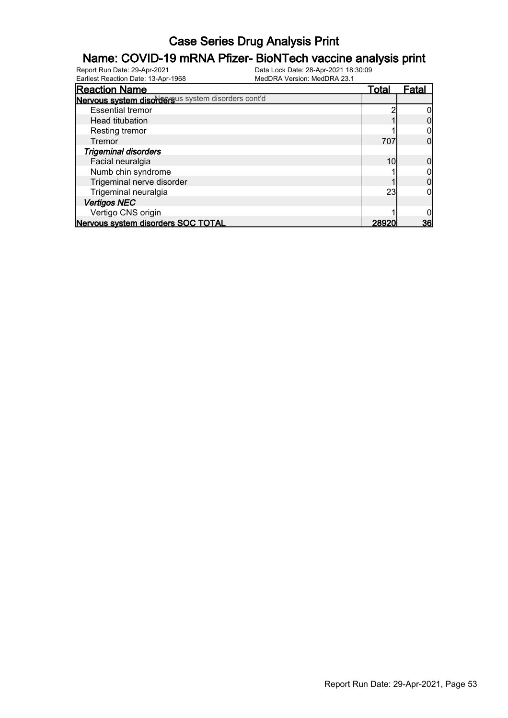#### Name: COVID-19 mRNA Pfizer- BioNTech vaccine analysis print

| <b>Reaction Name</b>                               | Total | Fatal |
|----------------------------------------------------|-------|-------|
| Nervous system disordersus system disorders cont'd |       |       |
| <b>Essential tremor</b>                            |       |       |
| <b>Head titubation</b>                             |       |       |
| Resting tremor                                     |       |       |
| Tremor                                             | 707   |       |
| <b>Trigeminal disorders</b>                        |       |       |
| Facial neuralgia                                   | 10    |       |
| Numb chin syndrome                                 |       |       |
| Trigeminal nerve disorder                          |       |       |
| Trigeminal neuralgia                               | 23    |       |
| <b>Vertigos NEC</b>                                |       |       |
| Vertigo CNS origin                                 |       |       |
| Nervous system disorders SOC TOTAL                 | 28920 | 36    |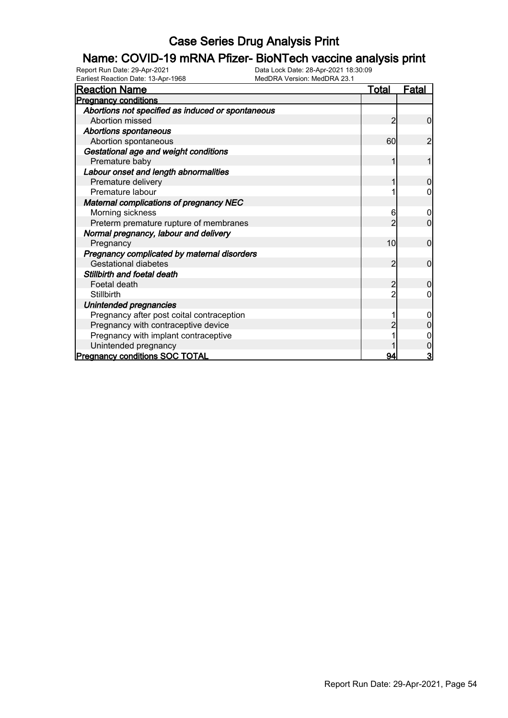# **Name: COVID-19 mRNA Pfizer- BioNTech vaccine analysis print**<br>Report Run Date: 29-Apr-2021<br>Data Lock Date: 28-Apr-2021 18:30:09

Earliest Reaction Date: 13-Apr-1968

| <b>Reaction Name</b>                              | Total          | Fatal          |
|---------------------------------------------------|----------------|----------------|
| <b>Pregnancy conditions</b>                       |                |                |
| Abortions not specified as induced or spontaneous |                |                |
| Abortion missed                                   | 2              | $\overline{0}$ |
| <b>Abortions spontaneous</b>                      |                |                |
| Abortion spontaneous                              | 60             | $\overline{c}$ |
| Gestational age and weight conditions             |                |                |
| Premature baby                                    |                |                |
| Labour onset and length abnormalities             |                |                |
| Premature delivery                                |                | $\Omega$       |
| Premature labour                                  |                | 0              |
| <b>Maternal complications of pregnancy NEC</b>    |                |                |
| Morning sickness                                  | 6              | 0              |
| Preterm premature rupture of membranes            |                | $\overline{0}$ |
| Normal pregnancy, labour and delivery             |                |                |
| Pregnancy                                         | 10             | $\mathbf 0$    |
| Pregnancy complicated by maternal disorders       |                |                |
| <b>Gestational diabetes</b>                       | 2              | $\mathbf{0}$   |
| Stillbirth and foetal death                       |                |                |
| Foetal death                                      | $\overline{c}$ | 0              |
| <b>Stillbirth</b>                                 |                | 0              |
| Unintended pregnancies                            |                |                |
| Pregnancy after post coital contraception         |                |                |
| Pregnancy with contraceptive device               |                |                |
| Pregnancy with implant contraceptive              |                |                |
| Unintended pregnancy                              |                |                |
| <b>Pregnancy conditions SOC TOTAL</b>             | 94             | 3              |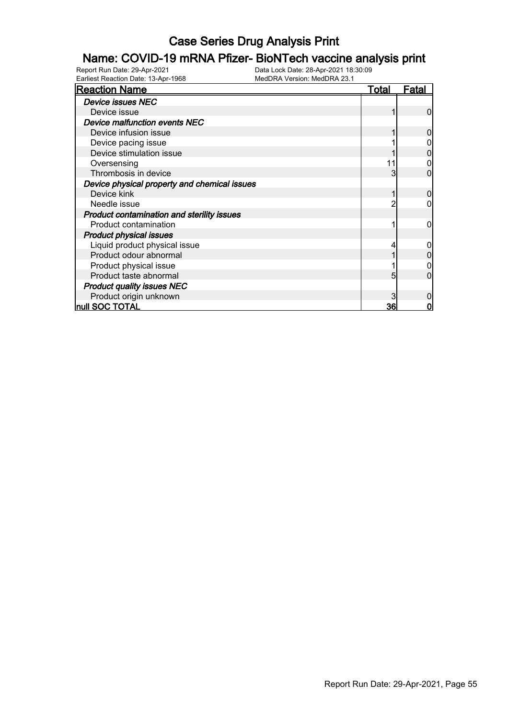# **Name: COVID-19 mRNA Pfizer- BioNTech vaccine analysis print**<br>Report Run Date: 29-Apr-2021<br>Data Lock Date: 28-Apr-2021 18:30:09

Earliest Reaction Date: 13-Apr-1968

| <b>Reaction Name</b>                              | <b>Total</b> | Fatal |
|---------------------------------------------------|--------------|-------|
| <b>Device issues NEC</b>                          |              |       |
| Device issue                                      |              | 0     |
| <b>Device malfunction events NEC</b>              |              |       |
| Device infusion issue                             |              |       |
| Device pacing issue                               |              |       |
| Device stimulation issue                          |              |       |
| Oversensing                                       | 11           |       |
| Thrombosis in device                              | 3            | 0     |
| Device physical property and chemical issues      |              |       |
| Device kink                                       |              | 0     |
| Needle issue                                      |              |       |
| <b>Product contamination and sterility issues</b> |              |       |
| Product contamination                             |              |       |
| <b>Product physical issues</b>                    |              |       |
| Liquid product physical issue                     |              |       |
| Product odour abnormal                            |              |       |
| Product physical issue                            |              |       |
| Product taste abnormal                            |              |       |
| <b>Product quality issues NEC</b>                 |              |       |
| Product origin unknown                            |              |       |
| null SOC TOTAL                                    | 36           | 0     |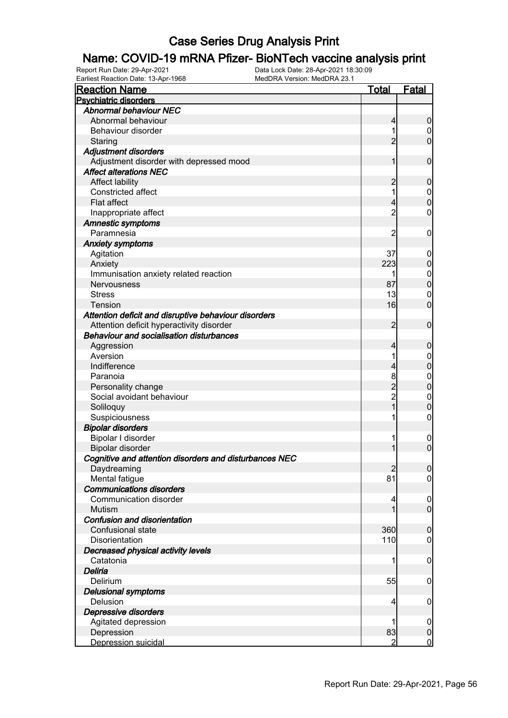# **Name: COVID-19 mRNA Pfizer- BioNTech vaccine analysis print**<br>Report Run Date: 29-Apr-2021<br>Data Lock Date: 28-Apr-2021 18:30:09

Earliest Reaction Date: 13-Apr-1968

| <b>Reaction Name</b>                                   | <u>Total</u>   | Fatal            |
|--------------------------------------------------------|----------------|------------------|
| <b>Psychiatric disorders</b>                           |                |                  |
| <b>Abnormal behaviour NEC</b>                          |                |                  |
| Abnormal behaviour                                     | 4              | $\overline{0}$   |
| Behaviour disorder                                     |                | 0                |
| Staring                                                | $\overline{2}$ | $\overline{0}$   |
| <b>Adjustment disorders</b>                            |                |                  |
| Adjustment disorder with depressed mood                |                | $\mathbf 0$      |
| <b>Affect alterations NEC</b>                          |                |                  |
| <b>Affect lability</b>                                 | 2              | $\mathbf 0$      |
| Constricted affect                                     |                | $\boldsymbol{0}$ |
| Flat affect                                            | 4              | $\mathbf 0$      |
| Inappropriate affect                                   | $\overline{c}$ | 0                |
| <b>Amnestic symptoms</b>                               |                |                  |
| Paramnesia                                             | $\overline{c}$ | $\mathbf 0$      |
| <b>Anxiety symptoms</b>                                |                |                  |
| Agitation                                              | 37             | $\mathbf 0$      |
| Anxiety                                                | 223            | $\boldsymbol{0}$ |
| Immunisation anxiety related reaction                  |                | $\boldsymbol{0}$ |
| Nervousness                                            | 87             | $\mathbf 0$      |
| <b>Stress</b>                                          | 13             | $\mathbf 0$      |
| Tension                                                | 16             | $\overline{0}$   |
| Attention deficit and disruptive behaviour disorders   |                |                  |
| Attention deficit hyperactivity disorder               | $\overline{2}$ | $\mathbf 0$      |
| <b>Behaviour and socialisation disturbances</b>        |                |                  |
| Aggression                                             | 4              | $\boldsymbol{0}$ |
| Aversion                                               |                | $\boldsymbol{0}$ |
| Indifference                                           | 4              | $\mathbf 0$      |
| Paranoia                                               | 8              | $\boldsymbol{0}$ |
| Personality change                                     | $\overline{2}$ | $\overline{0}$   |
| Social avoidant behaviour                              | $\overline{c}$ | $\mathbf 0$      |
| Soliloquy                                              | 1              | $\overline{0}$   |
| Suspiciousness                                         |                | 0                |
| <b>Bipolar disorders</b>                               |                |                  |
| Bipolar I disorder                                     |                | $\mathbf 0$      |
| Bipolar disorder                                       |                | $\overline{0}$   |
| Cognitive and attention disorders and disturbances NEC |                |                  |
| Daydreaming                                            | $\overline{2}$ | 0                |
| Mental fatigue                                         | 81             | $\overline{0}$   |
| <b>Communications disorders</b>                        |                |                  |
| Communication disorder                                 | 4              | $\overline{0}$   |
| Mutism                                                 | 1              | $\overline{0}$   |
| Confusion and disorientation                           |                |                  |
| Confusional state                                      | 360            | $\mathbf 0$      |
| Disorientation                                         | 110            | $\boldsymbol{0}$ |
| Decreased physical activity levels                     |                |                  |
| Catatonia                                              | 1              | $\boldsymbol{0}$ |
| Deliria                                                |                |                  |
| Delirium                                               | 55             | $\mathbf 0$      |
| <b>Delusional symptoms</b>                             |                |                  |
| Delusion                                               | 4              | $\mathbf 0$      |
| Depressive disorders                                   |                |                  |
| Agitated depression                                    |                | $\overline{0}$   |
| Depression                                             | 83             | $\overline{0}$   |
| Depression suicidal                                    | $\overline{2}$ | $\overline{0}$   |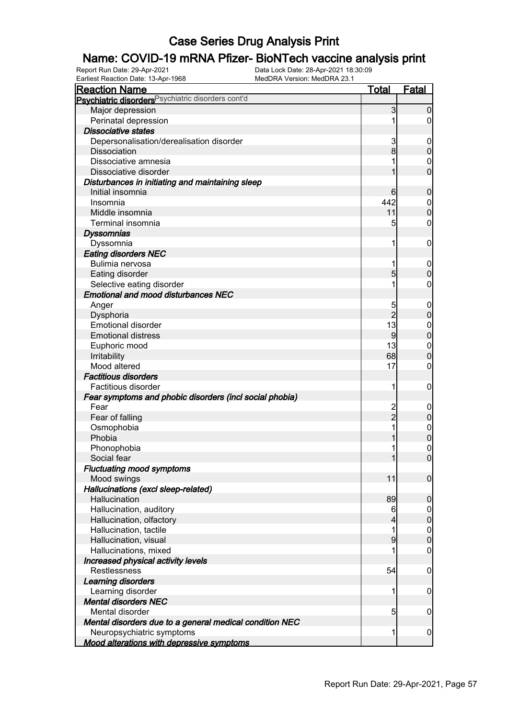#### Name: COVID-19 mRNA Pfizer- BioNTech vaccine analysis print

| Earliest Reaction Date: 13-Apr-1968                     | MedDRA Version: MedDRA 23.1 |                             |
|---------------------------------------------------------|-----------------------------|-----------------------------|
| <b>Reaction Name</b>                                    | <u>Total</u>                | <b>Fatal</b>                |
| Psychiatric disorders Psychiatric disorders cont'd      |                             |                             |
| Major depression                                        | 3                           | $\overline{0}$              |
| Perinatal depression                                    |                             | 1<br>$\overline{0}$         |
| <b>Dissociative states</b>                              |                             |                             |
| Depersonalisation/derealisation disorder                | 3                           | $\mathbf 0$                 |
| Dissociation                                            | 8                           | $\pmb{0}$                   |
| Dissociative amnesia                                    |                             | 1<br>$\mathbf 0$            |
| Dissociative disorder                                   |                             | $\overline{0}$<br>1         |
| Disturbances in initiating and maintaining sleep        |                             |                             |
| Initial insomnia                                        | 6                           | $\mathbf 0$                 |
| Insomnia                                                | 442                         | $\overline{0}$              |
| Middle insomnia                                         | 11                          | $\pmb{0}$                   |
| Terminal insomnia                                       |                             | 5<br>$\mathbf 0$            |
| <b>Dyssomnias</b>                                       |                             |                             |
| Dyssomnia                                               |                             | 1<br>$\mathbf 0$            |
| <b>Eating disorders NEC</b>                             |                             |                             |
| Bulimia nervosa                                         |                             | 1<br>$\mathbf 0$            |
| Eating disorder                                         | 5                           | $\boldsymbol{0}$            |
| Selective eating disorder                               |                             | 1<br>$\mathbf 0$            |
| <b>Emotional and mood disturbances NEC</b>              |                             |                             |
| Anger                                                   | 5                           | $\mathbf 0$                 |
| Dysphoria                                               |                             | $\overline{2}$<br>$\pmb{0}$ |
| <b>Emotional disorder</b>                               | 13                          | $\boldsymbol{0}$            |
| <b>Emotional distress</b>                               | 9                           | $\mathbf 0$                 |
| Euphoric mood                                           | 13                          | $\boldsymbol{0}$            |
| Irritability                                            | 68                          | $\mathbf 0$                 |
| Mood altered                                            | 17                          | $\mathbf 0$                 |
| <b>Factitious disorders</b>                             |                             |                             |
| Factitious disorder                                     |                             | 1<br>$\mathbf 0$            |
| Fear symptoms and phobic disorders (incl social phobia) |                             |                             |
| Fear                                                    |                             | $\mathbf 0$                 |
| Fear of falling                                         | 2<br>2                      | $\pmb{0}$                   |
| Osmophobia                                              |                             | 1<br>$\boldsymbol{0}$       |
| Phobia                                                  |                             | $\mathbf 0$<br>1            |
| Phonophobia                                             |                             | $\mathbf 0$<br>1            |
| Social fear                                             |                             | $\Omega$<br>$\mathbf{1}$    |
| <b>Fluctuating mood symptoms</b>                        |                             |                             |
| Mood swings                                             | 11                          | $\mathbf 0$                 |
| Hallucinations (excl sleep-related)                     |                             |                             |
| Hallucination                                           | 89                          | $\boldsymbol{0}$            |
| Hallucination, auditory                                 | 6                           | 0                           |
| Hallucination, olfactory                                | 4                           | $\mathsf{O}\xspace$         |
| Hallucination, tactile                                  |                             | 1<br>0                      |
| Hallucination, visual                                   | 9                           | $\mathbf 0$                 |
| Hallucinations, mixed                                   |                             | 0                           |
| Increased physical activity levels                      |                             |                             |
| <b>Restlessness</b>                                     | 54                          | $\mathbf 0$                 |
| Learning disorders                                      |                             |                             |
| Learning disorder                                       |                             | 1<br>$\mathbf 0$            |
| <b>Mental disorders NEC</b>                             |                             |                             |
| Mental disorder                                         | $\overline{5}$              | $\mathbf 0$                 |
| Mental disorders due to a general medical condition NEC |                             |                             |
| Neuropsychiatric symptoms                               |                             | 1<br>$\boldsymbol{0}$       |
| <b>Mood alterations with depressive symptoms</b>        |                             |                             |
|                                                         |                             |                             |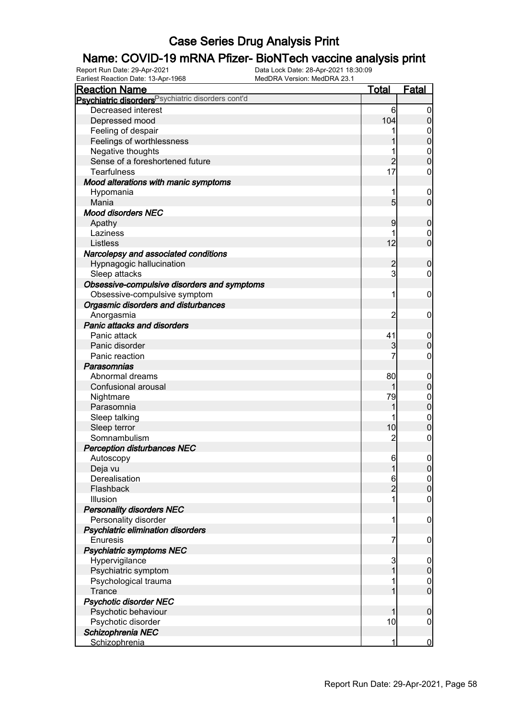#### Name: COVID-19 mRNA Pfizer- BioNTech vaccine analysis print

| Earliest Reaction Date: 13-Apr-1968                           | MedDRA Version: MedDRA 23.1 |                                      |
|---------------------------------------------------------------|-----------------------------|--------------------------------------|
| <b>Reaction Name</b>                                          | <u>Total</u>                | <b>Fatal</b>                         |
| Psychiatric disorders <sup>Psychiatric disorders cont'd</sup> |                             |                                      |
| Decreased interest                                            |                             | 6<br>$\boldsymbol{0}$                |
| Depressed mood                                                | 104                         | $\boldsymbol{0}$                     |
| Feeling of despair                                            |                             | $\boldsymbol{0}$<br>1                |
| Feelings of worthlessness                                     |                             | $\pmb{0}$                            |
| Negative thoughts                                             |                             | $\boldsymbol{0}$<br>1                |
| Sense of a foreshortened future                               |                             | $\mathbf 0$<br>$\overline{c}$        |
| Tearfulness                                                   |                             | 17<br>$\boldsymbol{0}$               |
| Mood alterations with manic symptoms                          |                             |                                      |
| Hypomania                                                     |                             | 1<br>$\mathbf 0$                     |
| Mania                                                         |                             | $\overline{0}$<br>$5\overline{)}$    |
| <b>Mood disorders NEC</b>                                     |                             |                                      |
| Apathy                                                        |                             | 9<br>$\mathbf 0$                     |
| Laziness                                                      |                             | 1<br>$\overline{0}$                  |
| Listless                                                      |                             | $\overline{0}$<br>12                 |
| Narcolepsy and associated conditions                          |                             |                                      |
| Hypnagogic hallucination                                      |                             | $\overline{c}$<br>$\mathbf 0$        |
| Sleep attacks                                                 |                             | $\mathbf{3}$<br>$\mathbf 0$          |
| Obsessive-compulsive disorders and symptoms                   |                             |                                      |
| Obsessive-compulsive symptom                                  |                             | 1<br>$\mathbf 0$                     |
| Orgasmic disorders and disturbances                           |                             |                                      |
| Anorgasmia                                                    |                             | 2<br>$\mathbf 0$                     |
| <b>Panic attacks and disorders</b>                            |                             |                                      |
| Panic attack                                                  |                             | 41<br>$\mathbf 0$                    |
| Panic disorder                                                |                             | 3<br>$\pmb{0}$                       |
| Panic reaction                                                |                             | 7<br>$\mathbf 0$                     |
| Parasomnias                                                   |                             |                                      |
| Abnormal dreams                                               |                             | 80<br>$\mathbf 0$                    |
| Confusional arousal                                           |                             | $\pmb{0}$<br>1                       |
| Nightmare                                                     |                             | 79<br>$\boldsymbol{0}$               |
| Parasomnia                                                    |                             | $\mathbf 0$<br>1                     |
| Sleep talking                                                 |                             | $\boldsymbol{0}$                     |
| Sleep terror                                                  |                             | $\mathbf 0$<br>10                    |
| Somnambulism                                                  |                             | $\overline{c}$<br>$\mathbf 0$        |
| <b>Perception disturbances NEC</b>                            |                             |                                      |
| Autoscopy                                                     |                             | 61<br>$\Omega$                       |
| Deja vu                                                       |                             | $\overline{1}$<br> 0                 |
| Derealisation                                                 |                             | 6<br>$\boldsymbol{0}$                |
| Flashback                                                     |                             | $\overline{0}$<br>$\overline{2}$     |
| Illusion                                                      |                             | 1<br>$\overline{0}$                  |
| <b>Personality disorders NEC</b>                              |                             |                                      |
| Personality disorder                                          |                             | 1<br>$\boldsymbol{0}$                |
| Psychiatric elimination disorders                             |                             |                                      |
| <b>Enuresis</b>                                               |                             | 7<br>$\mathbf 0$                     |
| Psychiatric symptoms NEC                                      |                             |                                      |
| Hypervigilance                                                |                             | 3                                    |
| Psychiatric symptom                                           |                             | $\mathbf 0$<br>$\boldsymbol{0}$<br>1 |
| Psychological trauma                                          |                             | 1<br>0                               |
| <b>Trance</b>                                                 |                             | $\overline{0}$<br>1                  |
|                                                               |                             |                                      |
| Psychotic disorder NEC                                        |                             |                                      |
| Psychotic behaviour                                           |                             | $\mathbf 0$<br>1                     |
| Psychotic disorder                                            |                             | 10<br>$\mathbf 0$                    |
| Schizophrenia NEC                                             |                             |                                      |
| Schizophrenia                                                 |                             | <u>0</u><br>1                        |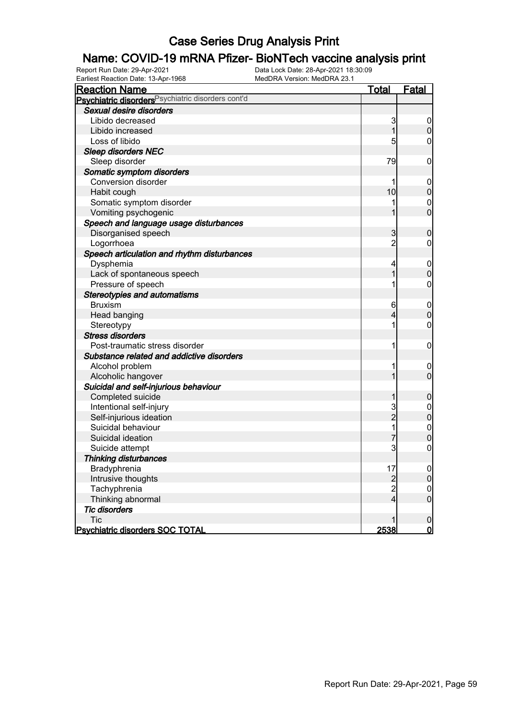#### Name: COVID-19 mRNA Pfizer- BioNTech vaccine analysis print

| Earliest Reaction Date: 13-Apr-1968                | MedDRA Version: MedDRA 23.1 |                |                  |
|----------------------------------------------------|-----------------------------|----------------|------------------|
| <b>Reaction Name</b>                               |                             | <u>Total</u>   | <b>Fatal</b>     |
| Psychiatric disorders Psychiatric disorders cont'd |                             |                |                  |
| Sexual desire disorders                            |                             |                |                  |
| Libido decreased                                   |                             | 3              | $\overline{0}$   |
| Libido increased                                   |                             | 1              | $\boldsymbol{0}$ |
| Loss of libido                                     |                             | 5              | $\overline{0}$   |
| <b>Sleep disorders NEC</b>                         |                             |                |                  |
| Sleep disorder                                     |                             | 79             | $\mathbf 0$      |
| Somatic symptom disorders                          |                             |                |                  |
| Conversion disorder                                |                             |                | $\mathbf 0$      |
| Habit cough                                        |                             | 10             | $\pmb{0}$        |
| Somatic symptom disorder                           |                             |                | $\boldsymbol{0}$ |
| Vomiting psychogenic                               |                             | 1              | $\mathbf 0$      |
| Speech and language usage disturbances             |                             |                |                  |
| Disorganised speech                                |                             | 3              | $\mathbf 0$      |
| Logorrhoea                                         |                             | $\overline{2}$ | $\mathbf 0$      |
| Speech articulation and rhythm disturbances        |                             |                |                  |
| Dysphemia                                          |                             | 4              | $\mathbf 0$      |
| Lack of spontaneous speech                         |                             | 1              | $\mathbf 0$      |
| Pressure of speech                                 |                             | 1              | $\mathbf 0$      |
| <b>Stereotypies and automatisms</b>                |                             |                |                  |
| <b>Bruxism</b>                                     |                             | 6              | $\mathbf 0$      |
| Head banging                                       |                             | 4              | $\pmb{0}$        |
| Stereotypy                                         |                             | 1              | $\mathbf 0$      |
| <b>Stress disorders</b>                            |                             |                |                  |
| Post-traumatic stress disorder                     |                             | 1              | $\mathbf 0$      |
| Substance related and addictive disorders          |                             |                |                  |
| Alcohol problem                                    |                             | 1              | $\mathbf 0$      |
| Alcoholic hangover                                 |                             | 1              | $\boldsymbol{0}$ |
| Suicidal and self-injurious behaviour              |                             |                |                  |
| Completed suicide                                  |                             | 1              | $\boldsymbol{0}$ |
| Intentional self-injury                            |                             | 3              | $\boldsymbol{0}$ |
| Self-injurious ideation                            |                             | $\overline{c}$ | $\mathbf 0$      |
| Suicidal behaviour                                 |                             | 1              | $\boldsymbol{0}$ |
| Suicidal ideation                                  |                             | 7              | $\mathbf 0$      |
| Suicide attempt                                    |                             | 3              | $\pmb{0}$        |
| Thinking disturbances                              |                             |                |                  |
| Bradyphrenia                                       |                             | 17             | $\overline{0}$   |
| Intrusive thoughts                                 |                             | $\frac{2}{2}$  | $\overline{0}$   |
| Tachyphrenia                                       |                             |                | $\mathbf 0$      |
| Thinking abnormal                                  |                             | $\overline{4}$ | $\mathbf 0$      |
| <b>Tic disorders</b>                               |                             |                |                  |
| <b>Tic</b>                                         |                             | 1              | $\mathbf 0$      |
| <b>Psychiatric disorders SOC TOTAL</b>             |                             | 2538           | <u>0</u>         |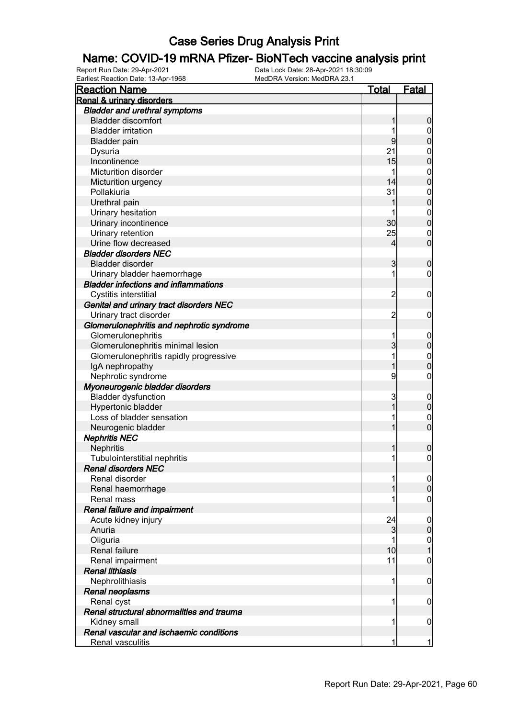# **Name: COVID-19 mRNA Pfizer- BioNTech vaccine analysis print**<br>Report Run Date: 29-Apr-2021<br>Data Lock Date: 28-Apr-2021 18:30:09

Earliest Reaction Date: 13-Apr-1968

| <b>Reaction Name</b>                                             | <b>Total</b>   | <b>Fatal</b>     |
|------------------------------------------------------------------|----------------|------------------|
| <b>Renal &amp; urinary disorders</b>                             |                |                  |
| <b>Bladder and urethral symptoms</b>                             |                |                  |
| <b>Bladder discomfort</b>                                        | 1              | $\boldsymbol{0}$ |
| <b>Bladder irritation</b>                                        |                | $\overline{0}$   |
| <b>Bladder pain</b>                                              | 9              | $\mathbf 0$      |
| Dysuria                                                          | 21             | $\mathbf{0}$     |
| Incontinence                                                     | 15             | $\mathbf 0$      |
| <b>Micturition disorder</b>                                      |                | $\boldsymbol{0}$ |
| Micturition urgency                                              | 14             | $\mathbf 0$      |
| Pollakiuria                                                      | 31             | $\boldsymbol{0}$ |
| Urethral pain                                                    | 1              | $\mathbf 0$      |
| Urinary hesitation                                               |                | $\boldsymbol{0}$ |
| Urinary incontinence                                             | 30             | $\mathbf 0$      |
| Urinary retention                                                | 25             | $\mathbf 0$      |
| Urine flow decreased                                             | 4              | $\mathbf 0$      |
| <b>Bladder disorders NEC</b>                                     |                |                  |
| <b>Bladder disorder</b>                                          | 3              | $\boldsymbol{0}$ |
| Urinary bladder haemorrhage                                      | 1              | $\boldsymbol{0}$ |
| <b>Bladder infections and inflammations</b>                      |                |                  |
|                                                                  | $\overline{c}$ |                  |
| Cystitis interstitial<br>Genital and urinary tract disorders NEC |                | $\mathbf 0$      |
|                                                                  |                |                  |
| Urinary tract disorder                                           | $\overline{c}$ | $\mathbf 0$      |
| Glomerulonephritis and nephrotic syndrome                        |                |                  |
| Glomerulonephritis                                               | 1              | $\mathbf 0$      |
| Glomerulonephritis minimal lesion                                | 3              | $\pmb{0}$        |
| Glomerulonephritis rapidly progressive                           | 1              | $\boldsymbol{0}$ |
| IgA nephropathy                                                  | 1              | $\mathbf 0$      |
| Nephrotic syndrome                                               | 9              | $\boldsymbol{0}$ |
| Myoneurogenic bladder disorders                                  |                |                  |
| <b>Bladder dysfunction</b>                                       | 3              | $\boldsymbol{0}$ |
| Hypertonic bladder                                               | 1              | $\mathbf 0$      |
| Loss of bladder sensation                                        |                | $\boldsymbol{0}$ |
| Neurogenic bladder                                               | 1              | $\overline{0}$   |
| <b>Nephritis NEC</b>                                             |                |                  |
| Nephritis                                                        | 1              | $\boldsymbol{0}$ |
| Tubulointerstitial nephritis                                     | 1              | $\boldsymbol{0}$ |
| <b>Renal disorders NEC</b>                                       |                |                  |
| Renal disorder                                                   |                | $\overline{0}$   |
| Renal haemorrhage                                                |                | $\boldsymbol{0}$ |
| Renal mass                                                       |                | $\overline{0}$   |
| Renal failure and impairment                                     |                |                  |
| Acute kidney injury                                              | 24             | $\mathbf 0$      |
| Anuria                                                           | 3              | $\pmb{0}$        |
| Oliguria                                                         | 1              | $\mathbf 0$      |
| Renal failure                                                    | 10             | $\mathbf{1}$     |
| Renal impairment                                                 | 11             | $\boldsymbol{0}$ |
| <b>Renal lithiasis</b>                                           |                |                  |
| Nephrolithiasis                                                  | 1              | $\mathbf 0$      |
| Renal neoplasms                                                  |                |                  |
| Renal cyst                                                       | 1              | $\mathbf 0$      |
| Renal structural abnormalities and trauma                        |                |                  |
| Kidney small                                                     | 1              | $\mathbf 0$      |
| Renal vascular and ischaemic conditions                          |                |                  |
| Renal vasculitis                                                 | 1              | $\mathbf{1}$     |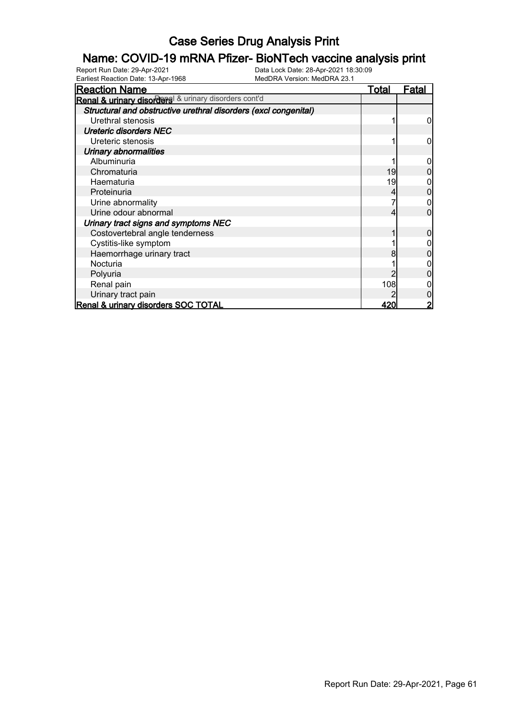# **Name: COVID-19 mRNA Pfizer- BioNTech vaccine analysis print**<br>Report Run Date: 29-Apr-2021<br>Data Lock Date: 28-Apr-2021 18:30:09

Earliest Reaction Date: 13-Apr-1968

| <b>Reaction Name</b>                                            | <u>Total</u> | <u>Fatal</u> |
|-----------------------------------------------------------------|--------------|--------------|
| Renal & urinary disorders & urinary disorders cont'd            |              |              |
| Structural and obstructive urethral disorders (excl congenital) |              |              |
| Urethral stenosis                                               |              |              |
| <b>Ureteric disorders NEC</b>                                   |              |              |
| Ureteric stenosis                                               |              |              |
| <b>Urinary abnormalities</b>                                    |              |              |
| Albuminuria                                                     |              |              |
| Chromaturia                                                     | 19           |              |
| Haematuria                                                      | 19           |              |
| Proteinuria                                                     |              |              |
| Urine abnormality                                               |              |              |
| Urine odour abnormal                                            |              |              |
| Urinary tract signs and symptoms NEC                            |              |              |
| Costovertebral angle tenderness                                 |              |              |
| Cystitis-like symptom                                           |              |              |
| Haemorrhage urinary tract                                       |              |              |
| Nocturia                                                        |              |              |
| Polyuria                                                        |              |              |
| Renal pain                                                      | 108          |              |
| Urinary tract pain                                              |              |              |
| Renal & urinary disorders SOC TOTAL                             | 420          |              |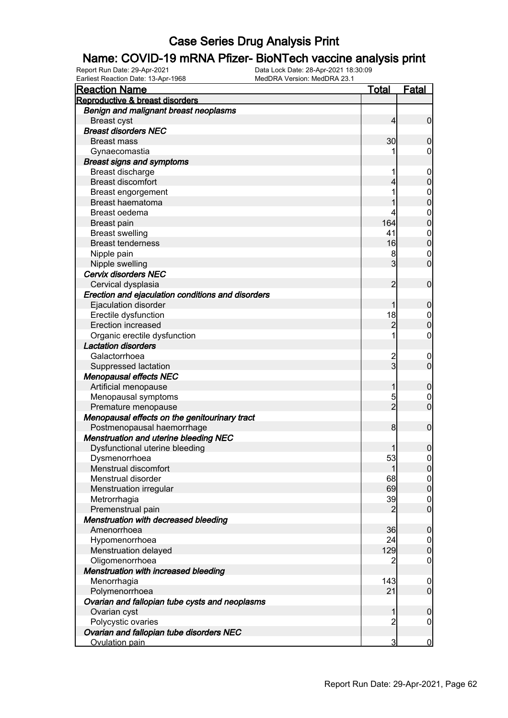# **Name: COVID-19 mRNA Pfizer- BioNTech vaccine analysis print**<br>Report Run Date: 29-Apr-2021<br>Data Lock Date: 28-Apr-2021 18:30:09

| on Duto. 10 <i>i</i> ipi<br><b>Reaction Name</b>  | <b>Total</b>   | Fatal            |
|---------------------------------------------------|----------------|------------------|
| Reproductive & breast disorders                   |                |                  |
| Benign and malignant breast neoplasms             |                |                  |
| <b>Breast cyst</b>                                | 4              | $\mathbf 0$      |
| <b>Breast disorders NEC</b>                       |                |                  |
| <b>Breast mass</b>                                | 30             | $\mathbf 0$      |
| Gynaecomastia                                     |                | 0                |
| <b>Breast signs and symptoms</b>                  |                |                  |
| Breast discharge                                  |                | $\mathbf 0$      |
| <b>Breast discomfort</b>                          | 4              | $\boldsymbol{0}$ |
| Breast engorgement                                |                | $\mathbf{0}$     |
| Breast haematoma                                  |                | $\overline{0}$   |
| Breast oedema                                     |                | $\mathbf 0$      |
| <b>Breast pain</b>                                | 164            | $\mathbf 0$      |
| <b>Breast swelling</b>                            | 41             | $\mathbf 0$      |
| <b>Breast tenderness</b>                          | 16             | $\mathbf 0$      |
| Nipple pain                                       | 8              | $\mathbf 0$      |
| Nipple swelling                                   | 3              | $\overline{0}$   |
| Cervix disorders NEC                              |                |                  |
| Cervical dysplasia                                | $\overline{2}$ | $\mathbf 0$      |
| Erection and ejaculation conditions and disorders |                |                  |
| Ejaculation disorder                              | 1              | $\mathbf 0$      |
| Erectile dysfunction                              | 18             | 0                |
| <b>Erection increased</b>                         | $\overline{2}$ | $\mathbf 0$      |
| Organic erectile dysfunction                      |                | 0                |
| <b>Lactation disorders</b>                        |                |                  |
| Galactorrhoea                                     | $\overline{c}$ | $\mathbf 0$      |
| Suppressed lactation                              | $\overline{3}$ | $\overline{0}$   |
| <b>Menopausal effects NEC</b>                     |                |                  |
| Artificial menopause                              | 1              | $\mathbf 0$      |
| Menopausal symptoms                               | 5              | 0                |
| Premature menopause                               | $\overline{2}$ | $\overline{0}$   |
| Menopausal effects on the genitourinary tract     |                |                  |
| Postmenopausal haemorrhage                        | 8              | $\mathbf 0$      |
| <b>Menstruation and uterine bleeding NEC</b>      |                |                  |
| Dysfunctional uterine bleeding                    |                | $\mathbf 0$      |
| Dysmenorrhoea                                     | 53             | 0                |
| Menstrual discomfort                              | 1              | 0                |
| Menstrual disorder                                | 68             | 0                |
| Menstruation irregular                            | 69             | $\mathbf 0$      |
| Metrorrhagia                                      | 39             | $\boldsymbol{0}$ |
| Premenstrual pain                                 | $\overline{2}$ | $\mathbf 0$      |
| Menstruation with decreased bleeding              |                |                  |
| Amenorrhoea                                       | 36             | $\boldsymbol{0}$ |
| Hypomenorrhoea                                    | 24             | $\mathbf 0$      |
| Menstruation delayed                              | 129            | $\boldsymbol{0}$ |
| Oligomenorrhoea                                   | 2              | $\mathbf 0$      |
| Menstruation with increased bleeding              |                |                  |
| Menorrhagia                                       | 143            | $\mathbf 0$      |
| Polymenorrhoea                                    | 21             | $\overline{0}$   |
| Ovarian and fallopian tube cysts and neoplasms    |                |                  |
| Ovarian cyst                                      | 1              | $\boldsymbol{0}$ |
| Polycystic ovaries                                | $\overline{c}$ | $\boldsymbol{0}$ |
| Ovarian and fallopian tube disorders NEC          |                |                  |
| Ovulation pain                                    | 3              | $\overline{0}$   |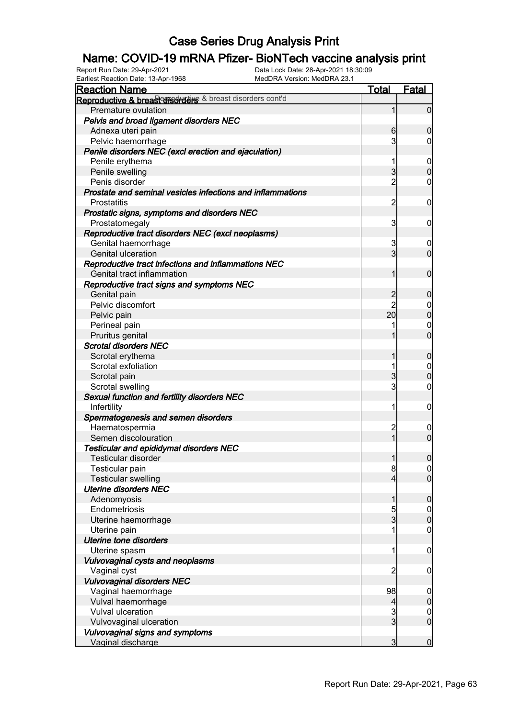#### Name: COVID-19 mRNA Pfizer- BioNTech vaccine analysis print

| Earliest Reaction Date: 13-Apr-1968                         | MedDRA Version: MedDRA 23.1 |                                 |
|-------------------------------------------------------------|-----------------------------|---------------------------------|
| <b>Reaction Name</b>                                        | <u>Total</u>                | <b>Fatal</b>                    |
| Reproductive & breas conservative & breast disorders cont'd |                             |                                 |
| Premature ovulation                                         | 1                           | $\overline{0}$                  |
| Pelvis and broad ligament disorders NEC                     |                             |                                 |
| Adnexa uteri pain                                           | 6                           | $\mathbf 0$                     |
| Pelvic haemorrhage                                          | 3                           | $\overline{0}$                  |
| Penile disorders NEC (excl erection and ejaculation)        |                             |                                 |
| Penile erythema                                             | 1                           | $\overline{0}$                  |
| Penile swelling                                             | $\overline{3}$              | $\mathbf 0$                     |
| Penis disorder                                              | $\overline{2}$              | $\mathbf 0$                     |
| Prostate and seminal vesicles infections and inflammations  |                             |                                 |
| Prostatitis                                                 | $\overline{c}$              | $\boldsymbol{0}$                |
| Prostatic signs, symptoms and disorders NEC                 |                             |                                 |
| Prostatomegaly                                              | 3                           | $\mathbf 0$                     |
| Reproductive tract disorders NEC (excl neoplasms)           |                             |                                 |
| Genital haemorrhage                                         | 3                           | $\overline{0}$                  |
| Genital ulceration                                          | $\overline{3}$              | $\overline{0}$                  |
| Reproductive tract infections and inflammations NEC         |                             |                                 |
| Genital tract inflammation                                  | $\mathbf{1}$                | $\boldsymbol{0}$                |
| Reproductive tract signs and symptoms NEC                   |                             |                                 |
| Genital pain                                                | $\overline{c}$              | $\mathbf 0$                     |
| Pelvic discomfort                                           | $\overline{2}$              | $\overline{0}$                  |
| Pelvic pain                                                 | 20                          | $\boldsymbol{0}$                |
| Perineal pain                                               | 1                           | $\mathbf 0$                     |
| Pruritus genital                                            | 1                           | $\mathbf 0$                     |
| <b>Scrotal disorders NEC</b>                                |                             |                                 |
| Scrotal erythema                                            | 1                           | $\boldsymbol{0}$                |
| Scrotal exfoliation                                         | 1                           | $\mathbf 0$                     |
| Scrotal pain                                                | $\overline{3}$              | $\mathbf 0$                     |
| Scrotal swelling                                            | $\overline{3}$              | $\boldsymbol{0}$                |
| Sexual function and fertility disorders NEC                 |                             |                                 |
| Infertility                                                 | 1                           | $\boldsymbol{0}$                |
| Spermatogenesis and semen disorders                         |                             |                                 |
| Haematospermia                                              | $\overline{\mathbf{c}}$     | $\mathbf 0$                     |
| Semen discolouration                                        | $\mathbf{1}$                | $\boldsymbol{0}$                |
| <b>Testicular and epididymal disorders NEC</b>              |                             |                                 |
| Testicular disorder                                         | $\mathbf{1}$                | ΩI                              |
| Testicular pain                                             | 8                           | $\overline{0}$                  |
| <b>Testicular swelling</b>                                  | $\overline{4}$              | $\overline{0}$                  |
| <b>Uterine disorders NEC</b>                                |                             |                                 |
| Adenomyosis                                                 | 1                           | $\mathbf 0$                     |
| Endometriosis                                               | 5                           | $\overline{0}$                  |
| Uterine haemorrhage                                         | $\overline{3}$              | $\mathbf 0$                     |
| Uterine pain                                                | 1                           | $\boldsymbol{0}$                |
| Uterine tone disorders                                      |                             |                                 |
| Uterine spasm                                               | 1                           | $\boldsymbol{0}$                |
| Vulvovaginal cysts and neoplasms                            |                             |                                 |
| Vaginal cyst                                                | $\overline{c}$              | $\mathbf 0$                     |
| Vulvovaginal disorders NEC                                  |                             |                                 |
| Vaginal haemorrhage                                         | 98                          |                                 |
| Vulval haemorrhage                                          |                             | $\mathbf 0$<br>$\pmb{0}$        |
| Vulval ulceration                                           | 4<br>$\overline{3}$         |                                 |
|                                                             | $\overline{3}$              | $\mathbf 0$<br>$\boldsymbol{0}$ |
| Vulvovaginal ulceration                                     |                             |                                 |
| Vulvovaginal signs and symptoms                             | $\overline{3}$              |                                 |
| Vaginal discharge                                           |                             | $\overline{0}$                  |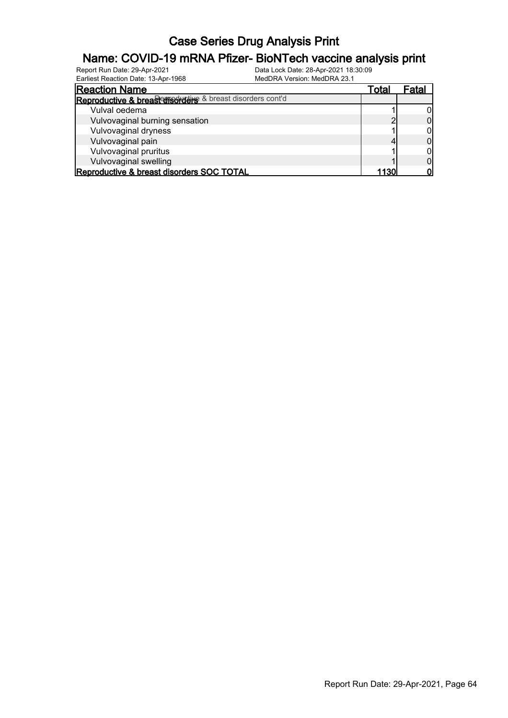#### Name: COVID-19 mRNA Pfizer- BioNTech vaccine analysis print

| Earliest Reaction Date: 13-Apr-1968                       | MedDRA Version: MedDRA 23.1 |       |       |
|-----------------------------------------------------------|-----------------------------|-------|-------|
| <b>Reaction Name</b>                                      |                             | Total | Fatal |
| Reproductive & breasterisorders & breast disorders cont'd |                             |       |       |
| Vulval oedema                                             |                             |       |       |
| Vulvovaginal burning sensation                            |                             |       |       |
| Vulvovaginal dryness                                      |                             |       |       |
| Vulvovaginal pain                                         |                             |       |       |
| Vulvovaginal pruritus                                     |                             |       |       |
| Vulvovaginal swelling                                     |                             |       |       |
| Reproductive & breast disorders SOC TOTAL                 |                             | 1130' |       |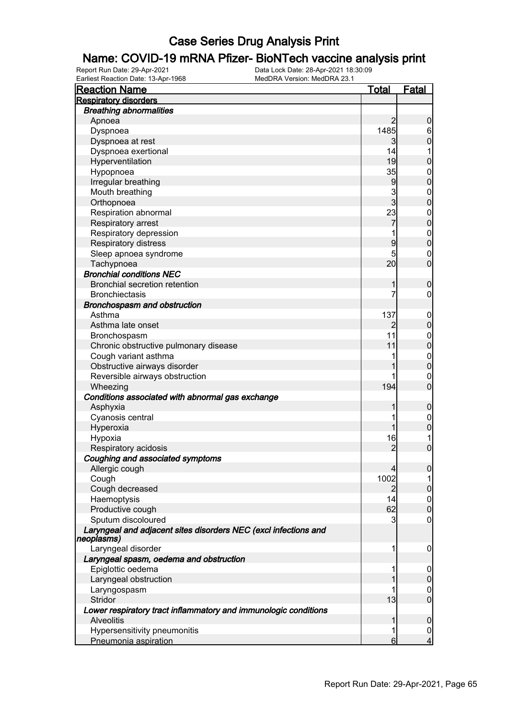# **Name: COVID-19 mRNA Pfizer- BioNTech vaccine analysis print**<br>Report Run Date: 29-Apr-2021<br>Data Lock Date: 28-Apr-2021 18:30:09

| <b>Reaction Name</b>                                                          | <b>Total</b>   | <b>Fatal</b>     |
|-------------------------------------------------------------------------------|----------------|------------------|
| <b>Respiratory disorders</b>                                                  |                |                  |
| <b>Breathing abnormalities</b>                                                |                |                  |
| Apnoea                                                                        | $\overline{2}$ | $\mathbf 0$      |
| Dyspnoea                                                                      | 1485           | $6 \mid$         |
| Dyspnoea at rest                                                              | 3              | $\overline{0}$   |
| Dyspnoea exertional                                                           | 14             | 1                |
| Hyperventilation                                                              | 19             | $\mathbf 0$      |
| Hypopnoea                                                                     | 35             | $\mathbf 0$      |
| Irregular breathing                                                           | 9              | $\mathbf 0$      |
| Mouth breathing                                                               |                | $\boldsymbol{0}$ |
| Orthopnoea                                                                    | $\frac{3}{3}$  | $\overline{0}$   |
| Respiration abnormal                                                          | 23             | $\boldsymbol{0}$ |
| Respiratory arrest                                                            | 7              | $\overline{0}$   |
| Respiratory depression                                                        |                | $\boldsymbol{0}$ |
| Respiratory distress                                                          | 9              | $\overline{0}$   |
| Sleep apnoea syndrome                                                         | 5              | $\mathbf 0$      |
| Tachypnoea                                                                    | 20             | $\mathbf 0$      |
| <b>Bronchial conditions NEC</b>                                               |                |                  |
| <b>Bronchial secretion retention</b>                                          | 1              | $\boldsymbol{0}$ |
| <b>Bronchiectasis</b>                                                         | 7              | $\mathbf 0$      |
| <b>Bronchospasm and obstruction</b>                                           |                |                  |
| Asthma                                                                        | 137            | $\mathbf 0$      |
| Asthma late onset                                                             | 2              | $\mathbf 0$      |
| Bronchospasm                                                                  | 11             | $\boldsymbol{0}$ |
| Chronic obstructive pulmonary disease                                         | 11             | $\overline{0}$   |
| Cough variant asthma                                                          |                | $\boldsymbol{0}$ |
| Obstructive airways disorder                                                  |                | $\overline{0}$   |
| Reversible airways obstruction                                                |                | $\mathbf 0$      |
| Wheezing                                                                      | 194            | $\overline{0}$   |
| Conditions associated with abnormal gas exchange                              |                |                  |
| Asphyxia                                                                      | 1              | $\mathbf 0$      |
| Cyanosis central                                                              |                | $\mathbf 0$      |
| Hyperoxia                                                                     | 1              | $\mathbf 0$      |
| Hypoxia                                                                       | 16             | 1                |
| Respiratory acidosis                                                          | $\overline{c}$ | $\overline{0}$   |
| Coughing and associated symptoms                                              |                |                  |
| Allergic cough                                                                | $\overline{4}$ | $\overline{0}$   |
| Cough                                                                         | 1002           | 11               |
| Cough decreased                                                               | $\overline{2}$ | $\pmb{0}$        |
| Haemoptysis                                                                   | 14             | $\overline{0}$   |
| Productive cough                                                              | 62             | $\boldsymbol{0}$ |
| Sputum discoloured                                                            | 3              | 0                |
| Laryngeal and adjacent sites disorders NEC (excl infections and<br>neoplasms) |                |                  |
| Laryngeal disorder                                                            | 1              | 0                |
| Laryngeal spasm, oedema and obstruction                                       |                |                  |
| Epiglottic oedema                                                             | 1              | $\mathbf 0$      |
| Laryngeal obstruction                                                         |                | $\mathbf 0$      |
| Laryngospasm                                                                  |                | $\mathbf 0$      |
| Stridor                                                                       | 13             | $\overline{0}$   |
| Lower respiratory tract inflammatory and immunologic conditions               |                |                  |
| <b>Alveolitis</b>                                                             | 1              | $\mathbf 0$      |
| Hypersensitivity pneumonitis                                                  | 1              | $\overline{0}$   |
| Pneumonia aspiration                                                          | 6              | $\overline{4}$   |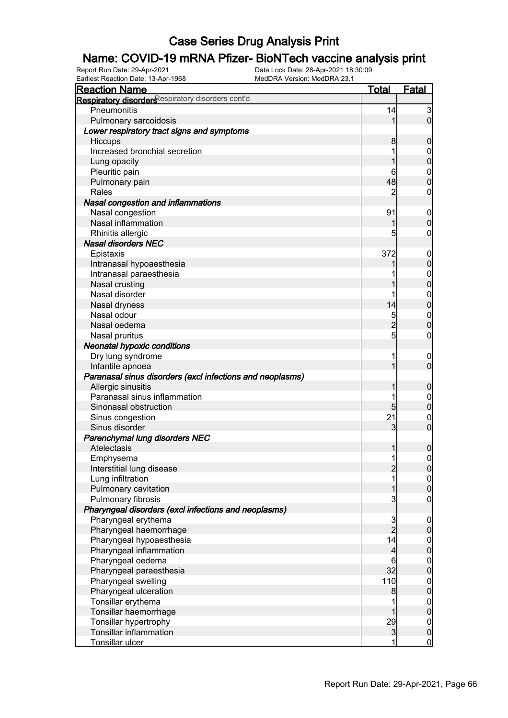# **Name: COVID-19 mRNA Pfizer- BioNTech vaccine analysis print**<br>Report Run Date: 29-Apr-2021<br>Data Lock Date: 28-Apr-2021 18:30:09

Earliest Reaction Date: 13-Apr-1968

| Lamost Readuoir Date: 10-Apr-1500                                         | <b>Total</b>   | <b>Fatal</b>                         |
|---------------------------------------------------------------------------|----------------|--------------------------------------|
| <b>Reaction Name</b><br>Respiratory disorders espiratory disorders cont'd |                |                                      |
|                                                                           |                |                                      |
| Pneumonitis                                                               | 14             | $\mathbf{3}$<br>$\overline{0}$       |
| Pulmonary sarcoidosis                                                     |                |                                      |
| Lower respiratory tract signs and symptoms                                |                |                                      |
| Hiccups                                                                   | 8 <sup>0</sup> | $\mathbf 0$                          |
| Increased bronchial secretion                                             |                | $\mathbf 0$                          |
| Lung opacity                                                              |                | $\mathbf 0$                          |
| Pleuritic pain                                                            | 6              | $\mathbf 0$                          |
| Pulmonary pain                                                            | 48             | $\overline{0}$                       |
| Rales                                                                     | 2              | 0                                    |
| Nasal congestion and inflammations                                        |                |                                      |
| Nasal congestion                                                          | 91             | $\mathbf 0$                          |
| Nasal inflammation                                                        |                | $\mathbf 0$                          |
| Rhinitis allergic                                                         | 5              | 0                                    |
| <b>Nasal disorders NEC</b>                                                |                |                                      |
| Epistaxis                                                                 | 372            | $\mathbf 0$                          |
| Intranasal hypoaesthesia                                                  |                | $\boldsymbol{0}$                     |
| Intranasal paraesthesia                                                   |                | $\boldsymbol{0}$                     |
| Nasal crusting                                                            |                | $\overline{0}$                       |
| Nasal disorder                                                            |                | $\mathbf{0}$                         |
| Nasal dryness                                                             | 14             | $\mathbf 0$                          |
| Nasal odour                                                               | $\overline{5}$ | $\mathbf 0$                          |
| Nasal oedema                                                              | $\overline{2}$ | $\overline{0}$                       |
| Nasal pruritus                                                            | 5              | 0                                    |
| <b>Neonatal hypoxic conditions</b>                                        |                |                                      |
| Dry lung syndrome                                                         |                | $\mathbf 0$                          |
| Infantile apnoea                                                          |                | $\mathbf 0$                          |
| Paranasal sinus disorders (excl infections and neoplasms)                 |                |                                      |
| Allergic sinusitis                                                        |                | $\mathbf 0$                          |
| Paranasal sinus inflammation                                              |                | $\mathbf 0$                          |
| Sinonasal obstruction                                                     | 5 <sup>1</sup> | $\mathbf 0$                          |
| Sinus congestion                                                          | 21             | $\mathbf 0$                          |
| Sinus disorder                                                            | 3              | $\overline{0}$                       |
| Parenchymal lung disorders NEC                                            |                |                                      |
| Atelectasis                                                               |                | $\boldsymbol{0}$                     |
| Emphysema                                                                 | 1              | $\overline{0}$                       |
| Interstitial lung disease                                                 | $\overline{c}$ | 0                                    |
| Lung infiltration                                                         |                | $\overline{0}$                       |
| Pulmonary cavitation                                                      |                | $\mathbf 0$                          |
| Pulmonary fibrosis                                                        | 3              | 0                                    |
| Pharyngeal disorders (excl infections and neoplasms)                      |                |                                      |
| Pharyngeal erythema                                                       | $\overline{3}$ |                                      |
| Pharyngeal haemorrhage                                                    | $\overline{2}$ | $\overline{0}$<br>$\overline{0}$     |
|                                                                           | 14             |                                      |
| Pharyngeal hypoaesthesia<br>Pharyngeal inflammation                       |                | $0\atop 0$                           |
|                                                                           | 4              |                                      |
| Pharyngeal oedema                                                         | 6<br>32        | $\begin{matrix} 0 \\ 0 \end{matrix}$ |
| Pharyngeal paraesthesia                                                   |                |                                      |
| Pharyngeal swelling                                                       | 110            | $0\atop 0$                           |
| Pharyngeal ulceration                                                     | 8              |                                      |
| Tonsillar erythema                                                        |                | $0$<br>0                             |
| Tonsillar haemorrhage                                                     |                |                                      |
| Tonsillar hypertrophy                                                     | 29             | $\boldsymbol{0}$                     |
| <b>Tonsillar inflammation</b>                                             | $\mathbf{3}$   | $\mathbf 0$                          |
| Tonsillar ulcer                                                           | 1              | $\overline{0}$                       |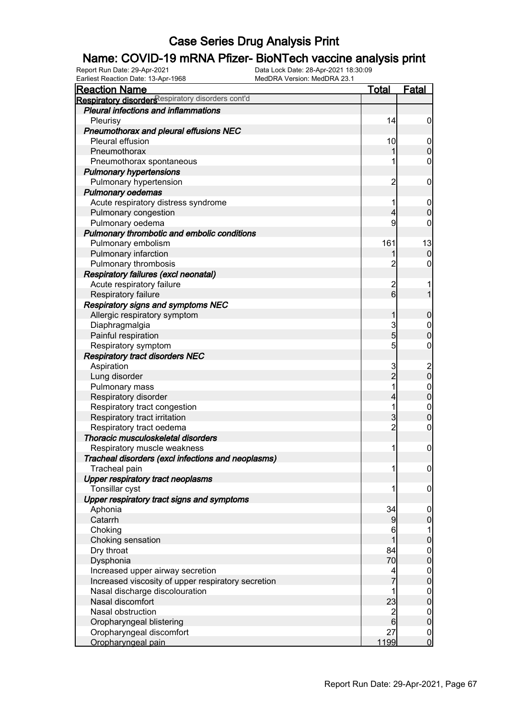# **Name: COVID-19 mRNA Pfizer- BioNTech vaccine analysis print**<br>Report Run Date: 29-Apr-2021<br>Data Lock Date: 28-Apr-2021 18:30:09

Earliest Reaction Date: 13-Apr-1968

| 1001 Nouvelon Dato. 10 Mpi<br><b>Reaction Name</b> | <b>Total</b>            | Fatal            |
|----------------------------------------------------|-------------------------|------------------|
| Respiratory disordersespiratory disorders cont'd   |                         |                  |
| <b>Pleural infections and inflammations</b>        |                         |                  |
| Pleurisy                                           | 14                      | $\boldsymbol{0}$ |
| Pneumothorax and pleural effusions NEC             |                         |                  |
| Pleural effusion                                   | 10                      | $\overline{0}$   |
| Pneumothorax                                       |                         | $\mathbf 0$      |
| Pneumothorax spontaneous                           |                         | $\boldsymbol{0}$ |
| <b>Pulmonary hypertensions</b>                     |                         |                  |
| Pulmonary hypertension                             | $\overline{\mathbf{c}}$ | $\mathbf 0$      |
| <b>Pulmonary oedemas</b>                           |                         |                  |
| Acute respiratory distress syndrome                |                         | $\mathbf 0$      |
| Pulmonary congestion                               | 4                       | $\mathbf 0$      |
| Pulmonary oedema                                   | 9                       | 0                |
| Pulmonary thrombotic and embolic conditions        |                         |                  |
| Pulmonary embolism                                 | 161                     | 13               |
| Pulmonary infarction                               |                         | $\mathbf 0$      |
| Pulmonary thrombosis                               | $\overline{c}$          | 0                |
| Respiratory failures (excl neonatal)               |                         |                  |
| Acute respiratory failure                          | $\overline{\mathbf{c}}$ |                  |
| Respiratory failure                                | $6 \overline{6}$        | $\overline{1}$   |
| <b>Respiratory signs and symptoms NEC</b>          |                         |                  |
| Allergic respiratory symptom                       | 1                       | $\mathbf 0$      |
| Diaphragmalgia                                     | 3                       | $\boldsymbol{0}$ |
| Painful respiration                                | $\overline{5}$          | $\overline{0}$   |
| Respiratory symptom                                | $\overline{5}$          | $\boldsymbol{0}$ |
| <b>Respiratory tract disorders NEC</b>             |                         |                  |
| Aspiration                                         | 3                       | $\frac{2}{0}$    |
| Lung disorder                                      | $\overline{2}$          |                  |
| Pulmonary mass                                     |                         | $0$<br>0         |
| Respiratory disorder                               | 4                       |                  |
| Respiratory tract congestion                       | 1                       | $\boldsymbol{0}$ |
| Respiratory tract irritation                       | $\overline{3}$          | $\overline{0}$   |
| Respiratory tract oedema                           | $\overline{c}$          | $\boldsymbol{0}$ |
| Thoracic musculoskeletal disorders                 |                         |                  |
| Respiratory muscle weakness                        | 1                       | $\mathbf 0$      |
| Tracheal disorders (excl infections and neoplasms) |                         |                  |
| Tracheal pain                                      | 1                       | $\overline{0}$   |
| <b>Upper respiratory tract neoplasms</b>           |                         |                  |
| Tonsillar cyst                                     |                         | $\mathbf 0$      |
| Upper respiratory tract signs and symptoms         |                         |                  |
| Aphonia                                            | 34                      | $\overline{0}$   |
| Catarrh                                            | 9                       | $\mathbf 0$      |
| Choking                                            | 6                       | 1                |
| Choking sensation                                  |                         | $\pmb{0}$        |
| Dry throat                                         | 84                      | $\overline{0}$   |
| Dysphonia                                          | 70                      | $\overline{0}$   |
| Increased upper airway secretion                   | 4                       | $\boldsymbol{0}$ |
| Increased viscosity of upper respiratory secretion |                         | $\overline{0}$   |
| Nasal discharge discolouration                     |                         | $\boldsymbol{0}$ |
| Nasal discomfort                                   | 23                      | $\overline{0}$   |
| Nasal obstruction                                  | $\overline{c}$          | $\boldsymbol{0}$ |
| Oropharyngeal blistering                           | $\overline{6}$          | $\overline{0}$   |
| Oropharyngeal discomfort                           | 27                      | $\overline{0}$   |
| Oropharyngeal pain                                 | 1199                    | $\mathbf 0$      |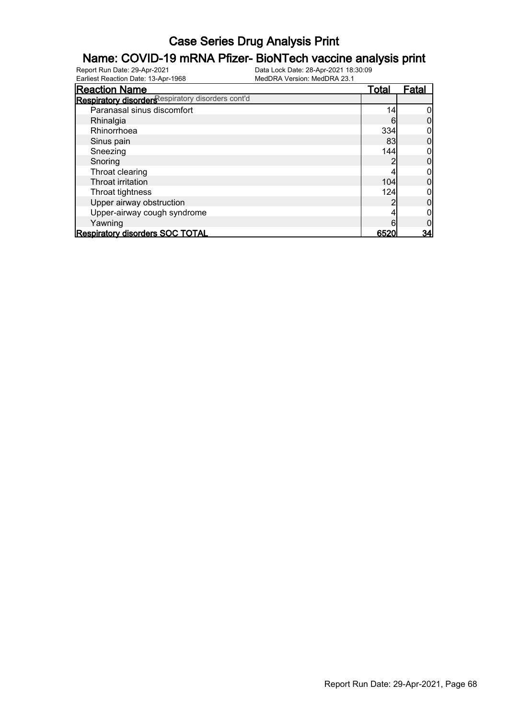# **Name: COVID-19 mRNA Pfizer- BioNTech vaccine analysis print**<br>Report Run Date: 29-Apr-2021<br>Data Lock Date: 28-Apr-2021 18:30:09

Earliest Reaction Date: 13-Apr-1968

| <b>Reaction Name</b>                              | <u>Total</u> | Fatal |
|---------------------------------------------------|--------------|-------|
| Respiratory disorders espiratory disorders cont'd |              |       |
| Paranasal sinus discomfort                        | 14           |       |
| Rhinalgia                                         | 6            |       |
| Rhinorrhoea                                       | 334          |       |
| Sinus pain                                        | 83           |       |
| Sneezing                                          | 144          |       |
| Snoring                                           |              |       |
| Throat clearing                                   |              |       |
| Throat irritation                                 | 104          |       |
| Throat tightness                                  | 124          |       |
| Upper airway obstruction                          |              |       |
| Upper-airway cough syndrome                       |              |       |
| Yawning                                           |              |       |
| <b>Respiratory disorders SOC TOTAL</b>            | 6520         | 34    |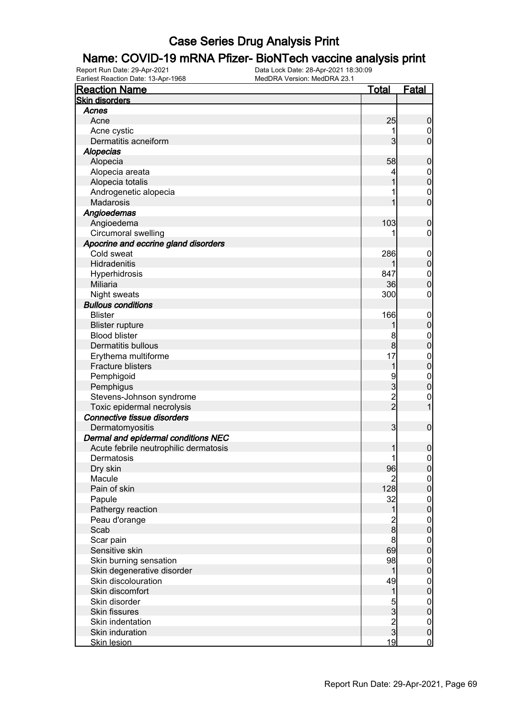# **Name: COVID-19 mRNA Pfizer- BioNTech vaccine analysis print**<br>Report Run Date: 29-Apr-2021<br>Data Lock Date: 28-Apr-2021 18:30:09

Earliest Reaction Date: 13-Apr-1968

| <u>Total</u><br><b>Fatal</b><br><b>Reaction Name</b><br><b>Skin disorders</b><br>Acnes<br>25<br>Acne<br>$\boldsymbol{0}$<br>Acne cystic<br>0<br>$\mathbf{3}$<br>$\overline{0}$<br>Dermatitis acneiform<br>Alopecias<br>Alopecia<br>58<br>$\boldsymbol{0}$<br>Alopecia areata<br>$\mathbf 0$<br>$\overline{0}$<br>Alopecia totalis<br>Androgenetic alopecia<br>$\mathbf 0$<br>$\overline{0}$<br>Madarosis<br>Angioedemas<br>103<br>Angioedema<br>$\boldsymbol{0}$<br>Circumoral swelling<br>0<br>Apocrine and eccrine gland disorders<br>Cold sweat<br>286<br>$\mathbf 0$<br>$\mathbf 0$<br>Hidradenitis<br>847<br>Hyperhidrosis<br>$\boldsymbol{0}$<br>$\overline{0}$<br>36<br>Miliaria<br>Night sweats<br>300<br>0<br><b>Bullous conditions</b><br><b>Blister</b><br>166<br>$\mathbf 0$<br>$\boldsymbol{0}$<br><b>Blister rupture</b><br>1<br><b>Blood blister</b><br>8<br>$\boldsymbol{0}$ |
|----------------------------------------------------------------------------------------------------------------------------------------------------------------------------------------------------------------------------------------------------------------------------------------------------------------------------------------------------------------------------------------------------------------------------------------------------------------------------------------------------------------------------------------------------------------------------------------------------------------------------------------------------------------------------------------------------------------------------------------------------------------------------------------------------------------------------------------------------------------------------------------------|
|                                                                                                                                                                                                                                                                                                                                                                                                                                                                                                                                                                                                                                                                                                                                                                                                                                                                                              |
|                                                                                                                                                                                                                                                                                                                                                                                                                                                                                                                                                                                                                                                                                                                                                                                                                                                                                              |
|                                                                                                                                                                                                                                                                                                                                                                                                                                                                                                                                                                                                                                                                                                                                                                                                                                                                                              |
|                                                                                                                                                                                                                                                                                                                                                                                                                                                                                                                                                                                                                                                                                                                                                                                                                                                                                              |
|                                                                                                                                                                                                                                                                                                                                                                                                                                                                                                                                                                                                                                                                                                                                                                                                                                                                                              |
|                                                                                                                                                                                                                                                                                                                                                                                                                                                                                                                                                                                                                                                                                                                                                                                                                                                                                              |
|                                                                                                                                                                                                                                                                                                                                                                                                                                                                                                                                                                                                                                                                                                                                                                                                                                                                                              |
|                                                                                                                                                                                                                                                                                                                                                                                                                                                                                                                                                                                                                                                                                                                                                                                                                                                                                              |
|                                                                                                                                                                                                                                                                                                                                                                                                                                                                                                                                                                                                                                                                                                                                                                                                                                                                                              |
|                                                                                                                                                                                                                                                                                                                                                                                                                                                                                                                                                                                                                                                                                                                                                                                                                                                                                              |
|                                                                                                                                                                                                                                                                                                                                                                                                                                                                                                                                                                                                                                                                                                                                                                                                                                                                                              |
|                                                                                                                                                                                                                                                                                                                                                                                                                                                                                                                                                                                                                                                                                                                                                                                                                                                                                              |
|                                                                                                                                                                                                                                                                                                                                                                                                                                                                                                                                                                                                                                                                                                                                                                                                                                                                                              |
|                                                                                                                                                                                                                                                                                                                                                                                                                                                                                                                                                                                                                                                                                                                                                                                                                                                                                              |
|                                                                                                                                                                                                                                                                                                                                                                                                                                                                                                                                                                                                                                                                                                                                                                                                                                                                                              |
|                                                                                                                                                                                                                                                                                                                                                                                                                                                                                                                                                                                                                                                                                                                                                                                                                                                                                              |
|                                                                                                                                                                                                                                                                                                                                                                                                                                                                                                                                                                                                                                                                                                                                                                                                                                                                                              |
|                                                                                                                                                                                                                                                                                                                                                                                                                                                                                                                                                                                                                                                                                                                                                                                                                                                                                              |
|                                                                                                                                                                                                                                                                                                                                                                                                                                                                                                                                                                                                                                                                                                                                                                                                                                                                                              |
|                                                                                                                                                                                                                                                                                                                                                                                                                                                                                                                                                                                                                                                                                                                                                                                                                                                                                              |
|                                                                                                                                                                                                                                                                                                                                                                                                                                                                                                                                                                                                                                                                                                                                                                                                                                                                                              |
|                                                                                                                                                                                                                                                                                                                                                                                                                                                                                                                                                                                                                                                                                                                                                                                                                                                                                              |
|                                                                                                                                                                                                                                                                                                                                                                                                                                                                                                                                                                                                                                                                                                                                                                                                                                                                                              |
|                                                                                                                                                                                                                                                                                                                                                                                                                                                                                                                                                                                                                                                                                                                                                                                                                                                                                              |
| $\mathbf 0$<br>8<br>Dermatitis bullous                                                                                                                                                                                                                                                                                                                                                                                                                                                                                                                                                                                                                                                                                                                                                                                                                                                       |
| Erythema multiforme<br>17<br>$\boldsymbol{0}$                                                                                                                                                                                                                                                                                                                                                                                                                                                                                                                                                                                                                                                                                                                                                                                                                                                |
| $\overline{0}$<br>Fracture blisters<br>1                                                                                                                                                                                                                                                                                                                                                                                                                                                                                                                                                                                                                                                                                                                                                                                                                                                     |
| 9<br>Pemphigoid<br>$\boldsymbol{0}$                                                                                                                                                                                                                                                                                                                                                                                                                                                                                                                                                                                                                                                                                                                                                                                                                                                          |
| $\overline{3}$<br>$\mathbf 0$<br>Pemphigus                                                                                                                                                                                                                                                                                                                                                                                                                                                                                                                                                                                                                                                                                                                                                                                                                                                   |
| Stevens-Johnson syndrome<br>0                                                                                                                                                                                                                                                                                                                                                                                                                                                                                                                                                                                                                                                                                                                                                                                                                                                                |
| $\frac{2}{2}$<br>1<br>Toxic epidermal necrolysis                                                                                                                                                                                                                                                                                                                                                                                                                                                                                                                                                                                                                                                                                                                                                                                                                                             |
| Connective tissue disorders                                                                                                                                                                                                                                                                                                                                                                                                                                                                                                                                                                                                                                                                                                                                                                                                                                                                  |
| $\overline{3}$<br>$\boldsymbol{0}$<br>Dermatomyositis                                                                                                                                                                                                                                                                                                                                                                                                                                                                                                                                                                                                                                                                                                                                                                                                                                        |
| Dermal and epidermal conditions NEC                                                                                                                                                                                                                                                                                                                                                                                                                                                                                                                                                                                                                                                                                                                                                                                                                                                          |
| Acute febrile neutrophilic dermatosis<br>$\boldsymbol{0}$<br>1                                                                                                                                                                                                                                                                                                                                                                                                                                                                                                                                                                                                                                                                                                                                                                                                                               |
| 1<br>$\mathbf 0$<br>Dermatosis                                                                                                                                                                                                                                                                                                                                                                                                                                                                                                                                                                                                                                                                                                                                                                                                                                                               |
| 96<br> 0 <br>Dry skin                                                                                                                                                                                                                                                                                                                                                                                                                                                                                                                                                                                                                                                                                                                                                                                                                                                                        |
| Macule<br>$\overline{2}$                                                                                                                                                                                                                                                                                                                                                                                                                                                                                                                                                                                                                                                                                                                                                                                                                                                                     |
| $\overline{0}$<br>$\overline{0}$<br>128<br>Pain of skin                                                                                                                                                                                                                                                                                                                                                                                                                                                                                                                                                                                                                                                                                                                                                                                                                                      |
| 32<br>Papule                                                                                                                                                                                                                                                                                                                                                                                                                                                                                                                                                                                                                                                                                                                                                                                                                                                                                 |
| $0$<br>0<br>1<br>Pathergy reaction                                                                                                                                                                                                                                                                                                                                                                                                                                                                                                                                                                                                                                                                                                                                                                                                                                                           |
| Peau d'orange                                                                                                                                                                                                                                                                                                                                                                                                                                                                                                                                                                                                                                                                                                                                                                                                                                                                                |
| $\frac{2}{8}$<br>$\begin{matrix} 0 \\ 0 \end{matrix}$<br>Scab                                                                                                                                                                                                                                                                                                                                                                                                                                                                                                                                                                                                                                                                                                                                                                                                                                |
| 8<br>Scar pain                                                                                                                                                                                                                                                                                                                                                                                                                                                                                                                                                                                                                                                                                                                                                                                                                                                                               |
| $\begin{matrix} 0 \\ 0 \end{matrix}$<br>69<br>Sensitive skin                                                                                                                                                                                                                                                                                                                                                                                                                                                                                                                                                                                                                                                                                                                                                                                                                                 |
| 98<br>Skin burning sensation                                                                                                                                                                                                                                                                                                                                                                                                                                                                                                                                                                                                                                                                                                                                                                                                                                                                 |
| $\boldsymbol{0}$<br>$\overline{0}$<br>$\mathbf 1$<br>Skin degenerative disorder                                                                                                                                                                                                                                                                                                                                                                                                                                                                                                                                                                                                                                                                                                                                                                                                              |
| Skin discolouration<br>49                                                                                                                                                                                                                                                                                                                                                                                                                                                                                                                                                                                                                                                                                                                                                                                                                                                                    |
| $0\atop 0$<br>1<br>Skin discomfort                                                                                                                                                                                                                                                                                                                                                                                                                                                                                                                                                                                                                                                                                                                                                                                                                                                           |
| Skin disorder                                                                                                                                                                                                                                                                                                                                                                                                                                                                                                                                                                                                                                                                                                                                                                                                                                                                                |
| $\frac{5}{3}$<br>$\begin{matrix} 0 \\ 0 \end{matrix}$                                                                                                                                                                                                                                                                                                                                                                                                                                                                                                                                                                                                                                                                                                                                                                                                                                        |
| <b>Skin fissures</b>                                                                                                                                                                                                                                                                                                                                                                                                                                                                                                                                                                                                                                                                                                                                                                                                                                                                         |
| $\frac{2}{3}$<br>Skin indentation<br>$\boldsymbol{0}$<br>$\mathbf 0$<br>Skin induration                                                                                                                                                                                                                                                                                                                                                                                                                                                                                                                                                                                                                                                                                                                                                                                                      |
| 19<br>$\overline{0}$<br><b>Skin lesion</b>                                                                                                                                                                                                                                                                                                                                                                                                                                                                                                                                                                                                                                                                                                                                                                                                                                                   |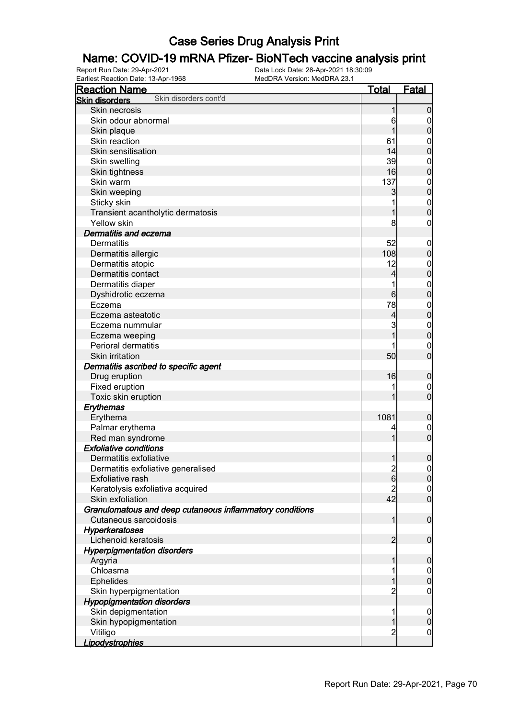# **Name: COVID-19 mRNA Pfizer- BioNTech vaccine analysis print**<br>Report Run Date: 29-Apr-2021<br>Data Lock Date: 28-Apr-2021 18:30:09

Earliest Reaction Date: 13-Apr-1968

| <b>Reaction Name</b>                                                              | <u>Total</u>     | <b>Fatal</b>                  |
|-----------------------------------------------------------------------------------|------------------|-------------------------------|
| Skin disorders cont'd<br><b>Skin disorders</b>                                    |                  |                               |
| Skin necrosis                                                                     | 1                | $\mathbf 0$                   |
| Skin odour abnormal                                                               | 6                | $\overline{0}$                |
| Skin plaque                                                                       | 1                | $\pmb{0}$                     |
| Skin reaction                                                                     | 61               | $\mathbf{0}$                  |
| Skin sensitisation                                                                | 14               | $\mathbf 0$                   |
| Skin swelling                                                                     | 39               | $\mathbf{0}$                  |
| Skin tightness                                                                    | 16               | $\overline{0}$                |
| Skin warm                                                                         | 137              | $\mathbf{0}$                  |
| Skin weeping                                                                      | 3                | $\overline{0}$                |
| Sticky skin                                                                       | 1                | $\boldsymbol{0}$              |
| Transient acantholytic dermatosis                                                 | 1                | $\overline{0}$                |
| Yellow skin                                                                       | 8                | $\boldsymbol{0}$              |
| Dermatitis and eczema                                                             |                  |                               |
| <b>Dermatitis</b>                                                                 | 52               | $\mathbf 0$                   |
| Dermatitis allergic                                                               | 108              | $\pmb{0}$                     |
| Dermatitis atopic                                                                 | 12               | $\mathbf{0}$                  |
| Dermatitis contact                                                                | 4                | $\mathbf 0$                   |
| Dermatitis diaper                                                                 | 1                | $\mathbf{0}$                  |
| Dyshidrotic eczema                                                                | $6 \overline{6}$ | $\overline{0}$                |
| Eczema                                                                            | 78               | $\mathbf{0}$                  |
| Eczema asteatotic                                                                 | 4                | $\overline{0}$                |
| Eczema nummular                                                                   | 3                | $\mathbf{0}$                  |
| Eczema weeping                                                                    | 1                | $\mathbf 0$                   |
| <b>Perioral dermatitis</b>                                                        |                  | $\mathbf 0$                   |
| Skin irritation                                                                   | 50               | $\overline{0}$                |
| Dermatitis ascribed to specific agent                                             |                  |                               |
| Drug eruption                                                                     | 16               | $\boldsymbol{0}$              |
| Fixed eruption                                                                    |                  | $\mathbf 0$                   |
| Toxic skin eruption                                                               | 1                | $\overline{0}$                |
| Erythemas                                                                         |                  |                               |
| Erythema                                                                          | 1081             |                               |
| Palmar erythema                                                                   | 4                | $\boldsymbol{0}$              |
| Red man syndrome                                                                  | 1                | $\mathbf 0$<br>$\overline{0}$ |
| <b>Exfoliative conditions</b>                                                     |                  |                               |
|                                                                                   |                  | $\boldsymbol{0}$              |
| Dermatitis exfoliative                                                            | 1                |                               |
| Dermatitis exfoliative generalised<br>Exfoliative rash                            | $\frac{2}{6}$    | 0                             |
|                                                                                   |                  | 0                             |
| Keratolysis exfoliativa acquired                                                  | 2<br>42          | $\overline{0}$<br>$\mathbf 0$ |
| Skin exfoliation                                                                  |                  |                               |
| Granulomatous and deep cutaneous inflammatory conditions<br>Cutaneous sarcoidosis |                  |                               |
|                                                                                   | 1                | $\boldsymbol{0}$              |
| <b>Hyperkeratoses</b>                                                             |                  |                               |
| Lichenoid keratosis                                                               | $\overline{2}$   | $\boldsymbol{0}$              |
| <b>Hyperpigmentation disorders</b>                                                |                  |                               |
| Argyria                                                                           | 1                | $\mathbf 0$                   |
| Chloasma                                                                          | 1                | $\overline{0}$                |
| Ephelides                                                                         | 1                | $\pmb{0}$                     |
| Skin hyperpigmentation                                                            | $\overline{c}$   | $\mathbf 0$                   |
| <b>Hypopigmentation disorders</b>                                                 |                  |                               |
| Skin depigmentation                                                               | 1                | $\mathbf 0$                   |
| Skin hypopigmentation                                                             | 1                | $\pmb{0}$                     |
| Vitiligo                                                                          | $\overline{2}$   | $\mathbf 0$                   |
| <b>Lipodystrophies</b>                                                            |                  |                               |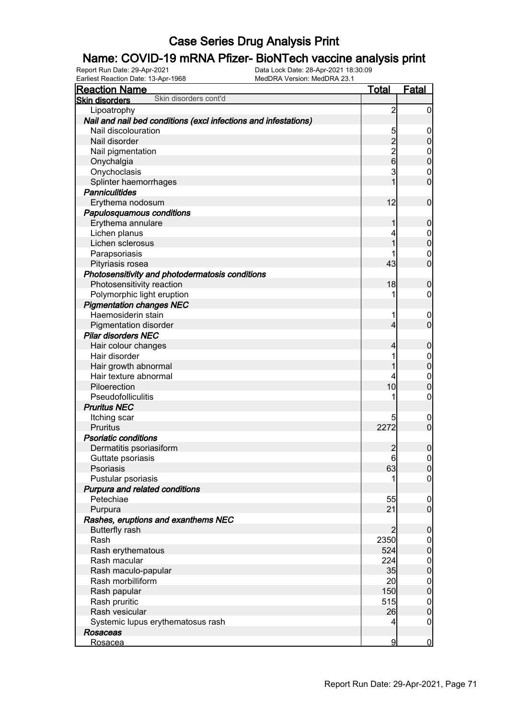#### Name: COVID-19 mRNA Pfizer- BioNTech vaccine analysis print

| <b>Reaction Name</b>                                            | <u>Total</u>   | <b>Fatal</b>     |
|-----------------------------------------------------------------|----------------|------------------|
| Skin disorders cont'd<br><b>Skin disorders</b>                  |                |                  |
| Lipoatrophy                                                     | $\overline{c}$ | $\overline{0}$   |
| Nail and nail bed conditions (excl infections and infestations) |                |                  |
| Nail discolouration                                             | 5              | 0                |
| Nail disorder                                                   | $\overline{c}$ | $\mathbf 0$      |
| Nail pigmentation                                               |                | $\mathbf 0$      |
| Onychalgia                                                      | $\frac{2}{6}$  | $\mathbf 0$      |
| Onychoclasis                                                    | 3              | $\mathbf 0$      |
| Splinter haemorrhages                                           |                | $\overline{0}$   |
| <b>Panniculitides</b>                                           |                |                  |
| Erythema nodosum                                                | 12             | $\mathbf 0$      |
| Papulosquamous conditions                                       |                |                  |
| Erythema annulare                                               |                | $\boldsymbol{0}$ |
| Lichen planus                                                   | 4              | $\mathbf 0$      |
| Lichen sclerosus                                                |                | $\overline{0}$   |
| Parapsoriasis                                                   |                | $\mathbf 0$      |
| Pityriasis rosea                                                | 43             | $\overline{0}$   |
| Photosensitivity and photodermatosis conditions                 |                |                  |
| Photosensitivity reaction                                       | 18             | 0                |
| Polymorphic light eruption                                      | 1              | 0                |
| <b>Pigmentation changes NEC</b>                                 |                |                  |
| Haemosiderin stain                                              | 1              | $\overline{0}$   |
| Pigmentation disorder                                           | 4              | $\overline{0}$   |
| <b>Pilar disorders NEC</b>                                      |                |                  |
| Hair colour changes                                             |                | 0                |
| Hair disorder                                                   | 1              | $\mathbf 0$      |
| Hair growth abnormal                                            |                | $\mathbf 0$      |
| Hair texture abnormal                                           |                | $\mathbf 0$      |
| Piloerection                                                    | 10             | $\overline{0}$   |
| Pseudofolliculitis                                              | 1              | $\mathbf 0$      |
| <b>Pruritus NEC</b>                                             |                |                  |
| Itching scar                                                    | 5              | $\overline{0}$   |
| <b>Pruritus</b>                                                 | 2272           | $\mathbf 0$      |
| <b>Psoriatic conditions</b>                                     |                |                  |
| Dermatitis psoriasiform                                         | 2              | 0                |
| Guttate psoriasis                                               | 6              | $\boldsymbol{0}$ |
| Psoriasis                                                       | 63             | 0                |
| Pustular psoriasis                                              | 1              | $\overline{0}$   |
| Purpura and related conditions                                  |                |                  |
| Petechiae                                                       | 55             | $\mathbf 0$      |
| Purpura                                                         | 21             | $\overline{0}$   |
| Rashes, eruptions and exanthems NEC                             |                |                  |
| <b>Butterfly rash</b>                                           | 2              | $\mathbf 0$      |
| Rash                                                            | 2350           | $\overline{0}$   |
| Rash erythematous                                               | 524            | $\mathbf 0$      |
| Rash macular                                                    | 224            | $\boldsymbol{0}$ |
| Rash maculo-papular                                             | 35             | $\pmb{0}$        |
| Rash morbilliform                                               | 20             | $\boldsymbol{0}$ |
| Rash papular                                                    | 150            | $\mathbf 0$      |
| Rash pruritic                                                   | 515            | $\mathbf{0}$     |
| Rash vesicular                                                  | 26             | $\mathbf 0$      |
| Systemic lupus erythematosus rash                               | 4              | $\mathbf 0$      |
| <b>Rosaceas</b>                                                 |                |                  |
|                                                                 | 9              | $\bf{0}$         |
| Rosacea                                                         |                |                  |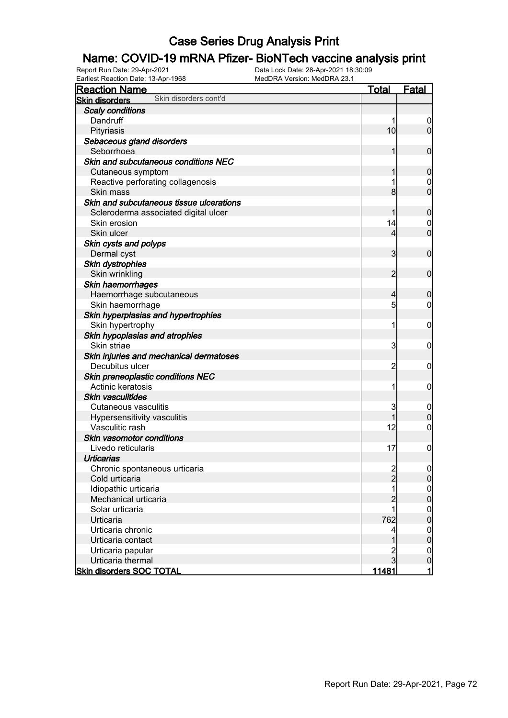#### Name: COVID-19 mRNA Pfizer- BioNTech vaccine analysis print

| Earliest Reaction Date: 13-Apr-1968            | MedDRA Version: MedDRA 23.1 |                  |
|------------------------------------------------|-----------------------------|------------------|
| <b>Reaction Name</b>                           | <u>Total</u>                | <b>Fatal</b>     |
| Skin disorders cont'd<br><b>Skin disorders</b> |                             |                  |
| <b>Scaly conditions</b>                        |                             |                  |
| Dandruff                                       | 1                           | $\overline{0}$   |
| Pityriasis                                     | 10                          | $\overline{0}$   |
| Sebaceous gland disorders                      |                             |                  |
| Seborrhoea                                     | 1                           | $\boldsymbol{0}$ |
| Skin and subcutaneous conditions NEC           |                             |                  |
| Cutaneous symptom                              | 1                           | $\mathbf 0$      |
| Reactive perforating collagenosis              | 1                           | $\overline{0}$   |
| Skin mass                                      | 8 <sup>1</sup>              | $\boldsymbol{0}$ |
| Skin and subcutaneous tissue ulcerations       |                             |                  |
| Scleroderma associated digital ulcer           | 1                           | $\mathbf 0$      |
| Skin erosion                                   | 14                          | $\overline{0}$   |
| Skin ulcer                                     | $\overline{4}$              | $\boldsymbol{0}$ |
| Skin cysts and polyps                          |                             |                  |
| Dermal cyst                                    | 3                           | $\boldsymbol{0}$ |
| Skin dystrophies                               |                             |                  |
| Skin wrinkling                                 | $\overline{2}$              | $\boldsymbol{0}$ |
| Skin haemorrhages                              |                             |                  |
| Haemorrhage subcutaneous                       | $\overline{4}$              | $\mathbf 0$      |
| Skin haemorrhage                               | 5                           | $\mathbf 0$      |
| Skin hyperplasias and hypertrophies            |                             |                  |
| Skin hypertrophy                               | 1                           | $\mathbf 0$      |
| Skin hypoplasias and atrophies                 |                             |                  |
| Skin striae                                    | 3                           | $\mathbf 0$      |
| Skin injuries and mechanical dermatoses        |                             |                  |
| Decubitus ulcer                                | $\overline{c}$              | $\mathbf 0$      |
| Skin preneoplastic conditions NEC              |                             |                  |
| Actinic keratosis                              | 1                           | $\mathbf 0$      |
| <b>Skin vasculitides</b>                       |                             |                  |
| <b>Cutaneous vasculitis</b>                    | 3                           | $\mathbf 0$      |
| Hypersensitivity vasculitis                    | 1                           | $\mathbf 0$      |
| Vasculitic rash                                | 12                          | $\mathbf 0$      |
| Skin vasomotor conditions                      |                             |                  |
| Livedo reticularis                             | 17                          | $\boldsymbol{0}$ |
| <b>Urticarias</b>                              |                             |                  |
| Chronic spontaneous urticaria                  | 2<br>2                      | $\overline{0}$   |
| Cold urticaria                                 |                             | $\mathbf 0$      |
| Idiopathic urticaria                           |                             | $\mathbf 0$      |
| Mechanical urticaria                           | $\overline{c}$              | $\mathbf 0$      |
| Solar urticaria                                |                             | $\mathbf 0$      |
| Urticaria                                      | 762                         | $\mathbf 0$      |
| Urticaria chronic                              | 4                           | $\mathbf 0$      |
| Urticaria contact                              | 1                           | $\mathbf 0$      |
| Urticaria papular                              |                             | 0                |
| Urticaria thermal                              | $\overline{3}$              | $\pmb{0}$        |
| <b>Skin disorders SOC TOTAL</b>                | 11481                       | $\mathbf{1}$     |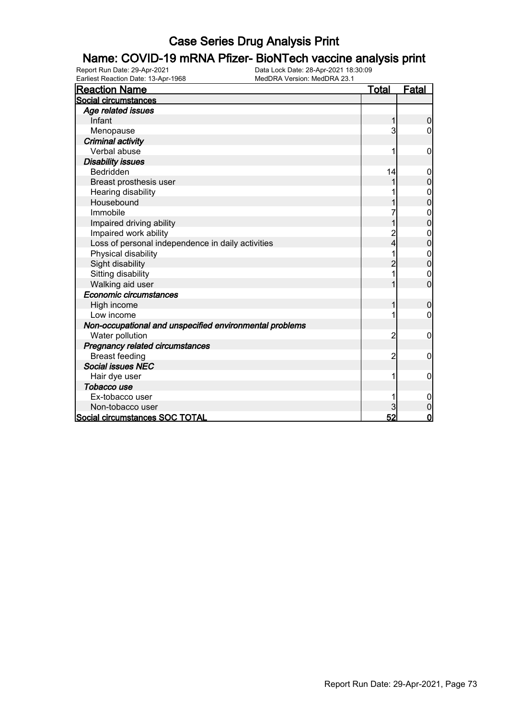#### Name: COVID-19 mRNA Pfizer- BioNTech vaccine analysis print

Report Run Date: 29-Apr-2021 Data Lock Date: 28-Apr-2021 18:30:09 Earliest Reaction Date: 13-Apr-1968 MedDRA Version: MedDRA 23.1

| <b>Reaction Name</b>                                    | <u>Total</u>   | Fatal          |
|---------------------------------------------------------|----------------|----------------|
| Social circumstances                                    |                |                |
| Age related issues                                      |                |                |
| Infant                                                  | 1              | 0              |
| Menopause                                               | 3              | 0              |
| <b>Criminal activity</b>                                |                |                |
| Verbal abuse                                            |                | 0              |
| <b>Disability issues</b>                                |                |                |
| <b>Bedridden</b>                                        | 14             | 0              |
| Breast prosthesis user                                  |                | $\overline{0}$ |
| Hearing disability                                      |                |                |
| Housebound                                              |                | 0              |
| Immobile                                                |                | 0              |
| Impaired driving ability                                |                | $\overline{0}$ |
| Impaired work ability                                   |                | 0              |
| Loss of personal independence in daily activities       | 4              | 0              |
| Physical disability                                     |                | 0              |
| Sight disability                                        | $\overline{2}$ | $\mathbf{0}$   |
| Sitting disability                                      |                | 0              |
| Walking aid user                                        |                | $\overline{0}$ |
| Economic circumstances                                  |                |                |
| High income                                             | 1              | $\mathbf 0$    |
| Low income                                              |                | 0              |
| Non-occupational and unspecified environmental problems |                |                |
| Water pollution                                         | 2              | 0              |
| Pregnancy related circumstances                         |                |                |
| <b>Breast feeding</b>                                   | $\overline{2}$ | $\mathbf 0$    |
| <b>Social issues NEC</b>                                |                |                |
| Hair dye user                                           |                | 0              |
| Tobacco use                                             |                |                |
| Ex-tobacco user                                         |                | 0              |
| Non-tobacco user                                        | 3              | $\mathbf 0$    |
| Social circumstances SOC TOTAL                          | 52             | $\mathbf 0$    |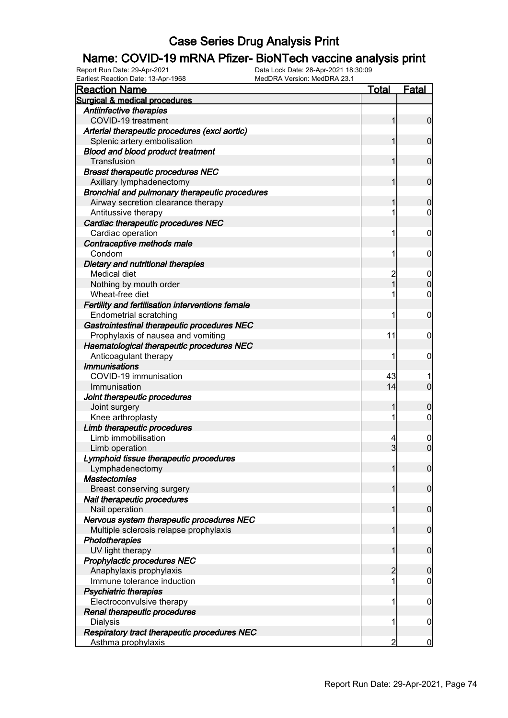# **Name: COVID-19 mRNA Pfizer- BioNTech vaccine analysis print**<br>Report Run Date: 29-Apr-2021<br>Data Lock Date: 28-Apr-2021 18:30:09

Earliest Reaction Date: 13-Apr-1968

| <b>Reaction Name</b>                               | Total               | <b>Fatal</b>                  |
|----------------------------------------------------|---------------------|-------------------------------|
| Surgical & medical procedures                      |                     |                               |
| Antiinfective therapies                            |                     |                               |
| COVID-19 treatment                                 | 1                   | $\mathbf 0$                   |
| Arterial therapeutic procedures (excl aortic)      |                     |                               |
| Splenic artery embolisation                        |                     | $\mathbf 0$                   |
| <b>Blood and blood product treatment</b>           |                     |                               |
| Transfusion                                        |                     | $\mathbf 0$                   |
| <b>Breast therapeutic procedures NEC</b>           |                     |                               |
| Axillary lymphadenectomy                           | 1                   | $\mathbf 0$                   |
| Bronchial and pulmonary therapeutic procedures     |                     |                               |
| Airway secretion clearance therapy                 |                     | $\boldsymbol{0}$              |
| Antitussive therapy                                |                     | 0                             |
| Cardiac therapeutic procedures NEC                 |                     |                               |
| Cardiac operation                                  | 1                   | 0                             |
| Contraceptive methods male                         |                     |                               |
| Condom                                             | 1                   | 0                             |
| Dietary and nutritional therapies                  |                     |                               |
| Medical diet                                       | $\overline{c}$      | $\boldsymbol{0}$              |
| Nothing by mouth order                             | 1                   | $\mathbf 0$                   |
| Wheat-free diet                                    |                     | $\mathbf 0$                   |
| Fertility and fertilisation interventions female   |                     |                               |
| <b>Endometrial scratching</b>                      | 1                   | 0                             |
| Gastrointestinal therapeutic procedures NEC        |                     |                               |
| Prophylaxis of nausea and vomiting                 | 11                  | 0                             |
| Haematological therapeutic procedures NEC          |                     |                               |
| Anticoagulant therapy                              | 1                   | 0                             |
| <b>Immunisations</b>                               |                     |                               |
| COVID-19 immunisation                              | 43                  |                               |
| Immunisation                                       | 14                  | $\overline{0}$                |
| Joint therapeutic procedures                       |                     |                               |
| Joint surgery                                      | 1                   | $\mathbf 0$                   |
| Knee arthroplasty                                  | 1                   | $\mathbf 0$                   |
| Limb therapeutic procedures<br>Limb immobilisation |                     |                               |
|                                                    | 4<br>$\overline{3}$ | $\mathbf 0$<br>$\overline{0}$ |
| Limb operation                                     |                     |                               |
| Lymphoid tissue therapeutic procedures             | 1                   |                               |
| Lymphadenectomy<br><b>Mastectomies</b>             |                     | $\boldsymbol{0}$              |
| Breast conserving surgery                          |                     | $\mathbf 0$                   |
| Nail therapeutic procedures                        |                     |                               |
| Nail operation                                     | 1                   | $\mathbf 0$                   |
| Nervous system therapeutic procedures NEC          |                     |                               |
| Multiple sclerosis relapse prophylaxis             | 1                   | $\mathbf 0$                   |
| Phototherapies                                     |                     |                               |
| UV light therapy                                   | 1                   | $\mathbf 0$                   |
| Prophylactic procedures NEC                        |                     |                               |
| Anaphylaxis prophylaxis                            | $\overline{2}$      | $\mathbf 0$                   |
| Immune tolerance induction                         |                     | 0                             |
| <b>Psychiatric therapies</b>                       |                     |                               |
| Electroconvulsive therapy                          | 1                   | $\mathbf 0$                   |
| Renal therapeutic procedures                       |                     |                               |
| <b>Dialysis</b>                                    | 1                   | $\mathbf 0$                   |
| Respiratory tract therapeutic procedures NEC       |                     |                               |
| Asthma prophylaxis                                 | 2                   | $\bf{0}$                      |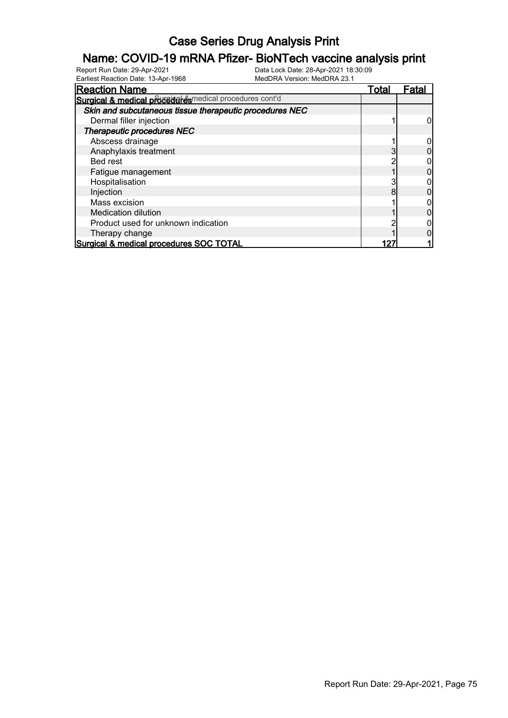# **Name: COVID-19 mRNA Pfizer- BioNTech vaccine analysis print**<br>Report Run Date: 29-Apr-2021<br>Data Lock Date: 28-Apr-2021 18:30:09

Earliest Reaction Date: 13-Apr-1968

| Lancot Roadwon Dato. To he Tooo                         |              |       |
|---------------------------------------------------------|--------------|-------|
| <b>Reaction Name</b>                                    | <u>Total</u> | Fatal |
| Surgical & medical proceed exemplical procedures cont'd |              |       |
| Skin and subcutaneous tissue therapeutic procedures NEC |              |       |
| Dermal filler injection                                 |              |       |
| Therapeutic procedures NEC                              |              |       |
| Abscess drainage                                        |              |       |
| Anaphylaxis treatment                                   |              |       |
| Bed rest                                                |              |       |
| Fatigue management                                      |              |       |
| Hospitalisation                                         |              |       |
| Injection                                               |              |       |
| Mass excision                                           |              |       |
| <b>Medication dilution</b>                              |              |       |
| Product used for unknown indication                     |              |       |
| Therapy change                                          |              |       |
| Surgical & medical procedures SOC TOTAL                 |              |       |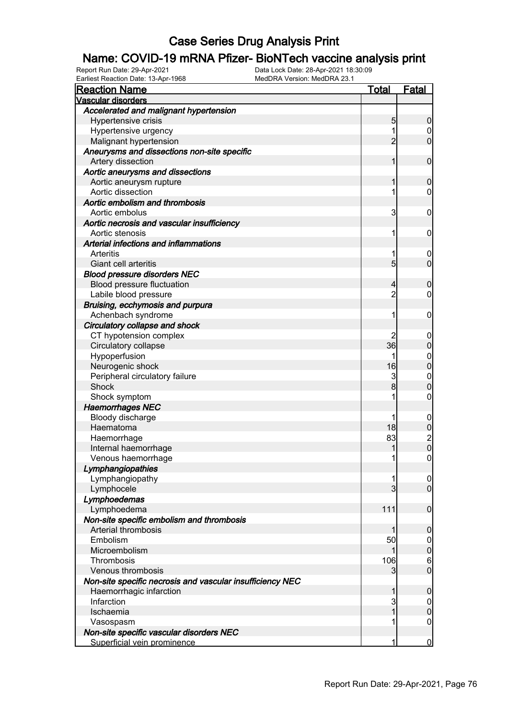# **Name: COVID-19 mRNA Pfizer- BioNTech vaccine analysis print**<br>Report Run Date: 29-Apr-2021<br>Data Lock Date: 28-Apr-2021 18:30:09

Earliest Reaction Date: 13-Apr-1968

| <b>Reaction Name</b>                                      | <u>Total</u>    | Fatal                                |
|-----------------------------------------------------------|-----------------|--------------------------------------|
| <b>Vascular disorders</b>                                 |                 |                                      |
| Accelerated and malignant hypertension                    |                 |                                      |
| Hypertensive crisis                                       | 5               | $\boldsymbol{0}$                     |
| Hypertensive urgency                                      |                 | 0                                    |
| Malignant hypertension                                    | $\overline{2}$  | $\mathbf 0$                          |
| Aneurysms and dissections non-site specific               |                 |                                      |
| Artery dissection                                         | 1               | $\mathbf 0$                          |
| Aortic aneurysms and dissections                          |                 |                                      |
| Aortic aneurysm rupture                                   |                 | $\boldsymbol{0}$                     |
| Aortic dissection                                         |                 | 0                                    |
| Aortic embolism and thrombosis                            |                 |                                      |
| Aortic embolus                                            | 3               | $\mathbf 0$                          |
| Aortic necrosis and vascular insufficiency                |                 |                                      |
| Aortic stenosis                                           | 1               | $\mathbf 0$                          |
| Arterial infections and inflammations                     |                 |                                      |
| Arteritis                                                 |                 | $\boldsymbol{0}$                     |
| Giant cell arteritis                                      | $5\overline{)}$ | $\mathbf 0$                          |
| <b>Blood pressure disorders NEC</b>                       |                 |                                      |
| Blood pressure fluctuation                                | 4               | $\boldsymbol{0}$                     |
| Labile blood pressure                                     | $\overline{c}$  | 0                                    |
| Bruising, ecchymosis and purpura                          |                 |                                      |
| Achenbach syndrome                                        |                 | $\mathbf 0$                          |
| Circulatory collapse and shock                            |                 |                                      |
| CT hypotension complex                                    |                 | $\boldsymbol{0}$                     |
| Circulatory collapse                                      | 36              | $\boldsymbol{0}$                     |
| Hypoperfusion                                             |                 | $\mathbf{0}$                         |
| Neurogenic shock                                          | 16              | $\overline{0}$                       |
| Peripheral circulatory failure                            | 3               | $\boldsymbol{0}$                     |
| Shock                                                     | 8 <sup>1</sup>  | $\overline{0}$                       |
| Shock symptom                                             |                 | $\boldsymbol{0}$                     |
| <b>Haemorrhages NEC</b>                                   |                 |                                      |
| Bloody discharge                                          |                 | $\boldsymbol{0}$                     |
| Haematoma                                                 | 18              | $\pmb{0}$                            |
| Haemorrhage                                               | 83              |                                      |
| Internal haemorrhage                                      |                 | $\begin{matrix} 2 \\ 0 \end{matrix}$ |
| Venous haemorrhage                                        | 11              | $\boldsymbol{0}$                     |
| Lymphangiopathies                                         |                 |                                      |
| Lymphangiopathy                                           |                 | 0                                    |
| Lymphocele                                                | 3               | $\overline{0}$                       |
| Lymphoedemas                                              |                 |                                      |
| Lymphoedema                                               | 111             | $\mathbf 0$                          |
| Non-site specific embolism and thrombosis                 |                 |                                      |
| Arterial thrombosis                                       |                 | $\mathbf 0$                          |
| Embolism                                                  | 50              | $\overline{0}$                       |
| Microembolism                                             |                 | $\boldsymbol{0}$                     |
| Thrombosis                                                | 106             | $6\phantom{.}6$                      |
| Venous thrombosis                                         | 3               | $\overline{0}$                       |
|                                                           |                 |                                      |
| Non-site specific necrosis and vascular insufficiency NEC | 1               | $\mathbf 0$                          |
| Haemorrhagic infarction<br>Infarction                     |                 |                                      |
|                                                           | 3<br>1          | $\overline{0}$<br>$\boldsymbol{0}$   |
| Ischaemia                                                 |                 |                                      |
| Vasospasm                                                 |                 | $\overline{0}$                       |
| Non-site specific vascular disorders NEC                  |                 |                                      |
| Superficial vein prominence                               | 1               | $\bf{0}$                             |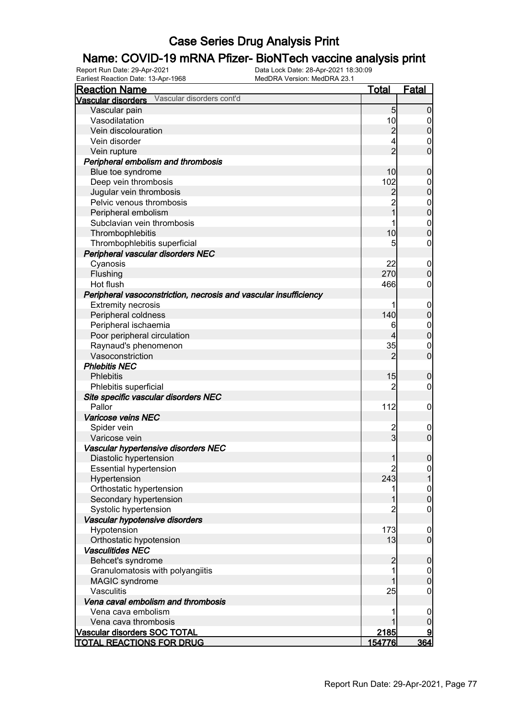# **Name: COVID-19 mRNA Pfizer- BioNTech vaccine analysis print**<br>Report Run Date: 29-Apr-2021<br>Data Lock Date: 28-Apr-2021 18:30:09

Earliest Reaction Date: 13-Apr-1968

| <u>Total</u><br><b>Fatal</b><br><b>Reaction Name</b><br>Vascular disorders cont'd<br><b>Vascular disorders</b><br>Vascular pain<br>5 <sub>5</sub><br>$\overline{0}$<br>10<br>Vasodilatation<br>0<br>$\overline{c}$<br>$\mathbf 0$<br>Vein discolouration<br>Vein disorder<br>4<br>0<br>$\overline{2}$<br>$\overline{0}$<br>Vein rupture<br>Peripheral embolism and thrombosis<br>10<br>Blue toe syndrome<br>$\boldsymbol{0}$<br>102<br>Deep vein thrombosis<br>$\mathbf 0$<br>$\overline{0}$<br>Jugular vein thrombosis<br>$\overline{c}$<br>$\overline{2}$<br>Pelvic venous thrombosis<br>$0\atop 0$<br>1<br>Peripheral embolism<br>Subclavian vein thrombosis<br>$\boldsymbol{0}$<br>$\overline{0}$<br>10<br>Thrombophlebitis<br>5<br>Thrombophlebitis superficial<br>0<br>Peripheral vascular disorders NEC<br>Cyanosis<br>22<br>$\mathbf 0$<br>$\mathbf 0$<br>270<br>Flushing<br>Hot flush<br>466<br>0<br>Peripheral vasoconstriction, necrosis and vascular insufficiency<br><b>Extremity necrosis</b><br>$\mathbf 0$<br>$\boldsymbol{0}$<br>140<br>Peripheral coldness<br>Peripheral ischaemia<br>$\mathbf 0$<br>6<br>$\mathbf 0$<br>Poor peripheral circulation<br>4<br>35<br>Raynaud's phenomenon<br>$\mathbf 0$<br>$\overline{0}$<br>$\overline{2}$<br>Vasoconstriction<br><b>Phlebitis NEC</b><br>15<br>$\boldsymbol{0}$<br><b>Phlebitis</b><br>2<br>Phlebitis superficial<br>0<br>Site specific vascular disorders NEC<br>Pallor<br>112<br>$\mathbf 0$<br>Varicose veins NEC<br>Spider vein<br>$\overline{2}$<br>$\mathbf 0$<br>$\overline{3}$<br>$\overline{0}$<br>Varicose vein<br>Vascular hypertensive disorders NEC<br>$\boldsymbol{0}$<br>$\mathbf{1}$<br>Diastolic hypertension |
|---------------------------------------------------------------------------------------------------------------------------------------------------------------------------------------------------------------------------------------------------------------------------------------------------------------------------------------------------------------------------------------------------------------------------------------------------------------------------------------------------------------------------------------------------------------------------------------------------------------------------------------------------------------------------------------------------------------------------------------------------------------------------------------------------------------------------------------------------------------------------------------------------------------------------------------------------------------------------------------------------------------------------------------------------------------------------------------------------------------------------------------------------------------------------------------------------------------------------------------------------------------------------------------------------------------------------------------------------------------------------------------------------------------------------------------------------------------------------------------------------------------------------------------------------------------------------------------------------------------------------------------------------------------------------------------------------|
|                                                                                                                                                                                                                                                                                                                                                                                                                                                                                                                                                                                                                                                                                                                                                                                                                                                                                                                                                                                                                                                                                                                                                                                                                                                                                                                                                                                                                                                                                                                                                                                                                                                                                                   |
|                                                                                                                                                                                                                                                                                                                                                                                                                                                                                                                                                                                                                                                                                                                                                                                                                                                                                                                                                                                                                                                                                                                                                                                                                                                                                                                                                                                                                                                                                                                                                                                                                                                                                                   |
|                                                                                                                                                                                                                                                                                                                                                                                                                                                                                                                                                                                                                                                                                                                                                                                                                                                                                                                                                                                                                                                                                                                                                                                                                                                                                                                                                                                                                                                                                                                                                                                                                                                                                                   |
|                                                                                                                                                                                                                                                                                                                                                                                                                                                                                                                                                                                                                                                                                                                                                                                                                                                                                                                                                                                                                                                                                                                                                                                                                                                                                                                                                                                                                                                                                                                                                                                                                                                                                                   |
|                                                                                                                                                                                                                                                                                                                                                                                                                                                                                                                                                                                                                                                                                                                                                                                                                                                                                                                                                                                                                                                                                                                                                                                                                                                                                                                                                                                                                                                                                                                                                                                                                                                                                                   |
|                                                                                                                                                                                                                                                                                                                                                                                                                                                                                                                                                                                                                                                                                                                                                                                                                                                                                                                                                                                                                                                                                                                                                                                                                                                                                                                                                                                                                                                                                                                                                                                                                                                                                                   |
|                                                                                                                                                                                                                                                                                                                                                                                                                                                                                                                                                                                                                                                                                                                                                                                                                                                                                                                                                                                                                                                                                                                                                                                                                                                                                                                                                                                                                                                                                                                                                                                                                                                                                                   |
|                                                                                                                                                                                                                                                                                                                                                                                                                                                                                                                                                                                                                                                                                                                                                                                                                                                                                                                                                                                                                                                                                                                                                                                                                                                                                                                                                                                                                                                                                                                                                                                                                                                                                                   |
|                                                                                                                                                                                                                                                                                                                                                                                                                                                                                                                                                                                                                                                                                                                                                                                                                                                                                                                                                                                                                                                                                                                                                                                                                                                                                                                                                                                                                                                                                                                                                                                                                                                                                                   |
|                                                                                                                                                                                                                                                                                                                                                                                                                                                                                                                                                                                                                                                                                                                                                                                                                                                                                                                                                                                                                                                                                                                                                                                                                                                                                                                                                                                                                                                                                                                                                                                                                                                                                                   |
|                                                                                                                                                                                                                                                                                                                                                                                                                                                                                                                                                                                                                                                                                                                                                                                                                                                                                                                                                                                                                                                                                                                                                                                                                                                                                                                                                                                                                                                                                                                                                                                                                                                                                                   |
|                                                                                                                                                                                                                                                                                                                                                                                                                                                                                                                                                                                                                                                                                                                                                                                                                                                                                                                                                                                                                                                                                                                                                                                                                                                                                                                                                                                                                                                                                                                                                                                                                                                                                                   |
|                                                                                                                                                                                                                                                                                                                                                                                                                                                                                                                                                                                                                                                                                                                                                                                                                                                                                                                                                                                                                                                                                                                                                                                                                                                                                                                                                                                                                                                                                                                                                                                                                                                                                                   |
|                                                                                                                                                                                                                                                                                                                                                                                                                                                                                                                                                                                                                                                                                                                                                                                                                                                                                                                                                                                                                                                                                                                                                                                                                                                                                                                                                                                                                                                                                                                                                                                                                                                                                                   |
|                                                                                                                                                                                                                                                                                                                                                                                                                                                                                                                                                                                                                                                                                                                                                                                                                                                                                                                                                                                                                                                                                                                                                                                                                                                                                                                                                                                                                                                                                                                                                                                                                                                                                                   |
|                                                                                                                                                                                                                                                                                                                                                                                                                                                                                                                                                                                                                                                                                                                                                                                                                                                                                                                                                                                                                                                                                                                                                                                                                                                                                                                                                                                                                                                                                                                                                                                                                                                                                                   |
|                                                                                                                                                                                                                                                                                                                                                                                                                                                                                                                                                                                                                                                                                                                                                                                                                                                                                                                                                                                                                                                                                                                                                                                                                                                                                                                                                                                                                                                                                                                                                                                                                                                                                                   |
|                                                                                                                                                                                                                                                                                                                                                                                                                                                                                                                                                                                                                                                                                                                                                                                                                                                                                                                                                                                                                                                                                                                                                                                                                                                                                                                                                                                                                                                                                                                                                                                                                                                                                                   |
|                                                                                                                                                                                                                                                                                                                                                                                                                                                                                                                                                                                                                                                                                                                                                                                                                                                                                                                                                                                                                                                                                                                                                                                                                                                                                                                                                                                                                                                                                                                                                                                                                                                                                                   |
|                                                                                                                                                                                                                                                                                                                                                                                                                                                                                                                                                                                                                                                                                                                                                                                                                                                                                                                                                                                                                                                                                                                                                                                                                                                                                                                                                                                                                                                                                                                                                                                                                                                                                                   |
|                                                                                                                                                                                                                                                                                                                                                                                                                                                                                                                                                                                                                                                                                                                                                                                                                                                                                                                                                                                                                                                                                                                                                                                                                                                                                                                                                                                                                                                                                                                                                                                                                                                                                                   |
|                                                                                                                                                                                                                                                                                                                                                                                                                                                                                                                                                                                                                                                                                                                                                                                                                                                                                                                                                                                                                                                                                                                                                                                                                                                                                                                                                                                                                                                                                                                                                                                                                                                                                                   |
|                                                                                                                                                                                                                                                                                                                                                                                                                                                                                                                                                                                                                                                                                                                                                                                                                                                                                                                                                                                                                                                                                                                                                                                                                                                                                                                                                                                                                                                                                                                                                                                                                                                                                                   |
|                                                                                                                                                                                                                                                                                                                                                                                                                                                                                                                                                                                                                                                                                                                                                                                                                                                                                                                                                                                                                                                                                                                                                                                                                                                                                                                                                                                                                                                                                                                                                                                                                                                                                                   |
|                                                                                                                                                                                                                                                                                                                                                                                                                                                                                                                                                                                                                                                                                                                                                                                                                                                                                                                                                                                                                                                                                                                                                                                                                                                                                                                                                                                                                                                                                                                                                                                                                                                                                                   |
|                                                                                                                                                                                                                                                                                                                                                                                                                                                                                                                                                                                                                                                                                                                                                                                                                                                                                                                                                                                                                                                                                                                                                                                                                                                                                                                                                                                                                                                                                                                                                                                                                                                                                                   |
|                                                                                                                                                                                                                                                                                                                                                                                                                                                                                                                                                                                                                                                                                                                                                                                                                                                                                                                                                                                                                                                                                                                                                                                                                                                                                                                                                                                                                                                                                                                                                                                                                                                                                                   |
|                                                                                                                                                                                                                                                                                                                                                                                                                                                                                                                                                                                                                                                                                                                                                                                                                                                                                                                                                                                                                                                                                                                                                                                                                                                                                                                                                                                                                                                                                                                                                                                                                                                                                                   |
|                                                                                                                                                                                                                                                                                                                                                                                                                                                                                                                                                                                                                                                                                                                                                                                                                                                                                                                                                                                                                                                                                                                                                                                                                                                                                                                                                                                                                                                                                                                                                                                                                                                                                                   |
|                                                                                                                                                                                                                                                                                                                                                                                                                                                                                                                                                                                                                                                                                                                                                                                                                                                                                                                                                                                                                                                                                                                                                                                                                                                                                                                                                                                                                                                                                                                                                                                                                                                                                                   |
|                                                                                                                                                                                                                                                                                                                                                                                                                                                                                                                                                                                                                                                                                                                                                                                                                                                                                                                                                                                                                                                                                                                                                                                                                                                                                                                                                                                                                                                                                                                                                                                                                                                                                                   |
|                                                                                                                                                                                                                                                                                                                                                                                                                                                                                                                                                                                                                                                                                                                                                                                                                                                                                                                                                                                                                                                                                                                                                                                                                                                                                                                                                                                                                                                                                                                                                                                                                                                                                                   |
|                                                                                                                                                                                                                                                                                                                                                                                                                                                                                                                                                                                                                                                                                                                                                                                                                                                                                                                                                                                                                                                                                                                                                                                                                                                                                                                                                                                                                                                                                                                                                                                                                                                                                                   |
|                                                                                                                                                                                                                                                                                                                                                                                                                                                                                                                                                                                                                                                                                                                                                                                                                                                                                                                                                                                                                                                                                                                                                                                                                                                                                                                                                                                                                                                                                                                                                                                                                                                                                                   |
|                                                                                                                                                                                                                                                                                                                                                                                                                                                                                                                                                                                                                                                                                                                                                                                                                                                                                                                                                                                                                                                                                                                                                                                                                                                                                                                                                                                                                                                                                                                                                                                                                                                                                                   |
|                                                                                                                                                                                                                                                                                                                                                                                                                                                                                                                                                                                                                                                                                                                                                                                                                                                                                                                                                                                                                                                                                                                                                                                                                                                                                                                                                                                                                                                                                                                                                                                                                                                                                                   |
| <b>Essential hypertension</b><br>$\overline{c}$<br>$\overline{0}$                                                                                                                                                                                                                                                                                                                                                                                                                                                                                                                                                                                                                                                                                                                                                                                                                                                                                                                                                                                                                                                                                                                                                                                                                                                                                                                                                                                                                                                                                                                                                                                                                                 |
| $\overline{1}$<br>243<br>Hypertension                                                                                                                                                                                                                                                                                                                                                                                                                                                                                                                                                                                                                                                                                                                                                                                                                                                                                                                                                                                                                                                                                                                                                                                                                                                                                                                                                                                                                                                                                                                                                                                                                                                             |
| Orthostatic hypertension                                                                                                                                                                                                                                                                                                                                                                                                                                                                                                                                                                                                                                                                                                                                                                                                                                                                                                                                                                                                                                                                                                                                                                                                                                                                                                                                                                                                                                                                                                                                                                                                                                                                          |
| $0$<br>0<br>Secondary hypertension<br>1                                                                                                                                                                                                                                                                                                                                                                                                                                                                                                                                                                                                                                                                                                                                                                                                                                                                                                                                                                                                                                                                                                                                                                                                                                                                                                                                                                                                                                                                                                                                                                                                                                                           |
| Systolic hypertension<br>2<br>$\mathbf 0$                                                                                                                                                                                                                                                                                                                                                                                                                                                                                                                                                                                                                                                                                                                                                                                                                                                                                                                                                                                                                                                                                                                                                                                                                                                                                                                                                                                                                                                                                                                                                                                                                                                         |
| Vascular hypotensive disorders                                                                                                                                                                                                                                                                                                                                                                                                                                                                                                                                                                                                                                                                                                                                                                                                                                                                                                                                                                                                                                                                                                                                                                                                                                                                                                                                                                                                                                                                                                                                                                                                                                                                    |
| Hypotension<br>173<br>$\mathbf 0$                                                                                                                                                                                                                                                                                                                                                                                                                                                                                                                                                                                                                                                                                                                                                                                                                                                                                                                                                                                                                                                                                                                                                                                                                                                                                                                                                                                                                                                                                                                                                                                                                                                                 |
| 13<br>$\overline{0}$<br>Orthostatic hypotension                                                                                                                                                                                                                                                                                                                                                                                                                                                                                                                                                                                                                                                                                                                                                                                                                                                                                                                                                                                                                                                                                                                                                                                                                                                                                                                                                                                                                                                                                                                                                                                                                                                   |
| <b>Vasculitides NEC</b>                                                                                                                                                                                                                                                                                                                                                                                                                                                                                                                                                                                                                                                                                                                                                                                                                                                                                                                                                                                                                                                                                                                                                                                                                                                                                                                                                                                                                                                                                                                                                                                                                                                                           |
| $\overline{2}$<br>Behcet's syndrome<br>$\boldsymbol{0}$                                                                                                                                                                                                                                                                                                                                                                                                                                                                                                                                                                                                                                                                                                                                                                                                                                                                                                                                                                                                                                                                                                                                                                                                                                                                                                                                                                                                                                                                                                                                                                                                                                           |
| Granulomatosis with polyangiitis<br>$\overline{0}$                                                                                                                                                                                                                                                                                                                                                                                                                                                                                                                                                                                                                                                                                                                                                                                                                                                                                                                                                                                                                                                                                                                                                                                                                                                                                                                                                                                                                                                                                                                                                                                                                                                |
| $\mathbf 0$                                                                                                                                                                                                                                                                                                                                                                                                                                                                                                                                                                                                                                                                                                                                                                                                                                                                                                                                                                                                                                                                                                                                                                                                                                                                                                                                                                                                                                                                                                                                                                                                                                                                                       |
| <b>MAGIC</b> syndrome<br>Vasculitis<br>25<br>$\boldsymbol{0}$                                                                                                                                                                                                                                                                                                                                                                                                                                                                                                                                                                                                                                                                                                                                                                                                                                                                                                                                                                                                                                                                                                                                                                                                                                                                                                                                                                                                                                                                                                                                                                                                                                     |
| Vena caval embolism and thrombosis                                                                                                                                                                                                                                                                                                                                                                                                                                                                                                                                                                                                                                                                                                                                                                                                                                                                                                                                                                                                                                                                                                                                                                                                                                                                                                                                                                                                                                                                                                                                                                                                                                                                |
| Vena cava embolism                                                                                                                                                                                                                                                                                                                                                                                                                                                                                                                                                                                                                                                                                                                                                                                                                                                                                                                                                                                                                                                                                                                                                                                                                                                                                                                                                                                                                                                                                                                                                                                                                                                                                |
| 0<br>Vena cava thrombosis<br>$\mathbf 0$                                                                                                                                                                                                                                                                                                                                                                                                                                                                                                                                                                                                                                                                                                                                                                                                                                                                                                                                                                                                                                                                                                                                                                                                                                                                                                                                                                                                                                                                                                                                                                                                                                                          |
| <u>2185</u><br><b>Vascular disorders SOC TOTAL</b><br>9                                                                                                                                                                                                                                                                                                                                                                                                                                                                                                                                                                                                                                                                                                                                                                                                                                                                                                                                                                                                                                                                                                                                                                                                                                                                                                                                                                                                                                                                                                                                                                                                                                           |
| 364<br>154776<br><u>TOTAL REACTIONS FOR DRUG</u>                                                                                                                                                                                                                                                                                                                                                                                                                                                                                                                                                                                                                                                                                                                                                                                                                                                                                                                                                                                                                                                                                                                                                                                                                                                                                                                                                                                                                                                                                                                                                                                                                                                  |